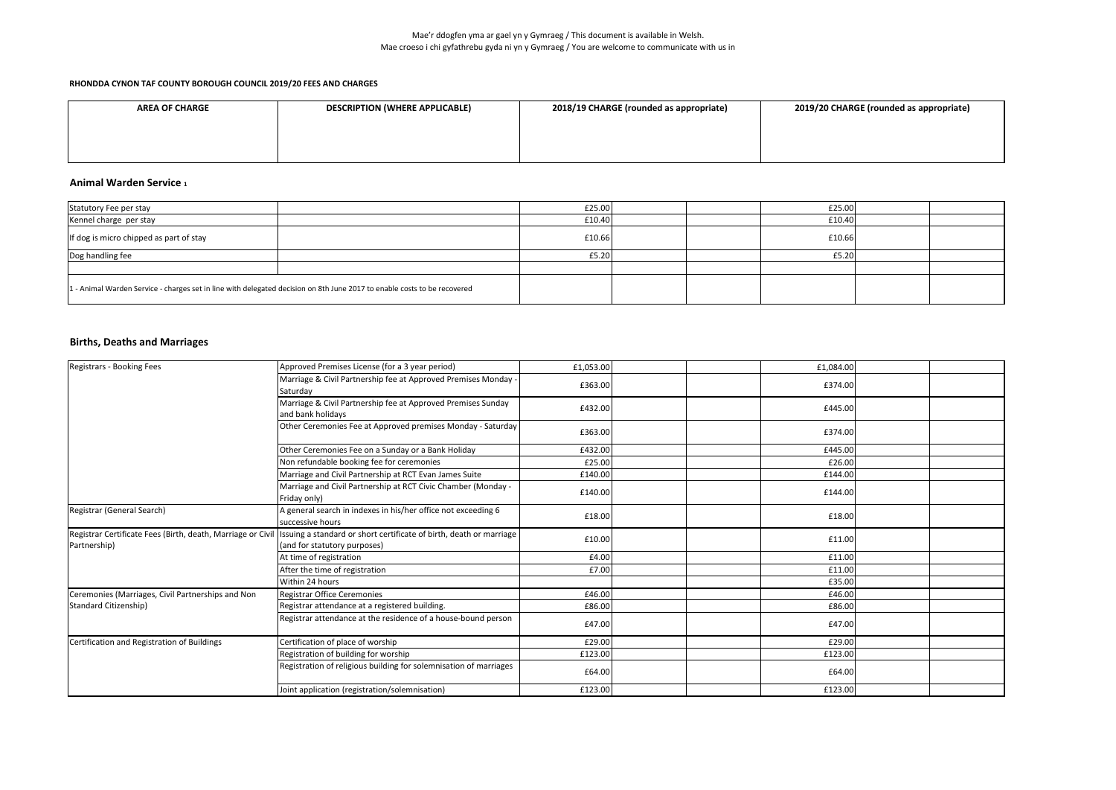| <b>AREA OF CHARGE</b> | <b>DESCRIPTION (WHERE APPLICABLE)</b> | 2018/19 CHARGE (rounded as appropriate) |
|-----------------------|---------------------------------------|-----------------------------------------|
|                       |                                       |                                         |
|                       |                                       |                                         |
|                       |                                       |                                         |

#### **Animal Warden Service <sup>1</sup>**

## **Births, Deaths and Marriages**

| Statutory Fee per stay                                                                                                  | £25.00 |  | £25.00 |  |
|-------------------------------------------------------------------------------------------------------------------------|--------|--|--------|--|
| Kennel charge per stay                                                                                                  | £10.40 |  | £10.40 |  |
| If dog is micro chipped as part of stay                                                                                 | £10.66 |  | £10.66 |  |
| Dog handling fee                                                                                                        | £5.20  |  | £5.20  |  |
|                                                                                                                         |        |  |        |  |
| 1- Animal Warden Service - charges set in line with delegated decision on 8th June 2017 to enable costs to be recovered |        |  |        |  |

| Registrars - Booking Fees                                                   | Approved Premises License (for a 3 year period)                                                     | £1,053.00 | £1,084.00 |  |
|-----------------------------------------------------------------------------|-----------------------------------------------------------------------------------------------------|-----------|-----------|--|
|                                                                             | Marriage & Civil Partnership fee at Approved Premises Monday -<br>Saturday                          | £363.00   | £374.00   |  |
|                                                                             | Marriage & Civil Partnership fee at Approved Premises Sunday<br>and bank holidays                   | £432.00   | £445.00   |  |
|                                                                             | Other Ceremonies Fee at Approved premises Monday - Saturday                                         | £363.00   | £374.00   |  |
|                                                                             | Other Ceremonies Fee on a Sunday or a Bank Holiday                                                  | £432.00   | £445.00   |  |
|                                                                             | Non refundable booking fee for ceremonies                                                           | £25.00    | £26.00    |  |
|                                                                             | Marriage and Civil Partnership at RCT Evan James Suite                                              | £140.00   | £144.00   |  |
|                                                                             | Marriage and Civil Partnership at RCT Civic Chamber (Monday -<br>Friday only)                       | £140.00   | £144.00   |  |
| Registrar (General Search)                                                  | A general search in indexes in his/her office not exceeding 6<br>successive hours                   | £18.00    | £18.00    |  |
| Registrar Certificate Fees (Birth, death, Marriage or Civil<br>Partnership) | Issuing a standard or short certificate of birth, death or marriage<br>(and for statutory purposes) | £10.00    | £11.00    |  |
|                                                                             | At time of registration                                                                             | £4.00     | £11.00    |  |
|                                                                             | After the time of registration                                                                      | £7.00     | £11.00    |  |
|                                                                             | Within 24 hours                                                                                     |           | £35.00    |  |
| Ceremonies (Marriages, Civil Partnerships and Non                           | <b>Registrar Office Ceremonies</b>                                                                  | £46.00    | £46.00    |  |
| Standard Citizenship)                                                       | Registrar attendance at a registered building.                                                      | £86.00    | £86.00    |  |
|                                                                             | Registrar attendance at the residence of a house-bound person                                       | £47.00    | £47.00    |  |
| Certification and Registration of Buildings                                 | Certification of place of worship                                                                   | £29.00    | £29.00    |  |
|                                                                             | Registration of building for worship                                                                | £123.00   | £123.00   |  |
|                                                                             | Registration of religious building for solemnisation of marriages                                   | £64.00    | £64.00    |  |
|                                                                             | Joint application (registration/solemnisation)                                                      | £123.00   | £123.00   |  |

| 2018/19 CHARGE (rounded as appropriate) | 2019/20 CHARGE (rounded as appropriate) |
|-----------------------------------------|-----------------------------------------|
|                                         |                                         |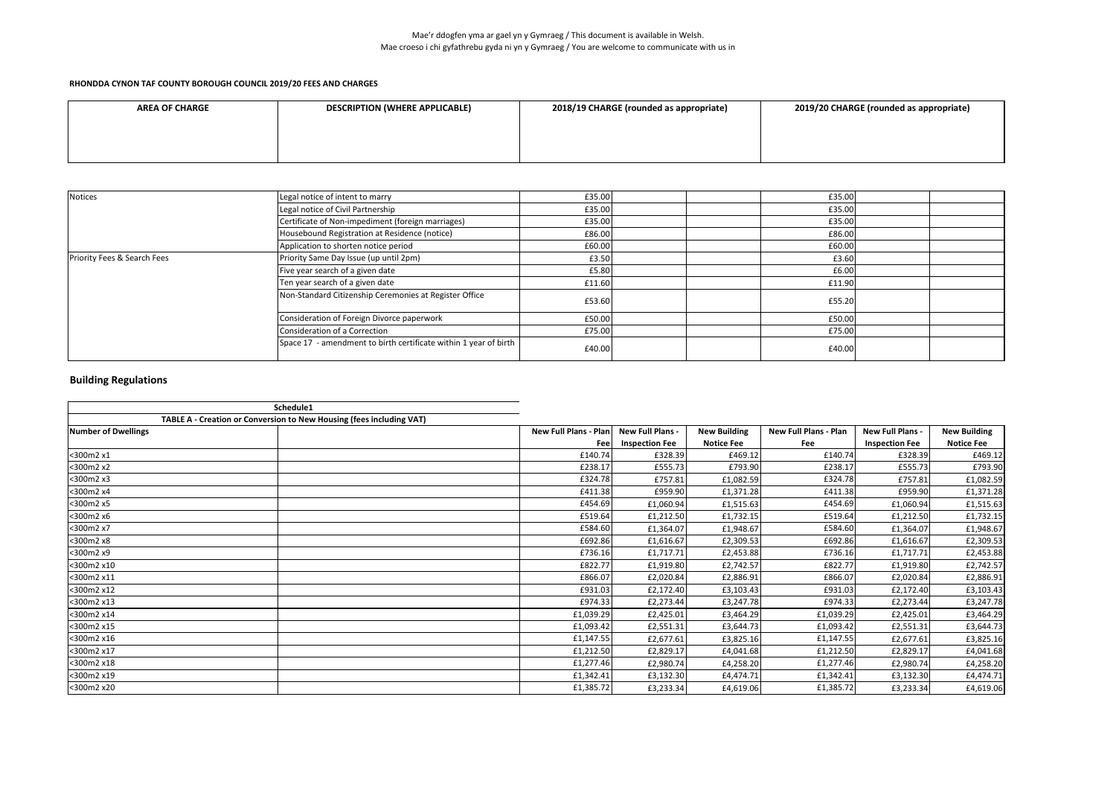### Mae'r ddogfen yma ar gael yn y Gymraeg / This document is available in Welsh. Mae croeso i chi gyfathrebu gyda ni yn y Gymraeg / You are welcome to communicate with us in

### **RHONDDA CYNON TAF COUNTY BOROUGH COUNCIL 2019/20 FEES AND CHARGES**

| <b>AREA OF CHARGE</b> | <b>DESCRIPTION (WHERE APPLICABLE)</b> | 2018/19 CHARGE (rounded as appropriate) | 2019/20 CHARGE (rounded as appropriate) |
|-----------------------|---------------------------------------|-----------------------------------------|-----------------------------------------|
|                       |                                       |                                         |                                         |
|                       |                                       |                                         |                                         |
|                       |                                       |                                         |                                         |

| <b>Notices</b>                         | Legal notice of intent to marry                                  | £35.00 |  | £35.00 |  |
|----------------------------------------|------------------------------------------------------------------|--------|--|--------|--|
|                                        | Legal notice of Civil Partnership                                | £35.00 |  | £35.00 |  |
|                                        | Certificate of Non-impediment (foreign marriages)                | £35.00 |  | £35.00 |  |
|                                        | Housebound Registration at Residence (notice)                    | £86.00 |  | £86.00 |  |
|                                        | Application to shorten notice period                             | £60.00 |  | £60.00 |  |
| <b>Priority Fees &amp; Search Fees</b> | Priority Same Day Issue (up until 2pm)                           | £3.50  |  | £3.60  |  |
|                                        | Five year search of a given date                                 | £5.80  |  | £6.00  |  |
|                                        | Ten year search of a given date                                  | £11.60 |  | £11.90 |  |
|                                        | Non-Standard Citizenship Ceremonies at Register Office           | £53.60 |  | £55.20 |  |
|                                        | Consideration of Foreign Divorce paperwork                       | £50.00 |  | £50.00 |  |
|                                        | Consideration of a Correction                                    | £75.00 |  | £75.00 |  |
|                                        | Space 17 - amendment to birth certificate within 1 year of birth | £40.00 |  | £40.00 |  |

|                            | Schedule1                                                            |           |                         |                     |                              |                       |                     |
|----------------------------|----------------------------------------------------------------------|-----------|-------------------------|---------------------|------------------------------|-----------------------|---------------------|
|                            | TABLE A - Creation or Conversion to New Housing (fees including VAT) |           |                         |                     |                              |                       |                     |
| <b>Number of Dwellings</b> | New Full Plans - Plan                                                |           | <b>New Full Plans -</b> | <b>New Building</b> | <b>New Full Plans - Plan</b> | New Full Plans -      | <b>New Building</b> |
|                            |                                                                      | Feel      | <b>Inspection Fee</b>   | <b>Notice Fee</b>   | Fee                          | <b>Inspection Fee</b> | <b>Notice Fee</b>   |
| <300m2 x1                  |                                                                      | £140.74   | £328.39                 | £469.12             | £140.74                      | £328.39               | £469.12             |
| <300m2 x2                  |                                                                      | £238.17   | £555.73                 | £793.90             | £238.17                      | £555.73               | £793.90             |
| <300m2 x3                  |                                                                      | £324.78   | £757.81                 | £1,082.59           | £324.78                      | £757.81               | £1,082.59           |
| <300m2 x4                  |                                                                      | £411.38   | £959.90                 | £1,371.28           | £411.38                      | £959.90               | £1,371.28           |
| <300m2 x5                  |                                                                      | £454.69   | £1,060.94               | £1,515.63           | £454.69                      | £1,060.94             | £1,515.63           |
| <300m2 x6                  |                                                                      | £519.64   | £1,212.50               | £1,732.15           | £519.64                      | £1,212.50             | £1,732.15           |
| <300m2 x7                  |                                                                      | £584.60   | £1,364.07               | £1,948.67           | £584.60                      | £1,364.07             | £1,948.67           |
| <300m2 x8                  |                                                                      | £692.86   | £1,616.67               | £2,309.53           | £692.86                      | £1,616.67             | £2,309.53           |
| <300m2 x9                  |                                                                      | £736.16   | £1,717.71               | £2,453.88           | £736.16                      | £1,717.71             | £2,453.88           |
| <300m2 x10                 |                                                                      | £822.77   | £1,919.80               | £2,742.57           | £822.77                      | £1,919.80             | £2,742.57           |
| <300m2 x11                 |                                                                      | £866.07   | £2,020.84               | £2,886.91           | £866.07                      | £2,020.84             | £2,886.91           |
| <300m2 x12                 |                                                                      | £931.03   | £2,172.40               | £3,103.43           | £931.03                      | £2,172.40             | £3,103.43           |
| <300m2 x13                 |                                                                      | £974.33   | £2,273.44               | £3,247.78           | £974.33                      | £2,273.44             | £3,247.78           |
| <300m2 x14                 |                                                                      | £1,039.29 | £2,425.01               | £3,464.29           | £1,039.29                    | £2,425.01             | £3,464.29           |
| <300m2 x15                 |                                                                      | £1,093.42 | £2,551.31               | £3,644.73           | £1,093.42                    | £2,551.31             | £3,644.73           |
| <300m2 x16                 |                                                                      | £1,147.55 | £2,677.61               | £3,825.16           | £1,147.55                    | £2,677.61             | £3,825.16           |
| <300m2 x17                 |                                                                      | £1,212.50 | £2,829.17               | £4,041.68           | £1,212.50                    | £2,829.17             | £4,041.68           |
| <300m2 x18                 |                                                                      | £1,277.46 | £2,980.74               | £4,258.20           | £1,277.46                    | £2,980.74             | £4,258.20           |
| <300m2 x19                 |                                                                      | £1,342.41 | £3,132.30               | £4,474.71           | £1,342.41                    | £3,132.30             | £4,474.71           |
| <300m2 x20                 |                                                                      | £1,385.72 | £3,233.34               | £4,619.06           | £1,385.72                    | £3,233.34             | £4,619.06           |

|  | 2019/20 CHARGE (rounded as appropriate) |
|--|-----------------------------------------|
|--|-----------------------------------------|

# **Building Regulations**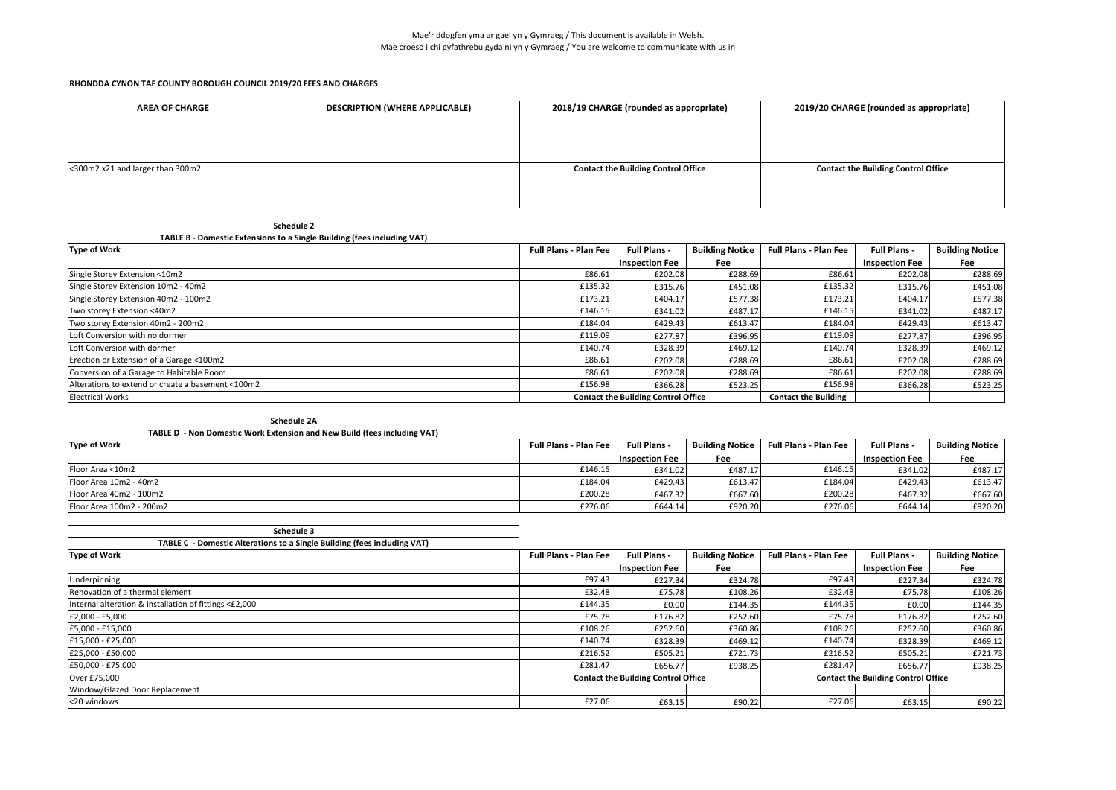| <b>DESCRIPTION (WHERE APPLICABLE)</b><br><b>AREA OF CHARGE</b> |  | 2018/19 CHARGE (rounded as appropriate)    | 2019/20 CHARGE (rounded as appropriate)    |
|----------------------------------------------------------------|--|--------------------------------------------|--------------------------------------------|
|                                                                |  |                                            |                                            |
|                                                                |  |                                            |                                            |
|                                                                |  |                                            |                                            |
| <300m2 x21 and larger than 300m2                               |  | <b>Contact the Building Control Office</b> | <b>Contact the Building Control Office</b> |
|                                                                |  |                                            |                                            |
|                                                                |  |                                            |                                            |

| <b>Schedule 2</b>                                                       |                               |                                            |                        |                              |                       |                        |
|-------------------------------------------------------------------------|-------------------------------|--------------------------------------------|------------------------|------------------------------|-----------------------|------------------------|
| TABLE B - Domestic Extensions to a Single Building (fees including VAT) |                               |                                            |                        |                              |                       |                        |
| Type of Work                                                            | <b>Full Plans - Plan Feel</b> | <b>Full Plans -</b>                        | <b>Building Notice</b> | <b>Full Plans - Plan Fee</b> | <b>Full Plans -</b>   | <b>Building Notice</b> |
|                                                                         |                               | <b>Inspection Fee</b>                      | Fee                    |                              | <b>Inspection Fee</b> | Fee                    |
| Single Storey Extension <10m2                                           | £86.61                        | £202.08                                    | £288.69                | £86.61                       | £202.08               | £288.69                |
| Single Storey Extension 10m2 - 40m2                                     | £135.32                       | £315.76                                    | £451.08                | £135.32                      | £315.76               | £451.08                |
| Single Storey Extension 40m2 - 100m2                                    | £173.21                       | £404.17                                    | £577.38                | £173.21                      | £404.17               | £577.38                |
| Two storey Extension <40m2                                              | £146.15                       | £341.02                                    | £487.17                | £146.15                      | £341.02               | £487.17                |
| Two storey Extension 40m2 - 200m2                                       | £184.04                       | £429.43                                    | £613.47                | £184.04                      | £429.43               | £613.47                |
| Loft Conversion with no dormer                                          | £119.09                       | £277.87                                    | £396.95                | £119.09                      | £277.87               | £396.95                |
| Loft Conversion with dormer                                             | £140.74                       | £328.39                                    | £469.12                | £140.74                      | £328.39               | £469.12                |
| Erection or Extension of a Garage <100m2                                | £86.61                        | £202.08                                    | £288.69                | £86.61                       | £202.08               | £288.69                |
| Conversion of a Garage to Habitable Room                                | £86.61                        | £202.08                                    | £288.69                | £86.61                       | £202.08               | £288.69                |
| Alterations to extend or create a basement <100m2                       | £156.98                       | £366.28                                    | £523.25                | £156.98                      | £366.28               | £523.25                |
| <b>Electrical Works</b>                                                 |                               | <b>Contact the Building Control Office</b> |                        | <b>Contact the Building</b>  |                       |                        |

|                          | <b>Schedule 2A</b>                                                       |                               |                       |                        |                              |                       |                        |
|--------------------------|--------------------------------------------------------------------------|-------------------------------|-----------------------|------------------------|------------------------------|-----------------------|------------------------|
|                          | TABLE D - Non Domestic Work Extension and New Build (fees including VAT) |                               |                       |                        |                              |                       |                        |
| <b>Type of Work</b>      |                                                                          | <b>Full Plans - Plan Feel</b> | <b>Full Plans -</b>   | <b>Building Notice</b> | <b>Full Plans - Plan Fee</b> | <b>Full Plans -</b>   | <b>Building Notice</b> |
|                          |                                                                          |                               | <b>Inspection Fee</b> | Fee                    |                              | <b>Inspection Fee</b> | Fee                    |
| Floor Area <10m2         |                                                                          | £146.15                       | £341.02               | £487.17                | £146.15                      | £341.02               | £487.17                |
| Floor Area 10m2 - 40m2   |                                                                          | £184.04                       | £429.43               | £613.47                | £184.04                      | £429.43               | £613.47                |
| Floor Area 40m2 - 100m2  |                                                                          | £200.28                       | £467.32               | £667.60                | £200.28                      | £467.32               | £667.60                |
| Floor Area 100m2 - 200m2 |                                                                          | £276.06                       | £644.14               | £920.20                | £276.06                      | £644.14               | £920.20                |

|                                                        | Schedule 3                                                               |                                            |                       |                        |                                            |                       |                        |
|--------------------------------------------------------|--------------------------------------------------------------------------|--------------------------------------------|-----------------------|------------------------|--------------------------------------------|-----------------------|------------------------|
|                                                        | TABLE C - Domestic Alterations to a Single Building (fees including VAT) |                                            |                       |                        |                                            |                       |                        |
| <b>Type of Work</b>                                    |                                                                          | <b>Full Plans - Plan Feel</b>              | <b>Full Plans -</b>   | <b>Building Notice</b> | <b>Full Plans - Plan Fee</b>               | <b>Full Plans -</b>   | <b>Building Notice</b> |
|                                                        |                                                                          |                                            | <b>Inspection Fee</b> | Fee                    |                                            | <b>Inspection Fee</b> | Fee                    |
| Underpinning                                           |                                                                          | £97.43                                     | £227.34               | £324.78                | £97.43                                     | £227.34               | £324.78                |
| Renovation of a thermal element                        |                                                                          | £32.48                                     | £75.78                | £108.26                | £32.48                                     | £75.78                | £108.26                |
| Internal alteration & installation of fittings <£2,000 |                                                                          | £144.35                                    | £0.00                 | £144.35                | £144.35                                    | £0.00                 | £144.35                |
| £2,000 - £5,000                                        |                                                                          | £75.78                                     | £176.82               | £252.60                | £75.78                                     | £176.82               | £252.60                |
| £5,000 - £15,000                                       |                                                                          | £108.26                                    | £252.60               | £360.86                | £108.26                                    | £252.60               | £360.86                |
| £15,000 - £25,000                                      |                                                                          | £140.74                                    | £328.39               | £469.12                | £140.74                                    | £328.39               | £469.12                |
| £25,000 - £50,000                                      |                                                                          | £216.52                                    | £505.21               | £721.73                | £216.52                                    | £505.21               | £721.73                |
| £50,000 - £75,000                                      |                                                                          | £281.47                                    | £656.77               | £938.25                | £281.47                                    | £656.77               | £938.25                |
| Over £75,000                                           |                                                                          | <b>Contact the Building Control Office</b> |                       |                        | <b>Contact the Building Control Office</b> |                       |                        |
| Window/Glazed Door Replacement                         |                                                                          |                                            |                       |                        |                                            |                       |                        |
| <20 windows                                            |                                                                          | £27.06                                     | £63.15                | £90.22                 | £27.06                                     | £63.15                | £90.22                 |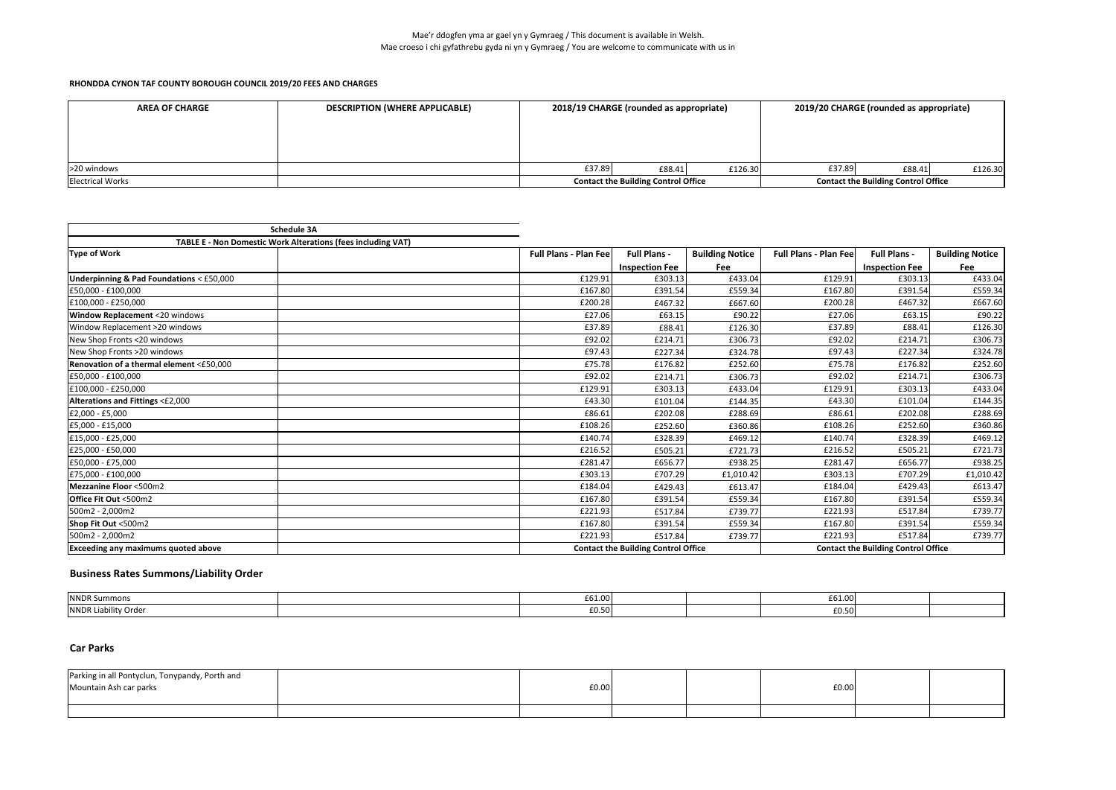| <b>AREA OF CHARGE</b>   | <b>DESCRIPTION (WHERE APPLICABLE)</b> | 2018/19 CHARGE (rounded as appropriate)    |        |         | 2019/20 CHARGE (rounded as appropriate)    |        |         |
|-------------------------|---------------------------------------|--------------------------------------------|--------|---------|--------------------------------------------|--------|---------|
|                         |                                       |                                            |        |         |                                            |        |         |
|                         |                                       |                                            |        |         |                                            |        |         |
|                         |                                       |                                            |        |         |                                            |        |         |
| >20 windows             |                                       | £37.89                                     | £88.41 | £126.30 | £37.89                                     | £88.41 | £126.30 |
| <b>Electrical Works</b> |                                       | <b>Contact the Building Control Office</b> |        |         | <b>Contact the Building Control Office</b> |        |         |

|                                                              | <b>Schedule 3A</b> |                              |                                            |                        |                              |                                            |                        |
|--------------------------------------------------------------|--------------------|------------------------------|--------------------------------------------|------------------------|------------------------------|--------------------------------------------|------------------------|
| TABLE E - Non Domestic Work Alterations (fees including VAT) |                    |                              |                                            |                        |                              |                                            |                        |
| Type of Work                                                 |                    | <b>Full Plans - Plan Fee</b> | <b>Full Plans -</b>                        | <b>Building Notice</b> | <b>Full Plans - Plan Fee</b> | <b>Full Plans -</b>                        | <b>Building Notice</b> |
|                                                              |                    |                              | <b>Inspection Fee</b>                      | Fee                    |                              | <b>Inspection Fee</b>                      | Fee                    |
| Underpinning & Pad Foundations < £50,000                     |                    | £129.91                      | £303.13                                    | £433.04                | £129.91                      | £303.13                                    | £433.04                |
| £50,000 - £100,000                                           |                    | £167.80                      | £391.54                                    | £559.34                | £167.80                      | £391.54                                    | £559.34                |
| £100,000 - £250,000                                          |                    | £200.28                      | £467.32                                    | £667.60                | £200.28                      | £467.32                                    | £667.60                |
| <b>Window Replacement &lt;20 windows</b>                     |                    | £27.06                       | £63.15                                     | £90.22                 | £27.06                       | £63.15                                     | £90.22                 |
| Window Replacement >20 windows                               |                    | £37.89                       | £88.41                                     | £126.30                | £37.89                       | £88.41                                     | £126.30                |
| New Shop Fronts <20 windows                                  |                    | £92.02                       | £214.71                                    | £306.73                | £92.02                       | £214.71                                    | £306.73                |
| New Shop Fronts >20 windows                                  |                    | £97.43                       | £227.34                                    | £324.78                | £97.43                       | £227.34                                    | £324.78                |
| Renovation of a thermal element <£50,000                     |                    | £75.78                       | £176.82                                    | £252.60                | £75.78                       | £176.82                                    | £252.60                |
| £50,000 - £100,000                                           |                    | £92.02                       | £214.71                                    | £306.73                | £92.02                       | £214.71                                    | £306.73                |
| £100,000 - £250,000                                          |                    | £129.91                      | £303.13                                    | £433.04                | £129.91                      | £303.13                                    | £433.04                |
| Alterations and Fittings <£2,000                             |                    | £43.30                       | £101.04                                    | £144.35                | £43.30                       | £101.04                                    | £144.35                |
| £2,000 - £5,000                                              |                    | £86.61                       | £202.08                                    | £288.69                | £86.61                       | £202.08                                    | £288.69                |
| £5,000 - £15,000                                             |                    | £108.26                      | £252.60                                    | £360.86                | £108.26                      | £252.60                                    | £360.86                |
| £15,000 - £25,000                                            |                    | £140.74                      | £328.39                                    | £469.12                | £140.74                      | £328.39                                    | £469.12                |
| £25,000 - £50,000                                            |                    | £216.52                      | £505.21                                    | £721.73                | £216.52                      | £505.21                                    | £721.73                |
| £50,000 - £75,000                                            |                    | £281.47                      | £656.77                                    | £938.25                | £281.47                      | £656.77                                    | £938.25                |
| £75,000 - £100,000                                           |                    | £303.13                      | £707.29                                    | £1,010.42              | £303.13                      | £707.29                                    | £1,010.42              |
| Mezzanine Floor <500m2                                       |                    | £184.04                      | £429.43                                    | £613.47                | £184.04                      | £429.43                                    | £613.47                |
| Office Fit Out <500m2                                        |                    | £167.80                      | £391.54                                    | £559.34                | £167.80                      | £391.54                                    | £559.34                |
| 500m2 - 2,000m2                                              |                    | £221.93                      | £517.84                                    | £739.77                | £221.93                      | £517.84                                    | £739.77                |
| Shop Fit Out <500m2                                          |                    | £167.80                      | £391.54                                    | £559.34                | £167.80                      | £391.54                                    | £559.34                |
| 500m2 - 2,000m2                                              |                    | £221.93                      | £517.84                                    | £739.77                | £221.93                      | £517.84                                    | £739.77                |
| <b>Exceeding any maximums quoted above</b>                   |                    |                              | <b>Contact the Building Control Office</b> |                        |                              | <b>Contact the Building Control Office</b> |                        |

| <b>NNDR Summons</b>   | LDT.OO              |  | LDI.UU. |  |
|-----------------------|---------------------|--|---------|--|
| <b>INNDRI</b><br>Orde | -- -<br>חי<br>∠∪.ว∪ |  | -ט.ט    |  |

## **Car Parks**

| Parking in all Pontyclun, Tonypandy, Porth and<br>Mountain Ash car parks | £0.00 |  | f0.00 |  |
|--------------------------------------------------------------------------|-------|--|-------|--|
|                                                                          |       |  |       |  |

# **Business Rates Summons/Liability Order**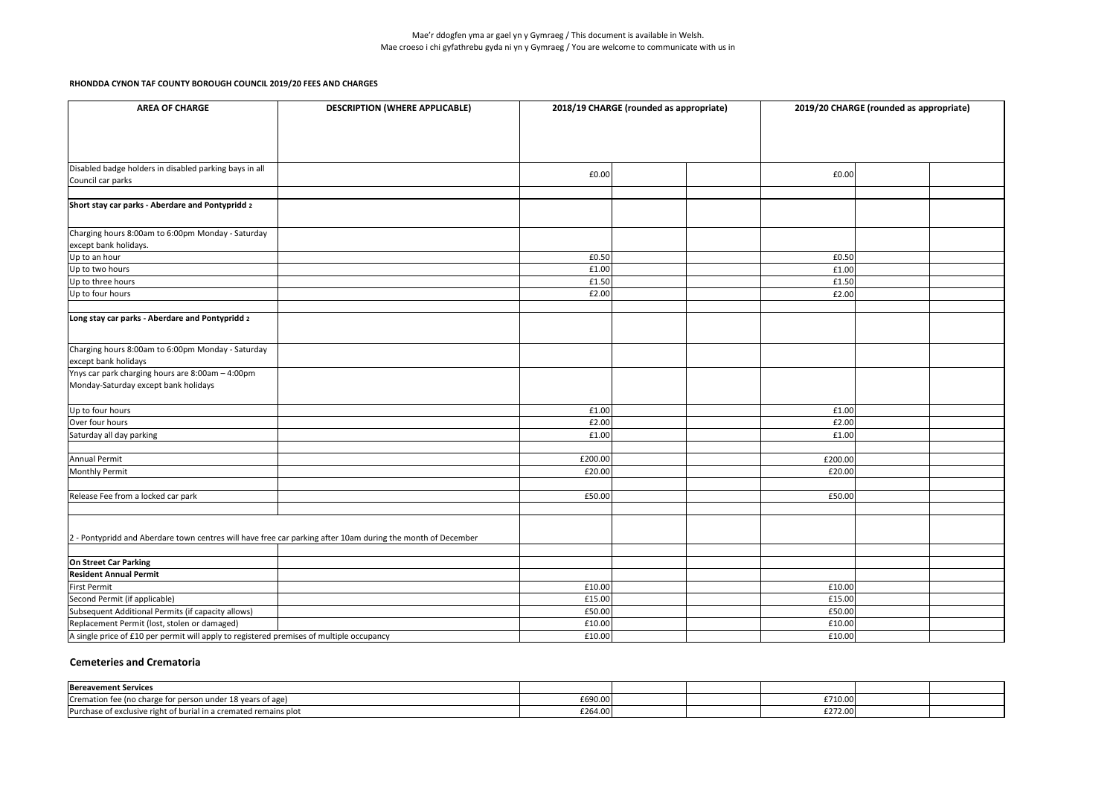Mae'r ddogfen yma ar gael yn y Gymraeg / This document is available in Welsh. Mae croeso i chi gyfathrebu gyda ni yn y Gymraeg / You are welcome to communicate with us in

**RHONDDA CYNON TAF COUNTY BOROUGH COUNCIL 2019/20 FEES AND CHARGES** 

| <b>AREA OF CHARGE</b>                                                                                       | <b>DESCRIPTION (WHERE APPLICABLE)</b> | 2018/19 CHARGE (rounded as appropriate) | 2019/20 CHARGE (rounded as appropriate) |  |  |
|-------------------------------------------------------------------------------------------------------------|---------------------------------------|-----------------------------------------|-----------------------------------------|--|--|
|                                                                                                             |                                       |                                         |                                         |  |  |
| Disabled badge holders in disabled parking bays in all                                                      |                                       |                                         |                                         |  |  |
| Council car parks                                                                                           |                                       | £0.00                                   | £0.00                                   |  |  |
|                                                                                                             |                                       |                                         |                                         |  |  |
| Short stay car parks - Aberdare and Pontypridd 2                                                            |                                       |                                         |                                         |  |  |
| Charging hours 8:00am to 6:00pm Monday - Saturday                                                           |                                       |                                         |                                         |  |  |
| except bank holidays.                                                                                       |                                       |                                         |                                         |  |  |
| Up to an hour                                                                                               |                                       | £0.50                                   | £0.50                                   |  |  |
| Up to two hours                                                                                             |                                       | £1.00                                   | £1.00                                   |  |  |
| Up to three hours                                                                                           |                                       | £1.50                                   | £1.50                                   |  |  |
| Up to four hours                                                                                            |                                       | £2.00                                   | £2.00                                   |  |  |
| Long stay car parks - Aberdare and Pontypridd 2                                                             |                                       |                                         |                                         |  |  |
| Charging hours 8:00am to 6:00pm Monday - Saturday<br>except bank holidays                                   |                                       |                                         |                                         |  |  |
| Ynys car park charging hours are 8:00am - 4:00pm                                                            |                                       |                                         |                                         |  |  |
| Monday-Saturday except bank holidays                                                                        |                                       |                                         |                                         |  |  |
| Up to four hours                                                                                            |                                       | £1.00                                   | £1.00                                   |  |  |
| Over four hours                                                                                             |                                       | £2.00                                   | £2.00                                   |  |  |
| Saturday all day parking                                                                                    |                                       | £1.00                                   | £1.00                                   |  |  |
|                                                                                                             |                                       |                                         |                                         |  |  |
| Annual Permit                                                                                               |                                       | £200.00                                 | £200.00                                 |  |  |
| Monthly Permit                                                                                              |                                       | £20.00                                  | £20.00                                  |  |  |
| Release Fee from a locked car park                                                                          |                                       | £50.00                                  | £50.00                                  |  |  |
|                                                                                                             |                                       |                                         |                                         |  |  |
| 2 - Pontypridd and Aberdare town centres will have free car parking after 10am during the month of December |                                       |                                         |                                         |  |  |
|                                                                                                             |                                       |                                         |                                         |  |  |
| On Street Car Parking<br><b>Resident Annual Permit</b>                                                      |                                       |                                         |                                         |  |  |
| First Permit                                                                                                |                                       | £10.00                                  | £10.00                                  |  |  |
| Second Permit (if applicable)                                                                               |                                       | £15.00                                  | £15.00                                  |  |  |
| Subsequent Additional Permits (if capacity allows)                                                          |                                       | £50.00                                  | £50.00                                  |  |  |
| Replacement Permit (lost, stolen or damaged)                                                                |                                       | £10.00                                  | £10.00                                  |  |  |
| A single price of £10 per permit will apply to registered premises of multiple occupancy                    |                                       | £10.00                                  | £10.00                                  |  |  |
|                                                                                                             |                                       |                                         |                                         |  |  |

### **Cemeteries and Crematoria**

| <b>Bereavement Services</b>                                            |         |  |                                               |  |
|------------------------------------------------------------------------|---------|--|-----------------------------------------------|--|
| Cremation fee (no charge for person under 18 years of age)             | £690.00 |  | £710.00                                       |  |
| Purchase of exclusive right of burial in a crema<br>iated remains plot | £264.00 |  | $\bullet \bullet \bullet \bullet$<br>£272.001 |  |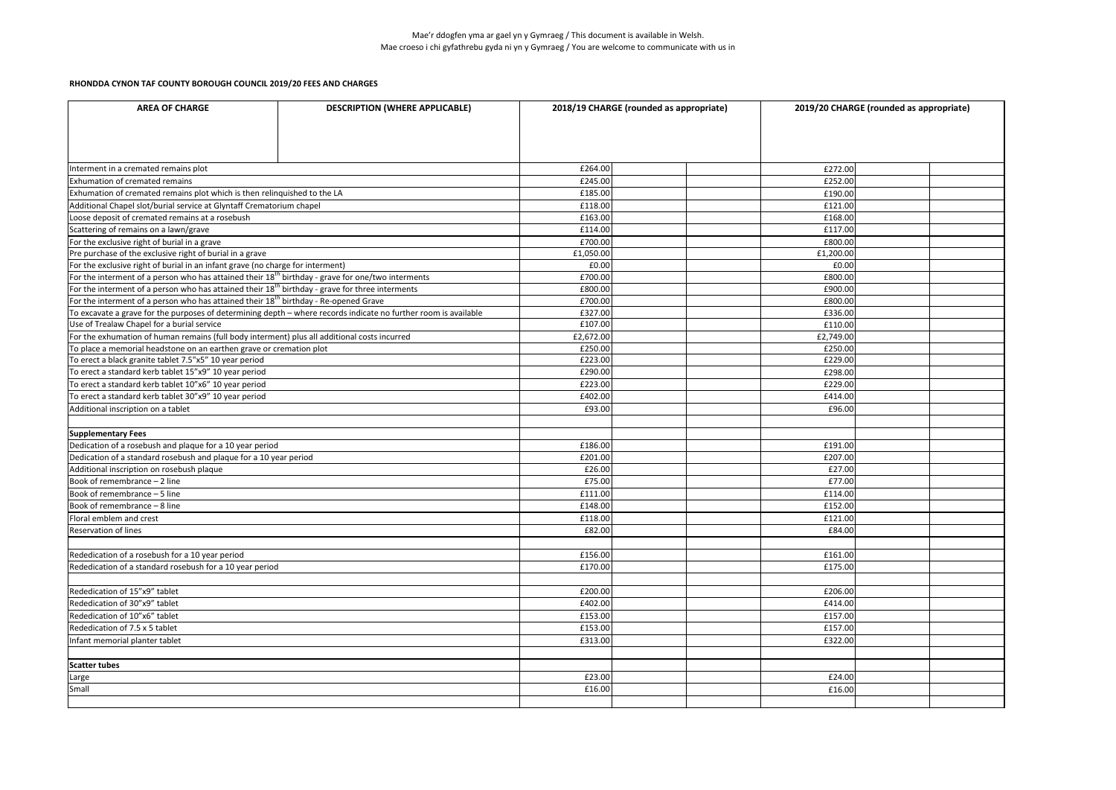|                                                                                                                 | <b>DESCRIPTION (WHERE APPLICABLE)</b><br><b>AREA OF CHARGE</b> |           | 2019/20 CHARGE (rounded as appropriate) |  |  |
|-----------------------------------------------------------------------------------------------------------------|----------------------------------------------------------------|-----------|-----------------------------------------|--|--|
|                                                                                                                 |                                                                |           |                                         |  |  |
| Interment in a cremated remains plot                                                                            |                                                                | £264.00   | £272.00                                 |  |  |
| <b>Exhumation of cremated remains</b>                                                                           |                                                                | £245.00   | £252.00                                 |  |  |
| Exhumation of cremated remains plot which is then relinquished to the LA                                        |                                                                | £185.00   | £190.00                                 |  |  |
| Additional Chapel slot/burial service at Glyntaff Crematorium chapel                                            |                                                                | £118.00   | £121.00                                 |  |  |
| Loose deposit of cremated remains at a rosebush                                                                 |                                                                | £163.00   | £168.00                                 |  |  |
| Scattering of remains on a lawn/grave                                                                           |                                                                | £114.00   | £117.00                                 |  |  |
| For the exclusive right of burial in a grave                                                                    |                                                                | £700.00   | £800.00                                 |  |  |
| Pre purchase of the exclusive right of burial in a grave                                                        |                                                                | £1,050.00 | £1,200.00                               |  |  |
| For the exclusive right of burial in an infant grave (no charge for interment)                                  |                                                                | £0.00     | £0.00                                   |  |  |
| For the interment of a person who has attained their $18th$ birthday - grave for one/two interments             |                                                                | £700.00   | £800.00                                 |  |  |
| For the interment of a person who has attained their $18th$ birthday - grave for three interments               |                                                                | £800.00   | £900.00                                 |  |  |
| For the interment of a person who has attained their $18th$ birthday - Re-opened Grave                          |                                                                | £700.00   | £800.00                                 |  |  |
| To excavate a grave for the purposes of determining depth – where records indicate no further room is available |                                                                | £327.00   | £336.00                                 |  |  |
| Use of Trealaw Chapel for a burial service                                                                      |                                                                | £107.00   | £110.00                                 |  |  |
| For the exhumation of human remains (full body interment) plus all additional costs incurred                    |                                                                | £2,672.00 | £2,749.00                               |  |  |
| To place a memorial headstone on an earthen grave or cremation plot                                             |                                                                | £250.00   | £250.00                                 |  |  |
| To erect a black granite tablet 7.5"x5" 10 year period                                                          |                                                                | £223.00   | £229.00                                 |  |  |
| To erect a standard kerb tablet 15"x9" 10 year period                                                           |                                                                | £290.00   | £298.00                                 |  |  |
| To erect a standard kerb tablet 10"x6" 10 year period                                                           |                                                                | £223.00   | £229.00                                 |  |  |
| To erect a standard kerb tablet 30"x9" 10 year period                                                           |                                                                | £402.00   | £414.00                                 |  |  |
| Additional inscription on a tablet                                                                              |                                                                | £93.00    | £96.00                                  |  |  |
|                                                                                                                 |                                                                |           |                                         |  |  |
| <b>Supplementary Fees</b>                                                                                       |                                                                |           |                                         |  |  |
| Dedication of a rosebush and plaque for a 10 year period                                                        |                                                                | £186.00   | £191.00                                 |  |  |
| Dedication of a standard rosebush and plaque for a 10 year period                                               |                                                                | £201.00   | £207.00                                 |  |  |
| Additional inscription on rosebush plaque                                                                       |                                                                | £26.00    | £27.00                                  |  |  |
| Book of remembrance $-2$ line                                                                                   |                                                                | £75.00    | £77.00                                  |  |  |
| Book of remembrance - 5 line                                                                                    |                                                                | £111.00   | £114.00                                 |  |  |
| Book of remembrance $-8$ line                                                                                   |                                                                | £148.00   | £152.00                                 |  |  |
| Floral emblem and crest                                                                                         |                                                                | £118.00   | £121.00                                 |  |  |
| <b>Reservation of lines</b>                                                                                     |                                                                | £82.00    | £84.00                                  |  |  |
|                                                                                                                 |                                                                |           |                                         |  |  |
| Rededication of a rosebush for a 10 year period                                                                 |                                                                | £156.00   | £161.00                                 |  |  |
| Rededication of a standard rosebush for a 10 year period                                                        |                                                                | £170.00   | £175.00                                 |  |  |
|                                                                                                                 |                                                                |           |                                         |  |  |
| Rededication of 15"x9" tablet                                                                                   |                                                                | £200.00   | £206.00                                 |  |  |
| Rededication of 30"x9" tablet                                                                                   |                                                                | £402.00   | £414.00                                 |  |  |
| Rededication of 10"x6" tablet                                                                                   |                                                                | £153.00   | £157.00                                 |  |  |
| Rededication of 7.5 x 5 tablet                                                                                  |                                                                | £153.00   | £157.00                                 |  |  |
| Infant memorial planter tablet                                                                                  |                                                                | £313.00   | £322.00                                 |  |  |
|                                                                                                                 |                                                                |           |                                         |  |  |
| Scatter tubes                                                                                                   |                                                                |           |                                         |  |  |
|                                                                                                                 |                                                                | £23.00    | £24.00                                  |  |  |
|                                                                                                                 |                                                                |           |                                         |  |  |
| Large<br>Small                                                                                                  |                                                                | £16.00    | £16.00                                  |  |  |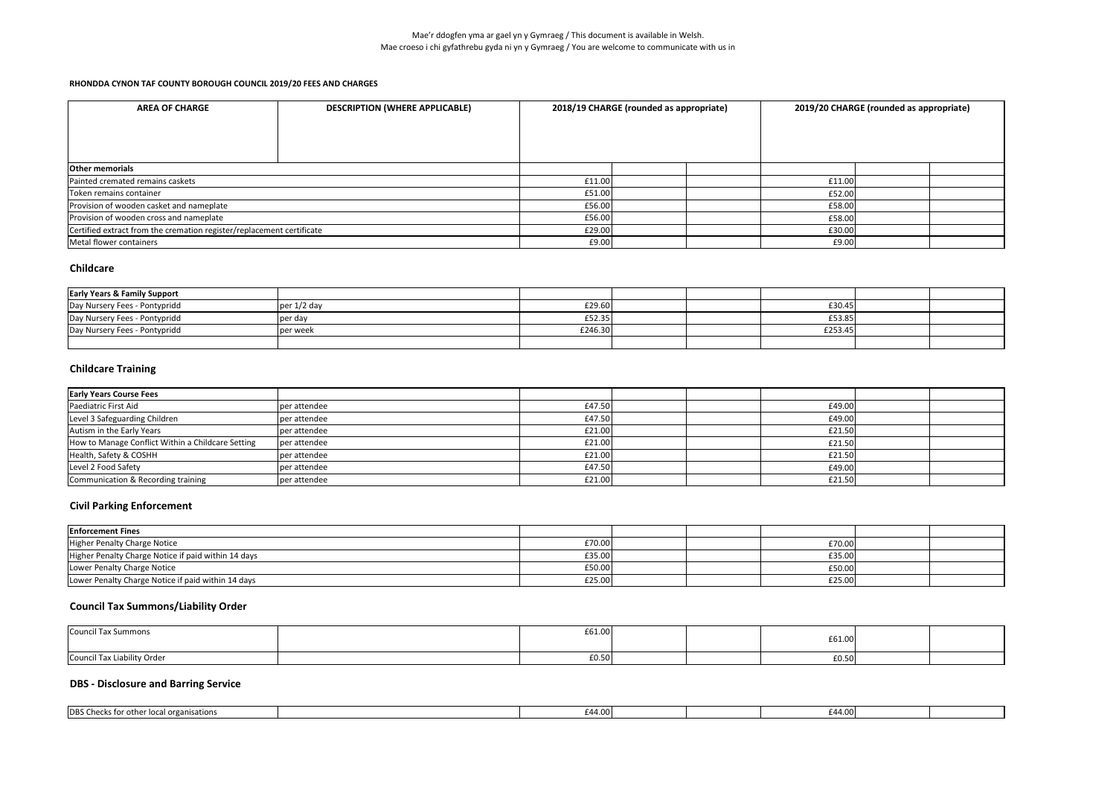# **Childcare**

| <b>Early Years &amp; Family Support</b> |               |         |         |  |
|-----------------------------------------|---------------|---------|---------|--|
| Day Nursery Fees - Pontypridd           | per $1/2$ day | £29.60  | £30.45  |  |
| Day Nursery Fees - Pontypridd           | per day       | £52.35  | £53.85  |  |
| Day Nursery Fees - Pontypridd           | per week      | £246.30 | £253.45 |  |
|                                         |               |         |         |  |

## **Childcare Training**

| <b>Early Years Course Fees</b>                    |              |        |  |        |  |
|---------------------------------------------------|--------------|--------|--|--------|--|
| Paediatric First Aid                              | per attendee | £47.50 |  | £49.00 |  |
| Level 3 Safeguarding Children                     | per attendee | £47.50 |  | £49.00 |  |
| Autism in the Early Years                         | per attendee | £21.00 |  | £21.50 |  |
| How to Manage Conflict Within a Childcare Setting | per attendee | £21.00 |  | £21.50 |  |
| Health, Safety & COSHH                            | per attendee | £21.00 |  | £21.50 |  |
| Level 2 Food Safety                               | per attendee | £47.50 |  | £49.00 |  |
| Communication & Recording training                | per attendee | £21.00 |  | £21.50 |  |

| <b>DESCRIPTION (WHERE APPLICABLE)</b><br><b>AREA OF CHARGE</b>        |  | 2018/19 CHARGE (rounded as appropriate) |  |  | 2019/20 CHARGE (rounded as appropriate) |  |  |
|-----------------------------------------------------------------------|--|-----------------------------------------|--|--|-----------------------------------------|--|--|
| <b>Other memorials</b>                                                |  |                                         |  |  |                                         |  |  |
| Painted cremated remains caskets                                      |  | £11.00                                  |  |  | £11.00                                  |  |  |
| Token remains container                                               |  | £51.00                                  |  |  | £52.00                                  |  |  |
| Provision of wooden casket and nameplate                              |  | £56.00                                  |  |  | £58.00                                  |  |  |
| Provision of wooden cross and nameplate                               |  | £56.00                                  |  |  | £58.00                                  |  |  |
| Certified extract from the cremation register/replacement certificate |  | £29.00                                  |  |  | £30.00                                  |  |  |
| Metal flower containers                                               |  | £9.00                                   |  |  | £9.00                                   |  |  |

## **Civil Parking Enforcement**

## **Council Tax Summons/Liability Order**

| Council Tax Summons         | £61.00 |  | £61.00 |  |
|-----------------------------|--------|--|--------|--|
| Council Tax Liability Order | £0.50  |  | f0.50  |  |

## **DBS - Disclosure and Barring Service**

| <b>DBS Checks for</b><br>local organisations '<br>- JUIT |  |  |  |  |
|----------------------------------------------------------|--|--|--|--|
|                                                          |  |  |  |  |

| <b>Enforcement Fines</b>                            |        |  |        |  |
|-----------------------------------------------------|--------|--|--------|--|
| Higher Penalty Charge Notice                        | £70.00 |  | £70.00 |  |
| Higher Penalty Charge Notice if paid within 14 days | £35.00 |  | £35.00 |  |
| Lower Penalty Charge Notice                         | £50.00 |  | £50.00 |  |
| Lower Penalty Charge Notice if paid within 14 days  | £25.00 |  | £25.00 |  |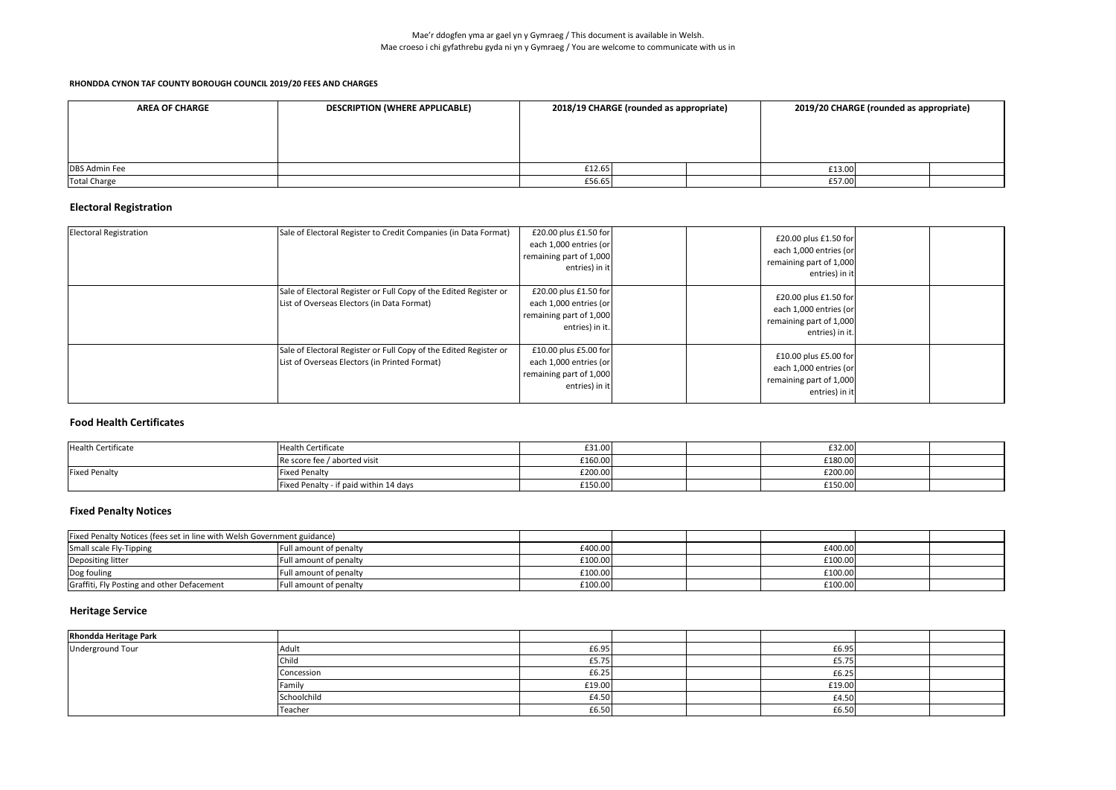| <b>AREA OF CHARGE</b> | <b>DESCRIPTION (WHERE APPLICABLE)</b> | 2018/19 CHARGE (rounded as appropriate) |  | 2019/20 CHARGE (rounded as appropriate) |  |  |
|-----------------------|---------------------------------------|-----------------------------------------|--|-----------------------------------------|--|--|
|                       |                                       |                                         |  |                                         |  |  |
|                       |                                       |                                         |  |                                         |  |  |
|                       |                                       |                                         |  |                                         |  |  |
| <b>DBS Admin Fee</b>  |                                       | £12.65                                  |  | £13.00                                  |  |  |
| Total Charge          |                                       | £56.65                                  |  | £57.00                                  |  |  |

## **Electoral Registration**

| <b>Electoral Registration</b> | Sale of Electoral Register to Credit Companies (in Data Format)                                                    | £20.00 plus £1.50 for<br>each 1,000 entries (or<br>remaining part of 1,000<br>entries) in it  | £20.00 plus £1.50 for<br>each 1,000 entries (or<br>remaining part of 1,000<br>entries) in it  |  |
|-------------------------------|--------------------------------------------------------------------------------------------------------------------|-----------------------------------------------------------------------------------------------|-----------------------------------------------------------------------------------------------|--|
|                               | Sale of Electoral Register or Full Copy of the Edited Register or<br>List of Overseas Electors (in Data Format)    | £20.00 plus £1.50 for<br>each 1,000 entries (or<br>remaining part of 1,000<br>entries) in it. | £20.00 plus £1.50 for<br>each 1,000 entries (or<br>remaining part of 1,000<br>entries) in it. |  |
|                               | Sale of Electoral Register or Full Copy of the Edited Register or<br>List of Overseas Electors (in Printed Format) | £10.00 plus £5.00 for<br>each 1,000 entries (or<br>remaining part of 1,000<br>entries) in it  | £10.00 plus £5.00 for<br>each 1,000 entries (or<br>remaining part of 1,000<br>entries) in it  |  |

### **Food Health Certificates**

| <b>Health Certificate</b> | <b>Health Certificate</b>              | £31.00  | £32.00  |  |
|---------------------------|----------------------------------------|---------|---------|--|
|                           | Re score fee / aborted visit           | £160.00 | £180.00 |  |
| <b>Fixed Penalty</b>      | <b>Fixed Penalty</b>                   | £200.00 | £200.00 |  |
|                           | Fixed Penalty - if paid within 14 days | £150.00 | £150.00 |  |

| <b>Fixed Penalty Notices (fees set in line with Welsh Government guidance)</b> |                               |         |  |         |  |
|--------------------------------------------------------------------------------|-------------------------------|---------|--|---------|--|
| Small scale Fly-Tipping                                                        | <b>Full amount of penalty</b> | £400.00 |  | £400.00 |  |
| Depositing litter                                                              | Full amount of penalty        | £100.00 |  | £100.00 |  |
| Dog fouling                                                                    | Full amount of penalty        | £100.00 |  | £100.00 |  |
| Graffiti, Fly Posting and other Defacement                                     | <b>Full amount of penalty</b> | £100.00 |  | £100.00 |  |

# **Heritage Service**

| <b>Rhondda Heritage Park</b> |             |        |        |  |
|------------------------------|-------------|--------|--------|--|
| Underground Tour             | Adult       | £6.95  | £6.95  |  |
|                              | Child       | £5.75  | £5.75  |  |
|                              | Concession  | £6.25  | £6.25  |  |
|                              | Family      | £19.00 | £19.00 |  |
|                              | Schoolchild | £4.50  | £4.50  |  |
|                              | Teacher     | £6.50  | £6.50  |  |

# **Fixed Penalty Notices**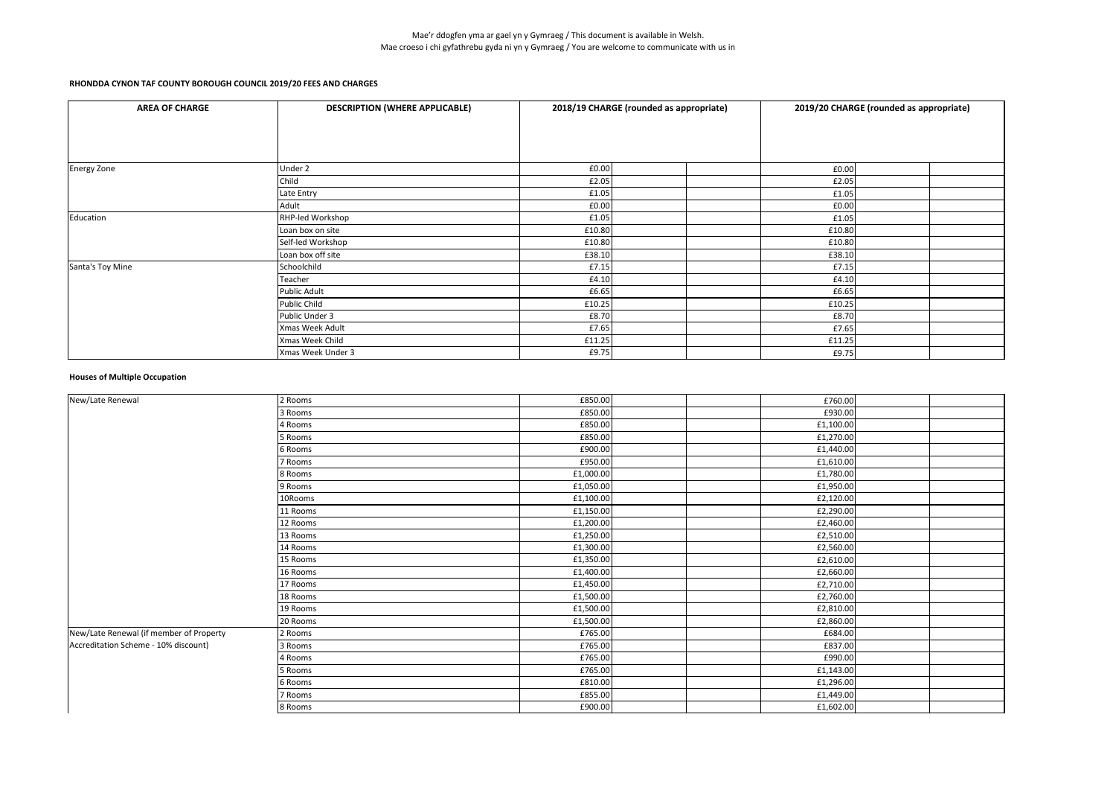#### **Houses of Multiple Occupation**

| <b>AREA OF CHARGE</b> | <b>DESCRIPTION (WHERE APPLICABLE)</b> | 2018/19 CHARGE (rounded as appropriate) |        | 2019/20 CHARGE (rounded as appropriate) |  |
|-----------------------|---------------------------------------|-----------------------------------------|--------|-----------------------------------------|--|
|                       |                                       |                                         |        |                                         |  |
|                       |                                       |                                         |        |                                         |  |
|                       |                                       |                                         |        |                                         |  |
| <b>Energy Zone</b>    | Under 2                               | £0.00                                   | £0.00  |                                         |  |
|                       | Child                                 | £2.05                                   | £2.05  |                                         |  |
|                       | Late Entry                            | £1.05                                   | £1.05  |                                         |  |
|                       | Adult                                 | £0.00                                   | £0.00  |                                         |  |
| Education             | RHP-led Workshop                      | £1.05                                   | £1.05  |                                         |  |
|                       | Loan box on site                      | £10.80                                  | £10.80 |                                         |  |
|                       | Self-led Workshop                     | £10.80                                  | £10.80 |                                         |  |
|                       | Loan box off site                     | £38.10                                  | £38.10 |                                         |  |
| Santa's Toy Mine      | Schoolchild                           | £7.15                                   | £7.15  |                                         |  |
|                       | Teacher                               | £4.10                                   | £4.10  |                                         |  |
|                       | <b>Public Adult</b>                   | £6.65                                   | £6.65  |                                         |  |
|                       | <b>Public Child</b>                   | £10.25                                  | £10.25 |                                         |  |
|                       | Public Under 3                        | £8.70                                   | £8.70  |                                         |  |
|                       | Xmas Week Adult                       | £7.65                                   | £7.65  |                                         |  |
|                       | Xmas Week Child                       | £11.25                                  | £11.25 |                                         |  |
|                       | Xmas Week Under 3                     | £9.75                                   | £9.75  |                                         |  |

| £850.00<br>2 Rooms<br>£760.00<br>£930.00<br>£850.00<br>3 Rooms<br>£850.00<br>£1,100.00<br>4 Rooms<br>£850.00<br>£1,270.00<br>5 Rooms<br>£900.00<br>6 Rooms<br>£1,440.00<br>£950.00<br>7 Rooms<br>£1,610.00<br>8 Rooms<br>£1,000.00<br>£1,780.00<br>9 Rooms<br>£1,050.00<br>£1,950.00<br>£1,100.00<br>10Rooms<br>£2,120.00<br>£1,150.00<br>£2,290.00<br>11 Rooms<br>£1,200.00<br>12 Rooms<br>£2,460.00<br>13 Rooms<br>£1,250.00<br>£2,510.00<br>£1,300.00<br>14 Rooms<br>£2,560.00<br>15 Rooms<br>£1,350.00<br>£2,610.00<br>£1,400.00<br>16 Rooms<br>£2,660.00<br>17 Rooms<br>£1,450.00<br>£2,710.00<br>18 Rooms<br>£1,500.00<br>£2,760.00<br>19 Rooms<br>£1,500.00<br>£2,810.00<br>20 Rooms<br>£1,500.00<br>£2,860.00<br>£684.00<br>2 Rooms<br>£765.00<br>£765.00<br>£837.00<br>3 Rooms<br>£765.00<br>4 Rooms<br>£990.00<br>£765.00<br>5 Rooms<br>£1,143.00<br>£810.00<br>£1,296.00<br>6 Rooms<br>£855.00<br>£1,449.00<br>7 Rooms<br>£900.00<br>8 Rooms<br>£1,602.00 |                                         |  |  |
|----------------------------------------------------------------------------------------------------------------------------------------------------------------------------------------------------------------------------------------------------------------------------------------------------------------------------------------------------------------------------------------------------------------------------------------------------------------------------------------------------------------------------------------------------------------------------------------------------------------------------------------------------------------------------------------------------------------------------------------------------------------------------------------------------------------------------------------------------------------------------------------------------------------------------------------------------------------------|-----------------------------------------|--|--|
|                                                                                                                                                                                                                                                                                                                                                                                                                                                                                                                                                                                                                                                                                                                                                                                                                                                                                                                                                                      | New/Late Renewal                        |  |  |
|                                                                                                                                                                                                                                                                                                                                                                                                                                                                                                                                                                                                                                                                                                                                                                                                                                                                                                                                                                      |                                         |  |  |
|                                                                                                                                                                                                                                                                                                                                                                                                                                                                                                                                                                                                                                                                                                                                                                                                                                                                                                                                                                      |                                         |  |  |
|                                                                                                                                                                                                                                                                                                                                                                                                                                                                                                                                                                                                                                                                                                                                                                                                                                                                                                                                                                      |                                         |  |  |
|                                                                                                                                                                                                                                                                                                                                                                                                                                                                                                                                                                                                                                                                                                                                                                                                                                                                                                                                                                      |                                         |  |  |
|                                                                                                                                                                                                                                                                                                                                                                                                                                                                                                                                                                                                                                                                                                                                                                                                                                                                                                                                                                      |                                         |  |  |
|                                                                                                                                                                                                                                                                                                                                                                                                                                                                                                                                                                                                                                                                                                                                                                                                                                                                                                                                                                      |                                         |  |  |
|                                                                                                                                                                                                                                                                                                                                                                                                                                                                                                                                                                                                                                                                                                                                                                                                                                                                                                                                                                      |                                         |  |  |
|                                                                                                                                                                                                                                                                                                                                                                                                                                                                                                                                                                                                                                                                                                                                                                                                                                                                                                                                                                      |                                         |  |  |
|                                                                                                                                                                                                                                                                                                                                                                                                                                                                                                                                                                                                                                                                                                                                                                                                                                                                                                                                                                      |                                         |  |  |
|                                                                                                                                                                                                                                                                                                                                                                                                                                                                                                                                                                                                                                                                                                                                                                                                                                                                                                                                                                      |                                         |  |  |
|                                                                                                                                                                                                                                                                                                                                                                                                                                                                                                                                                                                                                                                                                                                                                                                                                                                                                                                                                                      |                                         |  |  |
|                                                                                                                                                                                                                                                                                                                                                                                                                                                                                                                                                                                                                                                                                                                                                                                                                                                                                                                                                                      |                                         |  |  |
|                                                                                                                                                                                                                                                                                                                                                                                                                                                                                                                                                                                                                                                                                                                                                                                                                                                                                                                                                                      |                                         |  |  |
|                                                                                                                                                                                                                                                                                                                                                                                                                                                                                                                                                                                                                                                                                                                                                                                                                                                                                                                                                                      |                                         |  |  |
|                                                                                                                                                                                                                                                                                                                                                                                                                                                                                                                                                                                                                                                                                                                                                                                                                                                                                                                                                                      |                                         |  |  |
|                                                                                                                                                                                                                                                                                                                                                                                                                                                                                                                                                                                                                                                                                                                                                                                                                                                                                                                                                                      |                                         |  |  |
|                                                                                                                                                                                                                                                                                                                                                                                                                                                                                                                                                                                                                                                                                                                                                                                                                                                                                                                                                                      |                                         |  |  |
|                                                                                                                                                                                                                                                                                                                                                                                                                                                                                                                                                                                                                                                                                                                                                                                                                                                                                                                                                                      |                                         |  |  |
|                                                                                                                                                                                                                                                                                                                                                                                                                                                                                                                                                                                                                                                                                                                                                                                                                                                                                                                                                                      | New/Late Renewal (if member of Property |  |  |
|                                                                                                                                                                                                                                                                                                                                                                                                                                                                                                                                                                                                                                                                                                                                                                                                                                                                                                                                                                      | Accreditation Scheme - 10% discount)    |  |  |
|                                                                                                                                                                                                                                                                                                                                                                                                                                                                                                                                                                                                                                                                                                                                                                                                                                                                                                                                                                      |                                         |  |  |
|                                                                                                                                                                                                                                                                                                                                                                                                                                                                                                                                                                                                                                                                                                                                                                                                                                                                                                                                                                      |                                         |  |  |
|                                                                                                                                                                                                                                                                                                                                                                                                                                                                                                                                                                                                                                                                                                                                                                                                                                                                                                                                                                      |                                         |  |  |
|                                                                                                                                                                                                                                                                                                                                                                                                                                                                                                                                                                                                                                                                                                                                                                                                                                                                                                                                                                      |                                         |  |  |
|                                                                                                                                                                                                                                                                                                                                                                                                                                                                                                                                                                                                                                                                                                                                                                                                                                                                                                                                                                      |                                         |  |  |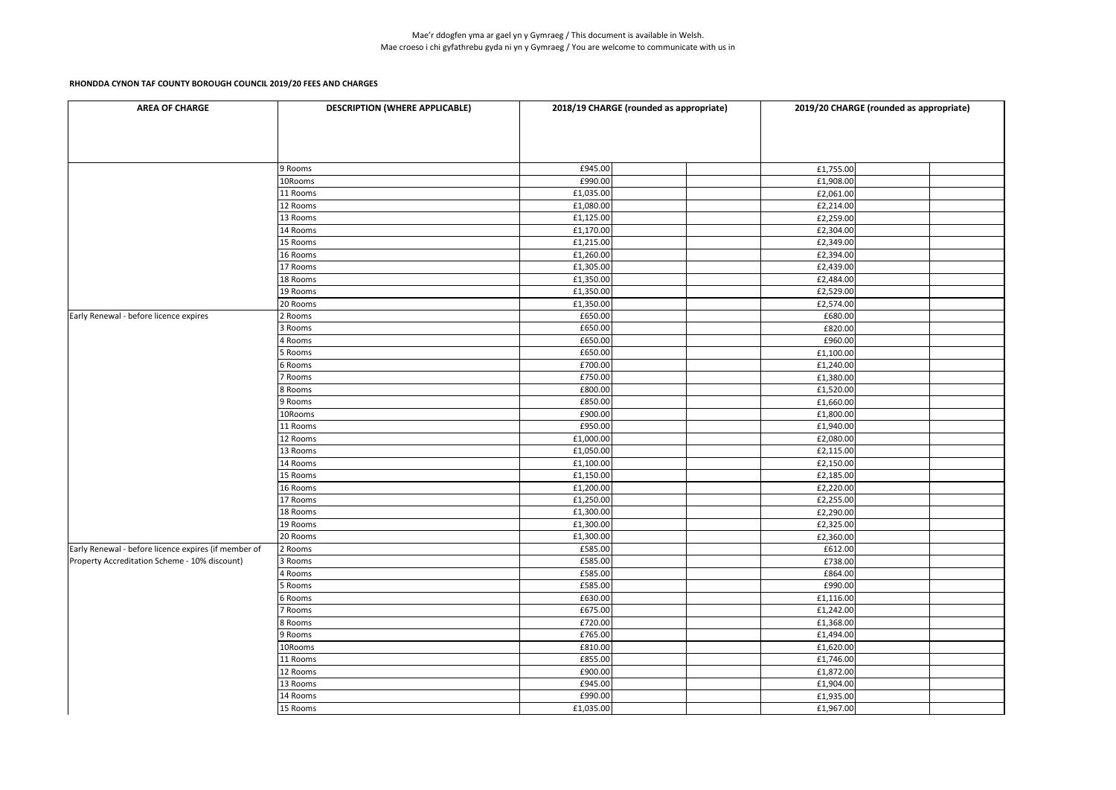| £945.00<br>£1,755.00<br>9 Rooms<br>£990.00<br>10Rooms<br>£1,908.00<br>£1,035.00<br>11 Rooms<br>£2,061.00<br>£1,080.00<br>12 Rooms<br>£2,214.00<br>£1,125.00<br>£2,259.00<br>13 Rooms<br>£1,170.00<br>14 Rooms<br>£2,304.00<br>15 Rooms<br>£1,215.00<br>£2,349.00<br>£1,260.00<br>£2,394.00<br>16 Rooms<br>£1,305.00<br>£2,439.00<br>17 Rooms<br>£1,350.00<br>18 Rooms<br>£2,484.00<br>£1,350.00<br>19 Rooms<br>£2,529.00<br>£2,574.00<br>20 Rooms<br>£1,350.00<br>£650.00<br>£680.00<br>2 Rooms<br>£650.00<br>3 Rooms<br>£820.00<br>£650.00<br>£960.00<br>4 Rooms<br>£650.00<br>£1,100.00<br>5 Rooms<br>£700.00<br>£1,240.00<br>6 Rooms<br>£750.00<br>£1,380.00<br>7 Rooms<br>£800.00<br>£1,520.00<br>8 Rooms<br>£850.00<br>£1,660.00<br>9 Rooms<br>£900.00<br>£1,800.00<br>10Rooms<br>£950.00<br>11 Rooms<br>£1,940.00<br>12 Rooms<br>£1,000.00<br>£2,080.00<br>13 Rooms<br>£1,050.00<br>£2,115.00<br>£1,100.00<br>£2,150.00<br>14 Rooms<br>£1,150.00<br>£2,185.00<br>15 Rooms<br>16 Rooms<br>£1,200.00<br>£2,220.00<br>£1,250.00<br>£2,255.00<br>17 Rooms<br>£1,300.00<br>£2,290.00<br>18 Rooms<br>£1,300.00<br>£2,325.00<br>19 Rooms<br>£1,300.00<br>20 Rooms<br>£2,360.00<br>£585.00<br>2 Rooms<br>£612.00<br>£585.00<br>£738.00<br>3 Rooms<br>£864.00<br>£585.00<br>4 Rooms<br>£585.00<br>£990.00<br>5 Rooms<br>£630.00<br>6 Rooms<br>£1,116.00<br>£675.00<br>£1,242.00<br>7 Rooms<br>£720.00<br>£1,368.00<br>8 Rooms<br>£765.00<br>9 Rooms<br>£1,494.00<br>£810.00<br>10Rooms<br>£1,620.00<br>£855.00<br>£1,746.00<br>11 Rooms<br>£900.00<br>£1,872.00<br>12 Rooms<br>£945.00<br>13 Rooms<br>£1,904.00<br>£990.00<br>14 Rooms<br>£1,935.00<br>£1,035.00<br>15 Rooms<br>£1,967.00 | <b>AREA OF CHARGE</b>                                | <b>DESCRIPTION (WHERE APPLICABLE)</b> | 2018/19 CHARGE (rounded as appropriate) | 2019/20 CHARGE (rounded as appropriate) |
|----------------------------------------------------------------------------------------------------------------------------------------------------------------------------------------------------------------------------------------------------------------------------------------------------------------------------------------------------------------------------------------------------------------------------------------------------------------------------------------------------------------------------------------------------------------------------------------------------------------------------------------------------------------------------------------------------------------------------------------------------------------------------------------------------------------------------------------------------------------------------------------------------------------------------------------------------------------------------------------------------------------------------------------------------------------------------------------------------------------------------------------------------------------------------------------------------------------------------------------------------------------------------------------------------------------------------------------------------------------------------------------------------------------------------------------------------------------------------------------------------------------------------------------------------------------------------------------------------------------------------------------------------------------------------------------|------------------------------------------------------|---------------------------------------|-----------------------------------------|-----------------------------------------|
|                                                                                                                                                                                                                                                                                                                                                                                                                                                                                                                                                                                                                                                                                                                                                                                                                                                                                                                                                                                                                                                                                                                                                                                                                                                                                                                                                                                                                                                                                                                                                                                                                                                                                        |                                                      |                                       |                                         |                                         |
|                                                                                                                                                                                                                                                                                                                                                                                                                                                                                                                                                                                                                                                                                                                                                                                                                                                                                                                                                                                                                                                                                                                                                                                                                                                                                                                                                                                                                                                                                                                                                                                                                                                                                        |                                                      |                                       |                                         |                                         |
|                                                                                                                                                                                                                                                                                                                                                                                                                                                                                                                                                                                                                                                                                                                                                                                                                                                                                                                                                                                                                                                                                                                                                                                                                                                                                                                                                                                                                                                                                                                                                                                                                                                                                        |                                                      |                                       |                                         |                                         |
|                                                                                                                                                                                                                                                                                                                                                                                                                                                                                                                                                                                                                                                                                                                                                                                                                                                                                                                                                                                                                                                                                                                                                                                                                                                                                                                                                                                                                                                                                                                                                                                                                                                                                        |                                                      |                                       |                                         |                                         |
|                                                                                                                                                                                                                                                                                                                                                                                                                                                                                                                                                                                                                                                                                                                                                                                                                                                                                                                                                                                                                                                                                                                                                                                                                                                                                                                                                                                                                                                                                                                                                                                                                                                                                        |                                                      |                                       |                                         |                                         |
|                                                                                                                                                                                                                                                                                                                                                                                                                                                                                                                                                                                                                                                                                                                                                                                                                                                                                                                                                                                                                                                                                                                                                                                                                                                                                                                                                                                                                                                                                                                                                                                                                                                                                        |                                                      |                                       |                                         |                                         |
|                                                                                                                                                                                                                                                                                                                                                                                                                                                                                                                                                                                                                                                                                                                                                                                                                                                                                                                                                                                                                                                                                                                                                                                                                                                                                                                                                                                                                                                                                                                                                                                                                                                                                        |                                                      |                                       |                                         |                                         |
|                                                                                                                                                                                                                                                                                                                                                                                                                                                                                                                                                                                                                                                                                                                                                                                                                                                                                                                                                                                                                                                                                                                                                                                                                                                                                                                                                                                                                                                                                                                                                                                                                                                                                        |                                                      |                                       |                                         |                                         |
|                                                                                                                                                                                                                                                                                                                                                                                                                                                                                                                                                                                                                                                                                                                                                                                                                                                                                                                                                                                                                                                                                                                                                                                                                                                                                                                                                                                                                                                                                                                                                                                                                                                                                        |                                                      |                                       |                                         |                                         |
|                                                                                                                                                                                                                                                                                                                                                                                                                                                                                                                                                                                                                                                                                                                                                                                                                                                                                                                                                                                                                                                                                                                                                                                                                                                                                                                                                                                                                                                                                                                                                                                                                                                                                        |                                                      |                                       |                                         |                                         |
|                                                                                                                                                                                                                                                                                                                                                                                                                                                                                                                                                                                                                                                                                                                                                                                                                                                                                                                                                                                                                                                                                                                                                                                                                                                                                                                                                                                                                                                                                                                                                                                                                                                                                        |                                                      |                                       |                                         |                                         |
|                                                                                                                                                                                                                                                                                                                                                                                                                                                                                                                                                                                                                                                                                                                                                                                                                                                                                                                                                                                                                                                                                                                                                                                                                                                                                                                                                                                                                                                                                                                                                                                                                                                                                        |                                                      |                                       |                                         |                                         |
|                                                                                                                                                                                                                                                                                                                                                                                                                                                                                                                                                                                                                                                                                                                                                                                                                                                                                                                                                                                                                                                                                                                                                                                                                                                                                                                                                                                                                                                                                                                                                                                                                                                                                        |                                                      |                                       |                                         |                                         |
|                                                                                                                                                                                                                                                                                                                                                                                                                                                                                                                                                                                                                                                                                                                                                                                                                                                                                                                                                                                                                                                                                                                                                                                                                                                                                                                                                                                                                                                                                                                                                                                                                                                                                        | Early Renewal - before licence expires               |                                       |                                         |                                         |
|                                                                                                                                                                                                                                                                                                                                                                                                                                                                                                                                                                                                                                                                                                                                                                                                                                                                                                                                                                                                                                                                                                                                                                                                                                                                                                                                                                                                                                                                                                                                                                                                                                                                                        |                                                      |                                       |                                         |                                         |
|                                                                                                                                                                                                                                                                                                                                                                                                                                                                                                                                                                                                                                                                                                                                                                                                                                                                                                                                                                                                                                                                                                                                                                                                                                                                                                                                                                                                                                                                                                                                                                                                                                                                                        |                                                      |                                       |                                         |                                         |
|                                                                                                                                                                                                                                                                                                                                                                                                                                                                                                                                                                                                                                                                                                                                                                                                                                                                                                                                                                                                                                                                                                                                                                                                                                                                                                                                                                                                                                                                                                                                                                                                                                                                                        |                                                      |                                       |                                         |                                         |
|                                                                                                                                                                                                                                                                                                                                                                                                                                                                                                                                                                                                                                                                                                                                                                                                                                                                                                                                                                                                                                                                                                                                                                                                                                                                                                                                                                                                                                                                                                                                                                                                                                                                                        |                                                      |                                       |                                         |                                         |
|                                                                                                                                                                                                                                                                                                                                                                                                                                                                                                                                                                                                                                                                                                                                                                                                                                                                                                                                                                                                                                                                                                                                                                                                                                                                                                                                                                                                                                                                                                                                                                                                                                                                                        |                                                      |                                       |                                         |                                         |
|                                                                                                                                                                                                                                                                                                                                                                                                                                                                                                                                                                                                                                                                                                                                                                                                                                                                                                                                                                                                                                                                                                                                                                                                                                                                                                                                                                                                                                                                                                                                                                                                                                                                                        |                                                      |                                       |                                         |                                         |
|                                                                                                                                                                                                                                                                                                                                                                                                                                                                                                                                                                                                                                                                                                                                                                                                                                                                                                                                                                                                                                                                                                                                                                                                                                                                                                                                                                                                                                                                                                                                                                                                                                                                                        |                                                      |                                       |                                         |                                         |
|                                                                                                                                                                                                                                                                                                                                                                                                                                                                                                                                                                                                                                                                                                                                                                                                                                                                                                                                                                                                                                                                                                                                                                                                                                                                                                                                                                                                                                                                                                                                                                                                                                                                                        |                                                      |                                       |                                         |                                         |
|                                                                                                                                                                                                                                                                                                                                                                                                                                                                                                                                                                                                                                                                                                                                                                                                                                                                                                                                                                                                                                                                                                                                                                                                                                                                                                                                                                                                                                                                                                                                                                                                                                                                                        |                                                      |                                       |                                         |                                         |
|                                                                                                                                                                                                                                                                                                                                                                                                                                                                                                                                                                                                                                                                                                                                                                                                                                                                                                                                                                                                                                                                                                                                                                                                                                                                                                                                                                                                                                                                                                                                                                                                                                                                                        |                                                      |                                       |                                         |                                         |
|                                                                                                                                                                                                                                                                                                                                                                                                                                                                                                                                                                                                                                                                                                                                                                                                                                                                                                                                                                                                                                                                                                                                                                                                                                                                                                                                                                                                                                                                                                                                                                                                                                                                                        |                                                      |                                       |                                         |                                         |
|                                                                                                                                                                                                                                                                                                                                                                                                                                                                                                                                                                                                                                                                                                                                                                                                                                                                                                                                                                                                                                                                                                                                                                                                                                                                                                                                                                                                                                                                                                                                                                                                                                                                                        |                                                      |                                       |                                         |                                         |
|                                                                                                                                                                                                                                                                                                                                                                                                                                                                                                                                                                                                                                                                                                                                                                                                                                                                                                                                                                                                                                                                                                                                                                                                                                                                                                                                                                                                                                                                                                                                                                                                                                                                                        |                                                      |                                       |                                         |                                         |
|                                                                                                                                                                                                                                                                                                                                                                                                                                                                                                                                                                                                                                                                                                                                                                                                                                                                                                                                                                                                                                                                                                                                                                                                                                                                                                                                                                                                                                                                                                                                                                                                                                                                                        |                                                      |                                       |                                         |                                         |
|                                                                                                                                                                                                                                                                                                                                                                                                                                                                                                                                                                                                                                                                                                                                                                                                                                                                                                                                                                                                                                                                                                                                                                                                                                                                                                                                                                                                                                                                                                                                                                                                                                                                                        |                                                      |                                       |                                         |                                         |
|                                                                                                                                                                                                                                                                                                                                                                                                                                                                                                                                                                                                                                                                                                                                                                                                                                                                                                                                                                                                                                                                                                                                                                                                                                                                                                                                                                                                                                                                                                                                                                                                                                                                                        |                                                      |                                       |                                         |                                         |
|                                                                                                                                                                                                                                                                                                                                                                                                                                                                                                                                                                                                                                                                                                                                                                                                                                                                                                                                                                                                                                                                                                                                                                                                                                                                                                                                                                                                                                                                                                                                                                                                                                                                                        |                                                      |                                       |                                         |                                         |
|                                                                                                                                                                                                                                                                                                                                                                                                                                                                                                                                                                                                                                                                                                                                                                                                                                                                                                                                                                                                                                                                                                                                                                                                                                                                                                                                                                                                                                                                                                                                                                                                                                                                                        |                                                      |                                       |                                         |                                         |
|                                                                                                                                                                                                                                                                                                                                                                                                                                                                                                                                                                                                                                                                                                                                                                                                                                                                                                                                                                                                                                                                                                                                                                                                                                                                                                                                                                                                                                                                                                                                                                                                                                                                                        | Early Renewal - before licence expires (if member of |                                       |                                         |                                         |
|                                                                                                                                                                                                                                                                                                                                                                                                                                                                                                                                                                                                                                                                                                                                                                                                                                                                                                                                                                                                                                                                                                                                                                                                                                                                                                                                                                                                                                                                                                                                                                                                                                                                                        | Property Accreditation Scheme - 10% discount)        |                                       |                                         |                                         |
|                                                                                                                                                                                                                                                                                                                                                                                                                                                                                                                                                                                                                                                                                                                                                                                                                                                                                                                                                                                                                                                                                                                                                                                                                                                                                                                                                                                                                                                                                                                                                                                                                                                                                        |                                                      |                                       |                                         |                                         |
|                                                                                                                                                                                                                                                                                                                                                                                                                                                                                                                                                                                                                                                                                                                                                                                                                                                                                                                                                                                                                                                                                                                                                                                                                                                                                                                                                                                                                                                                                                                                                                                                                                                                                        |                                                      |                                       |                                         |                                         |
|                                                                                                                                                                                                                                                                                                                                                                                                                                                                                                                                                                                                                                                                                                                                                                                                                                                                                                                                                                                                                                                                                                                                                                                                                                                                                                                                                                                                                                                                                                                                                                                                                                                                                        |                                                      |                                       |                                         |                                         |
|                                                                                                                                                                                                                                                                                                                                                                                                                                                                                                                                                                                                                                                                                                                                                                                                                                                                                                                                                                                                                                                                                                                                                                                                                                                                                                                                                                                                                                                                                                                                                                                                                                                                                        |                                                      |                                       |                                         |                                         |
|                                                                                                                                                                                                                                                                                                                                                                                                                                                                                                                                                                                                                                                                                                                                                                                                                                                                                                                                                                                                                                                                                                                                                                                                                                                                                                                                                                                                                                                                                                                                                                                                                                                                                        |                                                      |                                       |                                         |                                         |
|                                                                                                                                                                                                                                                                                                                                                                                                                                                                                                                                                                                                                                                                                                                                                                                                                                                                                                                                                                                                                                                                                                                                                                                                                                                                                                                                                                                                                                                                                                                                                                                                                                                                                        |                                                      |                                       |                                         |                                         |
|                                                                                                                                                                                                                                                                                                                                                                                                                                                                                                                                                                                                                                                                                                                                                                                                                                                                                                                                                                                                                                                                                                                                                                                                                                                                                                                                                                                                                                                                                                                                                                                                                                                                                        |                                                      |                                       |                                         |                                         |
|                                                                                                                                                                                                                                                                                                                                                                                                                                                                                                                                                                                                                                                                                                                                                                                                                                                                                                                                                                                                                                                                                                                                                                                                                                                                                                                                                                                                                                                                                                                                                                                                                                                                                        |                                                      |                                       |                                         |                                         |
|                                                                                                                                                                                                                                                                                                                                                                                                                                                                                                                                                                                                                                                                                                                                                                                                                                                                                                                                                                                                                                                                                                                                                                                                                                                                                                                                                                                                                                                                                                                                                                                                                                                                                        |                                                      |                                       |                                         |                                         |
|                                                                                                                                                                                                                                                                                                                                                                                                                                                                                                                                                                                                                                                                                                                                                                                                                                                                                                                                                                                                                                                                                                                                                                                                                                                                                                                                                                                                                                                                                                                                                                                                                                                                                        |                                                      |                                       |                                         |                                         |
|                                                                                                                                                                                                                                                                                                                                                                                                                                                                                                                                                                                                                                                                                                                                                                                                                                                                                                                                                                                                                                                                                                                                                                                                                                                                                                                                                                                                                                                                                                                                                                                                                                                                                        |                                                      |                                       |                                         |                                         |
|                                                                                                                                                                                                                                                                                                                                                                                                                                                                                                                                                                                                                                                                                                                                                                                                                                                                                                                                                                                                                                                                                                                                                                                                                                                                                                                                                                                                                                                                                                                                                                                                                                                                                        |                                                      |                                       |                                         |                                         |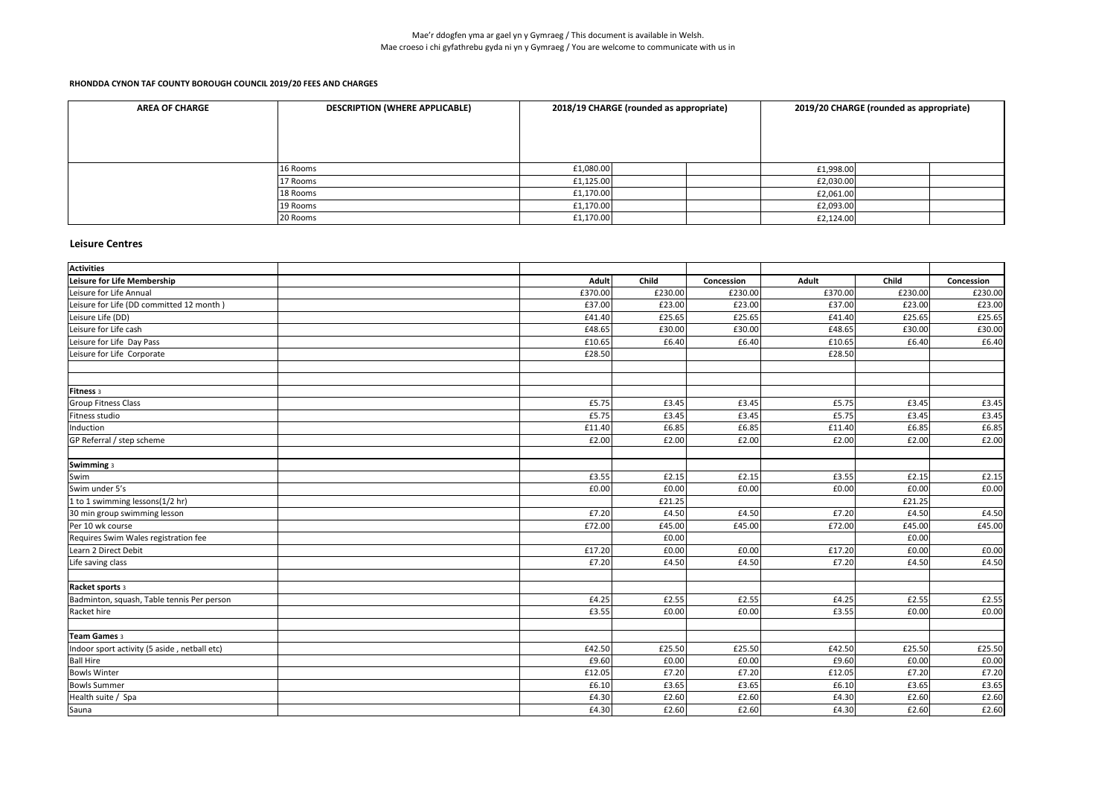| <b>AREA OF CHARGE</b> | <b>DESCRIPTION (WHERE APPLICABLE)</b> | 2018/19 CHARGE (rounded as appropriate) |  | 2019/20 CHARGE (rounded as appropriate) |  |  |
|-----------------------|---------------------------------------|-----------------------------------------|--|-----------------------------------------|--|--|
|                       |                                       |                                         |  |                                         |  |  |
|                       |                                       |                                         |  |                                         |  |  |
|                       |                                       |                                         |  |                                         |  |  |
|                       |                                       |                                         |  |                                         |  |  |
|                       | 16 Rooms                              | £1,080.00                               |  | £1,998.00                               |  |  |
|                       | 17 Rooms                              | f1,125.00                               |  | £2,030.00                               |  |  |
|                       | 18 Rooms                              | £1,170.00                               |  | E2,061.00                               |  |  |
|                       | 19 Rooms                              | f1,170.00                               |  | £2,093.00                               |  |  |
|                       | 20 Rooms                              | f1,170.00                               |  | E2,124.00                               |  |  |

#### **Leisure Centres**

| <b>Activities</b>                            |              |              |            |              |              |            |
|----------------------------------------------|--------------|--------------|------------|--------------|--------------|------------|
| Leisure for Life Membership                  | <b>Adult</b> | <b>Child</b> | Concession | <b>Adult</b> | <b>Child</b> | Concession |
| Leisure for Life Annual                      | £370.00      | £230.00      | £230.00    | £370.00      | £230.00      | £230.00    |
| Leisure for Life (DD committed 12 month)     | £37.00       | £23.00       | £23.00     | £37.00       | £23.00       | £23.00     |
| Leisure Life (DD)                            | £41.40       | £25.65       | £25.65     | £41.40       | £25.65       | £25.65     |
| Leisure for Life cash                        | £48.65       | £30.00       | £30.00     | £48.65       | £30.00       | £30.00     |
| Leisure for Life Day Pass                    | £10.65       | £6.40        | £6.40      | £10.65       | E6.40        | £6.40      |
| Leisure for Life Corporate                   | £28.50       |              |            | £28.50       |              |            |
|                                              |              |              |            |              |              |            |
| Fitness 3                                    |              |              |            |              |              |            |
| <b>Group Fitness Class</b>                   | £5.75        | £3.45        | £3.45      | £5.75        | £3.45        | £3.45      |
| Fitness studio                               | £5.75        | £3.45        | £3.45      | £5.75        | £3.45        | £3.45      |
| Induction                                    | £11.40       | £6.85        | £6.85      | £11.40       | £6.85        | £6.85      |
| GP Referral / step scheme                    | £2.00        | £2.00        | £2.00      | £2.00        | £2.00        | £2.00      |
| Swimming 3                                   |              |              |            |              |              |            |
| Swim                                         | £3.55        | £2.15        | £2.15      | £3.55        | £2.15        | £2.15      |
| Swim under 5's                               | £0.00        | £0.00        | £0.00      | £0.00        | £0.00        | £0.00      |
| 1 to 1 swimming lessons(1/2 hr)              |              | £21.25       |            |              | £21.25       |            |
| 30 min group swimming lesson                 | £7.20        | £4.50        | £4.50      | £7.20        | E4.50        | £4.50      |
| Per 10 wk course                             | £72.00       | £45.00       | £45.00     | £72.00       | £45.00       | £45.00     |
| Requires Swim Wales registration fee         |              | £0.00        |            |              | E0.00        |            |
| Learn 2 Direct Debit                         | £17.20       | £0.00        | £0.00      | £17.20       | £0.00        | £0.00      |
| Life saving class                            | £7.20        | £4.50        | £4.50      | £7.20        | E4.50        | £4.50      |
| Racket sports 3                              |              |              |            |              |              |            |
| Badminton, squash, Table tennis Per person   | £4.25        | £2.55        | £2.55      | £4.25        | E2.55        | £2.55      |
| Racket hire                                  | £3.55        | £0.00        | £0.00      | £3.55        | £0.00        | £0.00      |
| Team Games 3                                 |              |              |            |              |              |            |
| Indoor sport activity (5 aside, netball etc) | £42.50       | £25.50       | £25.50     | £42.50       | £25.50       | £25.50     |
| <b>Ball Hire</b>                             | £9.60        | £0.00        | E0.00      | £9.60        | E0.00        | £0.00      |
| <b>Bowls Winter</b>                          | £12.05       | £7.20        | £7.20      | £12.05       | £7.20        | £7.20      |
| <b>Bowls Summer</b>                          | £6.10        | £3.65        | £3.65      | £6.10        | £3.65        | £3.65      |
| Health suite / Spa                           | £4.30        | £2.60        | £2.60      | £4.30        | £2.60        | £2.60      |
| Sauna                                        | £4.30        | £2.60        | £2.60      | £4.30        | £2.60        | £2.60      |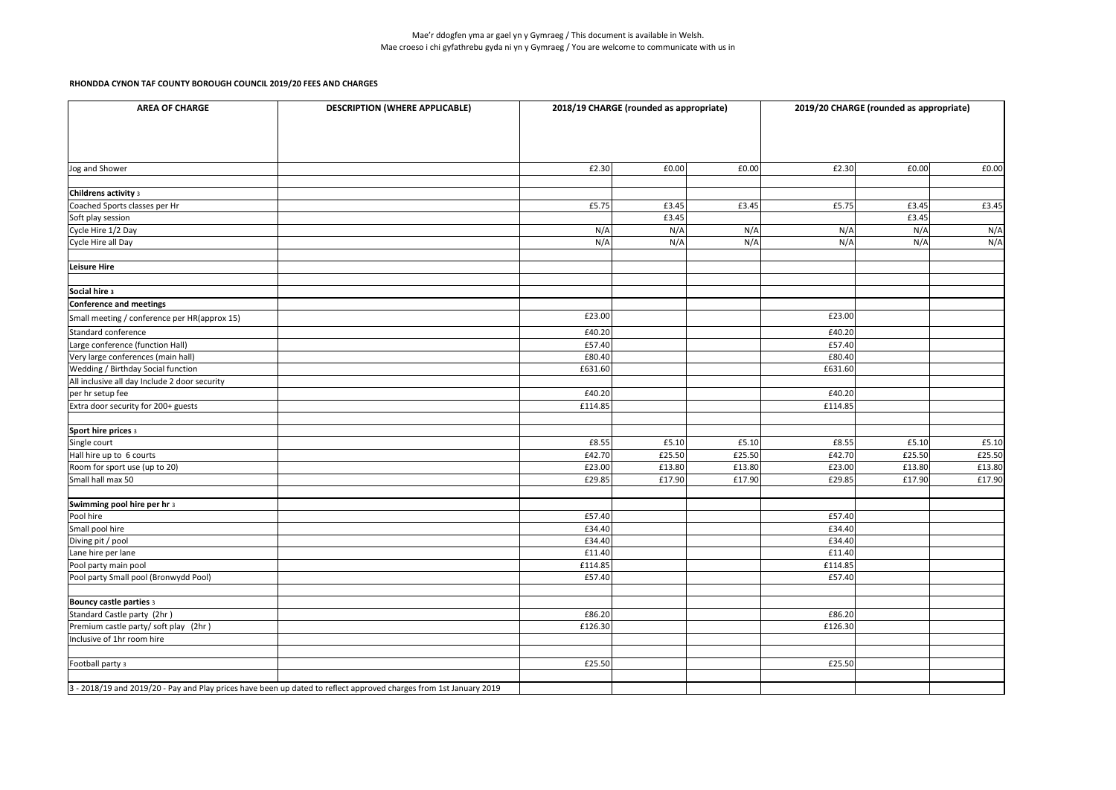| <b>AREA OF CHARGE</b>                                                                                              | <b>DESCRIPTION (WHERE APPLICABLE)</b> | 2018/19 CHARGE (rounded as appropriate) |        | 2019/20 CHARGE (rounded as appropriate) |         |        |        |
|--------------------------------------------------------------------------------------------------------------------|---------------------------------------|-----------------------------------------|--------|-----------------------------------------|---------|--------|--------|
| Jog and Shower                                                                                                     |                                       | £2.30                                   | £0.00  | £0.00                                   | £2.30   | £0.00  | £0.00  |
|                                                                                                                    |                                       |                                         |        |                                         |         |        |        |
| Childrens activity 3                                                                                               |                                       |                                         |        |                                         |         |        |        |
| Coached Sports classes per Hr                                                                                      |                                       | £5.75                                   | £3.45  | £3.45                                   | £5.75   | £3.45  | £3.45  |
| Soft play session                                                                                                  |                                       |                                         | £3.45  |                                         |         | £3.45  |        |
| Cycle Hire 1/2 Day                                                                                                 |                                       | N/A                                     | N/A    | N/A                                     | N/A     | N/A    | N/A    |
| Cycle Hire all Day                                                                                                 |                                       | N/A                                     | N/A    | N/A                                     | N/A     | N/A    | N/A    |
| Leisure Hire                                                                                                       |                                       |                                         |        |                                         |         |        |        |
| Social hire 3                                                                                                      |                                       |                                         |        |                                         |         |        |        |
| Conference and meetings                                                                                            |                                       |                                         |        |                                         |         |        |        |
| Small meeting / conference per HR(approx 15)                                                                       |                                       | £23.00                                  |        |                                         | £23.00  |        |        |
| Standard conference                                                                                                |                                       | £40.20                                  |        |                                         | £40.20  |        |        |
| Large conference (function Hall)                                                                                   |                                       | £57.40                                  |        |                                         | £57.40  |        |        |
| Very large conferences (main hall)                                                                                 |                                       | £80.40                                  |        |                                         | £80.40  |        |        |
| <b>Wedding / Birthday Social function</b>                                                                          |                                       | £631.60                                 |        |                                         | £631.60 |        |        |
| All inclusive all day Include 2 door security                                                                      |                                       |                                         |        |                                         |         |        |        |
| per hr setup fee                                                                                                   |                                       | £40.20                                  |        |                                         | £40.20  |        |        |
| Extra door security for 200+ guests                                                                                |                                       | £114.85                                 |        |                                         | £114.85 |        |        |
| Sport hire prices 3                                                                                                |                                       |                                         |        |                                         |         |        |        |
| Single court                                                                                                       |                                       | £8.55                                   | £5.10  | E5.10                                   | £8.55   | £5.10  | £5.10  |
| Hall hire up to 6 courts                                                                                           |                                       | £42.70                                  | £25.50 | £25.50                                  | £42.70  | £25.50 | £25.50 |
| Room for sport use (up to 20)                                                                                      |                                       | £23.00                                  | £13.80 | £13.80                                  | £23.00  | £13.80 | £13.80 |
| Small hall max 50                                                                                                  |                                       | £29.85                                  | £17.90 | £17.90                                  | £29.85  | £17.90 | £17.90 |
| Swimming pool hire per hr 3                                                                                        |                                       |                                         |        |                                         |         |        |        |
| Pool hire                                                                                                          |                                       | £57.40                                  |        |                                         | £57.40  |        |        |
| Small pool hire                                                                                                    |                                       | £34.40                                  |        |                                         | £34.40  |        |        |
| Diving pit / pool                                                                                                  |                                       | £34.40                                  |        |                                         | £34.40  |        |        |
| Lane hire per lane                                                                                                 |                                       | £11.40                                  |        |                                         | £11.40  |        |        |
| Pool party main pool                                                                                               |                                       | £114.85                                 |        |                                         | £114.85 |        |        |
| Pool party Small pool (Bronwydd Pool)                                                                              |                                       | £57.40                                  |        |                                         | £57.40  |        |        |
| <b>Bouncy castle parties 3</b>                                                                                     |                                       |                                         |        |                                         |         |        |        |
| Standard Castle party (2hr)                                                                                        |                                       | £86.20                                  |        |                                         | £86.20  |        |        |
| Premium castle party/ soft play (2hr)                                                                              |                                       | £126.30                                 |        |                                         | £126.30 |        |        |
| Inclusive of 1hr room hire                                                                                         |                                       |                                         |        |                                         |         |        |        |
|                                                                                                                    |                                       |                                         |        |                                         |         |        |        |
| Football party 3                                                                                                   |                                       | £25.50                                  |        |                                         | £25.50  |        |        |
| 3 - 2018/19 and 2019/20 - Pay and Play prices have been up dated to reflect approved charges from 1st January 2019 |                                       |                                         |        |                                         |         |        |        |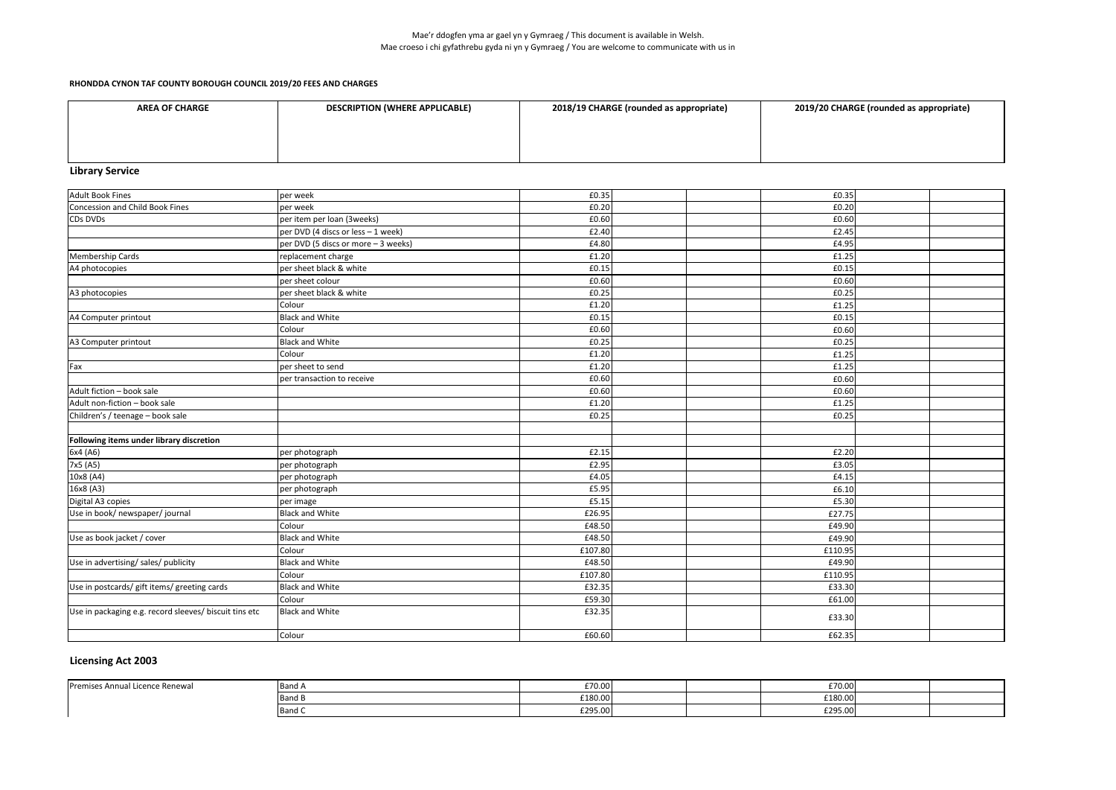| <b>AREA OF CHARGE</b> | <b>DESCRIPTION (WHERE APPLICABLE)</b> | 2018/19 CHARGE (rounded as appropriate) | 2019/20 CHARGE (rounded as appropriate) |
|-----------------------|---------------------------------------|-----------------------------------------|-----------------------------------------|
|                       |                                       |                                         |                                         |
|                       |                                       |                                         |                                         |
|                       |                                       |                                         |                                         |

# **Library Service**

| Adult Book Fines                                       | per week                             | £0.35   | £0.35   |  |
|--------------------------------------------------------|--------------------------------------|---------|---------|--|
| Concession and Child Book Fines                        | per week                             | £0.20   | £0.20   |  |
| CDs DVDs                                               | per item per loan (3weeks)           | £0.60   | £0.60   |  |
|                                                        | per DVD (4 discs or less - 1 week)   | £2.40   | £2.45   |  |
|                                                        | per DVD (5 discs or more $-3$ weeks) | £4.80   | £4.95   |  |
| Membership Cards                                       | replacement charge                   | £1.20   | £1.25   |  |
| A4 photocopies                                         | per sheet black & white              | £0.15   | £0.15   |  |
|                                                        | per sheet colour                     | £0.60   | £0.60   |  |
| A3 photocopies                                         | per sheet black & white              | £0.25   | £0.25   |  |
|                                                        | Colour                               | £1.20   | £1.25   |  |
| A4 Computer printout                                   | <b>Black and White</b>               | £0.15   | £0.15   |  |
|                                                        | Colour                               | £0.60   | £0.60   |  |
| A3 Computer printout                                   | <b>Black and White</b>               | £0.25   | £0.25   |  |
|                                                        | Colour                               | £1.20   | £1.25   |  |
| Fax                                                    | per sheet to send                    | £1.20   | £1.25   |  |
|                                                        | per transaction to receive           | £0.60   | £0.60   |  |
| Adult fiction - book sale                              |                                      | £0.60   | £0.60   |  |
| Adult non-fiction - book sale                          |                                      | £1.20   | £1.25   |  |
| Children's / teenage - book sale                       |                                      | £0.25   | £0.25   |  |
|                                                        |                                      |         |         |  |
| Following items under library discretion               |                                      |         |         |  |
| 6x4 (A6)                                               | per photograph                       | £2.15   | £2.20   |  |
| 7x5 (A5)                                               | per photograph                       | £2.95   | £3.05   |  |
| 10x8 (A4)                                              | per photograph                       | £4.05   | £4.15   |  |
| 16x8 (A3)                                              | per photograph                       | £5.95   | £6.10   |  |
| Digital A3 copies                                      | per image                            | £5.15   | £5.30   |  |
| Use in book/ newspaper/ journal                        | <b>Black and White</b>               | £26.95  | £27.75  |  |
|                                                        | Colour                               | £48.50  | £49.90  |  |
| Use as book jacket / cover                             | <b>Black and White</b>               | £48.50  | £49.90  |  |
|                                                        | Colour                               | £107.80 | £110.95 |  |
| Use in advertising/ sales/ publicity                   | <b>Black and White</b>               | £48.50  | £49.90  |  |
|                                                        | Colour                               | £107.80 | £110.95 |  |
| Use in postcards/ gift items/ greeting cards           | <b>Black and White</b>               | £32.35  | £33.30  |  |
|                                                        | Colour                               | £59.30  | £61.00  |  |
| Use in packaging e.g. record sleeves/ biscuit tins etc | <b>Black and White</b>               | £32.35  | £33.30  |  |
|                                                        | Colour                               | £60.60  | £62.35  |  |
|                                                        |                                      |         |         |  |

## **Licensing Act 2003**

| Premises Annual Licence Renewal | <b>Band</b> $\sim$ | £70.00  |  | 570.00<br>$L$ /U.UU                   |  |
|---------------------------------|--------------------|---------|--|---------------------------------------|--|
|                                 | <b>∪Band ы</b>     | £180.00 |  | £180.00                               |  |
|                                 | <b>■Band 、</b>     | £295.00 |  | $\sim$ $\sim$ $\sim$<br>-295.00"<br>. |  |

| 2019/20 CHARGE (rounded as appropriate) |
|-----------------------------------------|
|-----------------------------------------|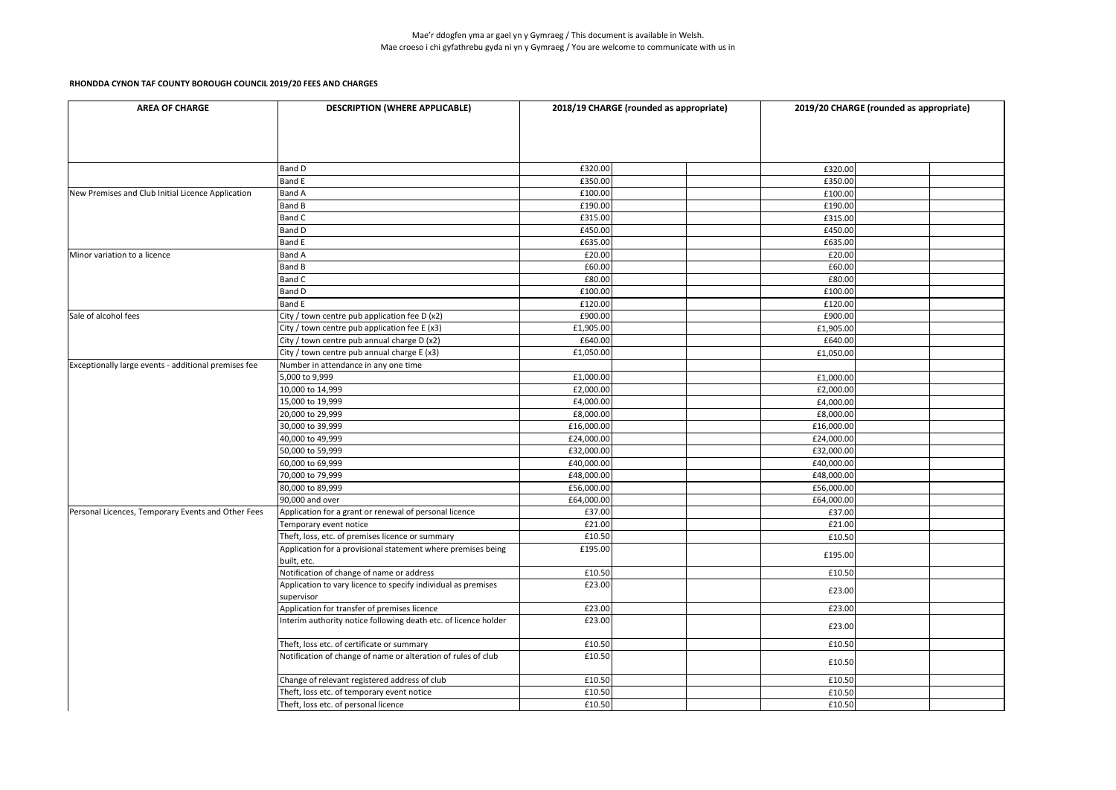| <b>AREA OF CHARGE</b>                                | <b>DESCRIPTION (WHERE APPLICABLE)</b>                                       | 2018/19 CHARGE (rounded as appropriate) |            | 2019/20 CHARGE (rounded as appropriate) |
|------------------------------------------------------|-----------------------------------------------------------------------------|-----------------------------------------|------------|-----------------------------------------|
|                                                      |                                                                             |                                         |            |                                         |
|                                                      | <b>Band D</b>                                                               | £320.00                                 | £320.00    |                                         |
|                                                      | <b>Band E</b>                                                               | £350.00                                 | £350.00    |                                         |
| New Premises and Club Initial Licence Application    | <b>Band A</b>                                                               | £100.00                                 | £100.00    |                                         |
|                                                      | <b>Band B</b>                                                               | £190.00                                 | £190.00    |                                         |
|                                                      | <b>Band C</b>                                                               | £315.00                                 | £315.00    |                                         |
|                                                      | <b>Band D</b>                                                               | £450.00                                 | £450.00    |                                         |
|                                                      | <b>Band E</b>                                                               | £635.00                                 | £635.00    |                                         |
| Minor variation to a licence                         | <b>Band A</b>                                                               | £20.00                                  | £20.00     |                                         |
|                                                      | <b>Band B</b>                                                               | £60.00                                  | £60.00     |                                         |
|                                                      | <b>Band C</b>                                                               | £80.00                                  | £80.00     |                                         |
|                                                      | <b>Band D</b>                                                               | £100.00                                 | £100.00    |                                         |
|                                                      | <b>Band E</b>                                                               | £120.00                                 | £120.00    |                                         |
| Sale of alcohol fees                                 | City / town centre pub application fee D (x2)                               | £900.00                                 | £900.00    |                                         |
|                                                      | City / town centre pub application fee E (x3)                               | £1,905.00                               | £1,905.00  |                                         |
|                                                      | City / town centre pub annual charge D (x2)                                 | £640.00                                 | £640.00    |                                         |
|                                                      | City / town centre pub annual charge E (x3)                                 | £1,050.00                               | £1,050.00  |                                         |
| Exceptionally large events - additional premises fee | Number in attendance in any one time                                        |                                         |            |                                         |
|                                                      | 5,000 to 9,999                                                              | £1,000.00                               | £1,000.00  |                                         |
|                                                      | 10,000 to 14,999                                                            | £2,000.00                               | £2,000.00  |                                         |
|                                                      | 15,000 to 19,999                                                            | £4,000.00                               | £4,000.00  |                                         |
|                                                      | 20,000 to 29,999                                                            | £8,000.00                               | £8,000.00  |                                         |
|                                                      | 30,000 to 39,999                                                            | £16,000.00                              | £16,000.00 |                                         |
|                                                      | 40,000 to 49,999                                                            | £24,000.00                              | £24,000.00 |                                         |
|                                                      | 50,000 to 59,999                                                            | £32,000.00                              | £32,000.00 |                                         |
|                                                      | 60,000 to 69,999                                                            | £40,000.00                              | £40,000.00 |                                         |
|                                                      | 70,000 to 79,999                                                            | £48,000.00                              | £48,000.00 |                                         |
|                                                      | 80,000 to 89,999                                                            | £56,000.00                              | £56,000.00 |                                         |
|                                                      | 90,000 and over                                                             | £64,000.00                              | £64,000.00 |                                         |
| Personal Licences, Temporary Events and Other Fees   | Application for a grant or renewal of personal licence                      | £37.00                                  | £37.00     |                                         |
|                                                      |                                                                             |                                         | £21.00     |                                         |
|                                                      | Temporary event notice<br>Theft, loss, etc. of premises licence or summary  | £21.00<br>£10.50                        |            |                                         |
|                                                      |                                                                             |                                         | £10.50     |                                         |
|                                                      | Application for a provisional statement where premises being<br>built, etc. | £195.00                                 | £195.00    |                                         |
|                                                      | Notification of change of name or address                                   | £10.50                                  | £10.50     |                                         |
|                                                      | Application to vary licence to specify individual as premises               | £23.00                                  |            |                                         |
|                                                      | supervisor                                                                  |                                         | £23.00     |                                         |
|                                                      | Application for transfer of premises licence                                | £23.00                                  | £23.00     |                                         |
|                                                      | Interim authority notice following death etc. of licence holder             | £23.00                                  |            |                                         |
|                                                      |                                                                             |                                         | £23.00     |                                         |
|                                                      | Theft, loss etc. of certificate or summary                                  | £10.50                                  | £10.50     |                                         |
|                                                      | Notification of change of name or alteration of rules of club               | £10.50                                  |            |                                         |
|                                                      |                                                                             |                                         | £10.50     |                                         |
|                                                      | Change of relevant registered address of club                               | £10.50                                  | £10.50     |                                         |
|                                                      | Theft, loss etc. of temporary event notice                                  | £10.50                                  | £10.50     |                                         |
|                                                      | Theft, loss etc. of personal licence                                        | £10.50                                  | £10.50     |                                         |
|                                                      |                                                                             |                                         |            |                                         |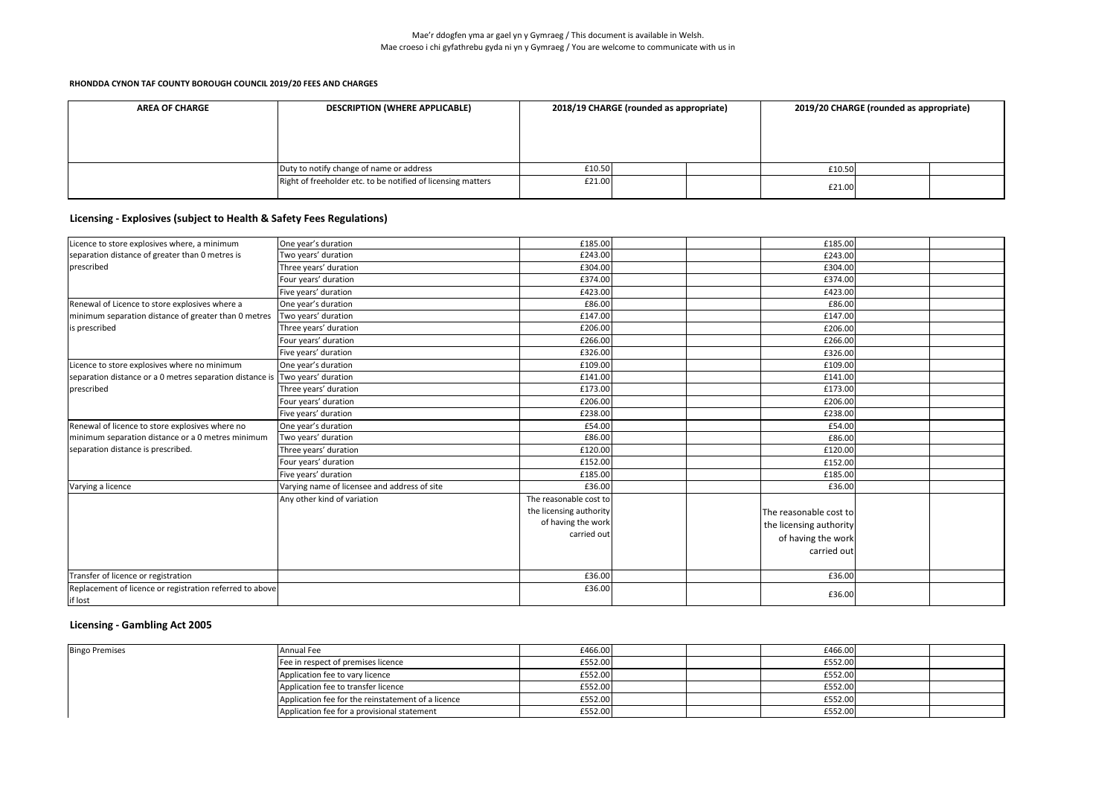| <b>AREA OF CHARGE</b> | <b>DESCRIPTION (WHERE APPLICABLE)</b>                        | 2018/19 CHARGE (rounded as appropriate) |  | 2019/20 CHARGE (rounded as appropriate) |  |  |
|-----------------------|--------------------------------------------------------------|-----------------------------------------|--|-----------------------------------------|--|--|
|                       |                                                              |                                         |  |                                         |  |  |
|                       |                                                              |                                         |  |                                         |  |  |
|                       |                                                              |                                         |  |                                         |  |  |
|                       | Duty to notify change of name or address                     | £10.50                                  |  | £10.50                                  |  |  |
|                       | Right of freeholder etc. to be notified of licensing matters | £21.00                                  |  | £21.00                                  |  |  |

| Licence to store explosives where, a minimum                                 | One year's duration                          | £185.00                                                                                |  | £185.00                                                                                |  |
|------------------------------------------------------------------------------|----------------------------------------------|----------------------------------------------------------------------------------------|--|----------------------------------------------------------------------------------------|--|
|                                                                              |                                              |                                                                                        |  |                                                                                        |  |
| separation distance of greater than 0 metres is                              | Two years' duration                          | £243.00                                                                                |  | £243.00                                                                                |  |
| prescribed                                                                   | Three years' duration                        | £304.00                                                                                |  | £304.00                                                                                |  |
|                                                                              | Four years' duration                         | £374.00                                                                                |  | £374.00                                                                                |  |
|                                                                              | Five years' duration                         | £423.00                                                                                |  | £423.00                                                                                |  |
| Renewal of Licence to store explosives where a                               | One year's duration                          | £86.00                                                                                 |  | £86.00                                                                                 |  |
| minimum separation distance of greater than 0 metres                         | Two years' duration                          | £147.00                                                                                |  | £147.00                                                                                |  |
| is prescribed                                                                | Three years' duration                        | £206.00                                                                                |  | £206.00                                                                                |  |
|                                                                              | Four years' duration                         | £266.00                                                                                |  | £266.00                                                                                |  |
|                                                                              | Five years' duration                         | £326.00                                                                                |  | £326.00                                                                                |  |
| Licence to store explosives where no minimum                                 | One year's duration                          | £109.00                                                                                |  | £109.00                                                                                |  |
| separation distance or a 0 metres separation distance is Two years' duration |                                              | £141.00                                                                                |  | £141.00                                                                                |  |
| prescribed                                                                   | Three years' duration                        | £173.00                                                                                |  | £173.00                                                                                |  |
|                                                                              | Four years' duration                         | £206.00                                                                                |  | £206.00                                                                                |  |
|                                                                              | Five years' duration                         | £238.00                                                                                |  | £238.00                                                                                |  |
| Renewal of licence to store explosives where no                              | One year's duration                          | £54.00                                                                                 |  | £54.00                                                                                 |  |
| minimum separation distance or a 0 metres minimum                            | Two years' duration                          | £86.00                                                                                 |  | £86.00                                                                                 |  |
| separation distance is prescribed.                                           | Three years' duration                        | £120.00                                                                                |  | £120.00                                                                                |  |
|                                                                              | Four years' duration                         | £152.00                                                                                |  | £152.00                                                                                |  |
|                                                                              | Five years' duration                         | £185.00                                                                                |  | £185.00                                                                                |  |
| Varying a licence                                                            | Varying name of licensee and address of site | £36.00                                                                                 |  | £36.00                                                                                 |  |
|                                                                              | Any other kind of variation                  | The reasonable cost to<br>the licensing authority<br>of having the work<br>carried out |  | The reasonable cost to<br>the licensing authority<br>of having the work<br>carried out |  |
| Transfer of licence or registration                                          |                                              | £36.00                                                                                 |  | £36.00                                                                                 |  |
| Replacement of licence or registration referred to above<br>if lost          |                                              | £36.00                                                                                 |  | £36.00                                                                                 |  |

## **Licensing - Gambling Act 2005**

| <b>Bingo Premises</b> | Annual Fee                                         | £466.00 | £466.00 |  |
|-----------------------|----------------------------------------------------|---------|---------|--|
|                       | Fee in respect of premises licence                 | £552.00 | £552.00 |  |
|                       | Application fee to vary licence                    | £552.00 | £552.00 |  |
|                       | Application fee to transfer licence                | £552.00 | £552.00 |  |
|                       | Application fee for the reinstatement of a licence | £552.00 | £552.00 |  |
|                       | Application fee for a provisional statement        | £552.00 | £552.00 |  |

# **Licensing - Explosives (subject to Health & Safety Fees Regulations)**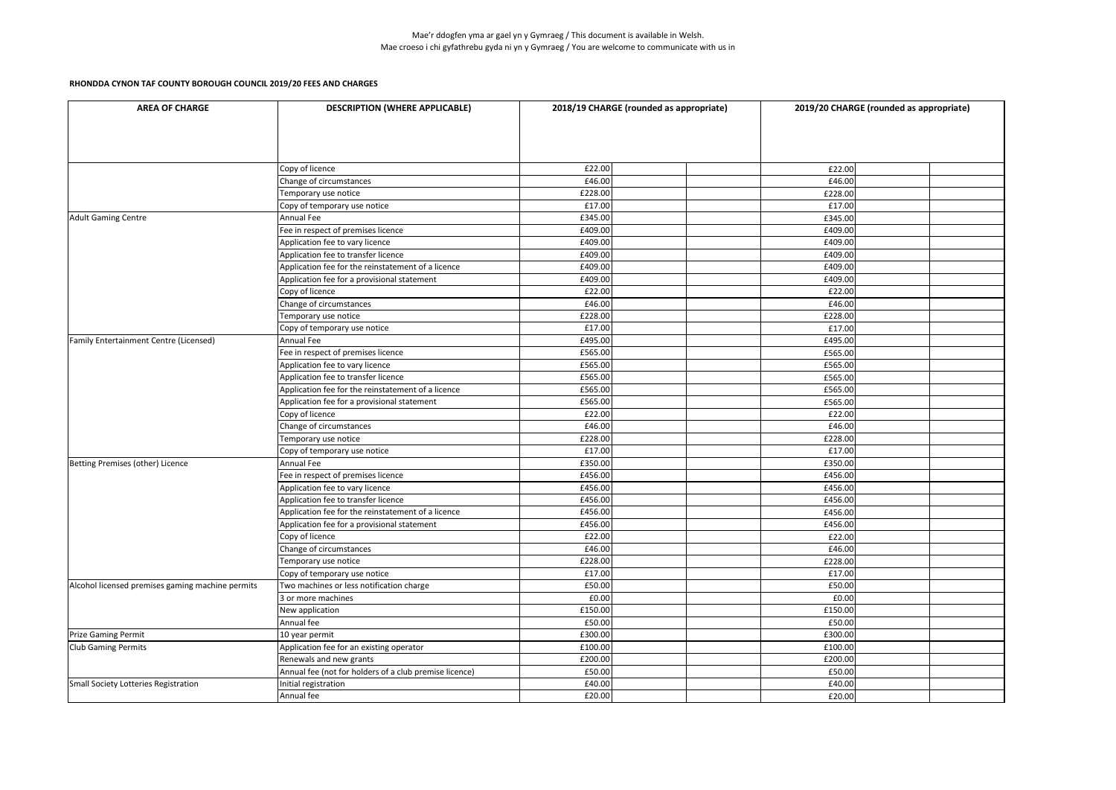| <b>AREA OF CHARGE</b>                            | <b>DESCRIPTION (WHERE APPLICABLE)</b>                  | 2018/19 CHARGE (rounded as appropriate)<br>2019/20 CHARGE (rounded as appropriate) |         |  |  |
|--------------------------------------------------|--------------------------------------------------------|------------------------------------------------------------------------------------|---------|--|--|
|                                                  |                                                        |                                                                                    |         |  |  |
|                                                  | Copy of licence                                        | £22.00                                                                             | £22.00  |  |  |
|                                                  | Change of circumstances                                | £46.00                                                                             | £46.00  |  |  |
|                                                  | Temporary use notice                                   | £228.00                                                                            | £228.00 |  |  |
|                                                  | Copy of temporary use notice                           | £17.00                                                                             | £17.00  |  |  |
| Adult Gaming Centre                              | Annual Fee                                             | £345.00                                                                            | £345.00 |  |  |
|                                                  | Fee in respect of premises licence                     | £409.00                                                                            | £409.00 |  |  |
|                                                  | Application fee to vary licence                        | £409.00                                                                            | £409.00 |  |  |
|                                                  | Application fee to transfer licence                    | £409.00                                                                            | £409.00 |  |  |
|                                                  | Application fee for the reinstatement of a licence     | £409.00                                                                            | £409.00 |  |  |
|                                                  | Application fee for a provisional statement            | £409.00                                                                            | £409.00 |  |  |
|                                                  | Copy of licence                                        | £22.00                                                                             | £22.00  |  |  |
|                                                  | Change of circumstances                                | £46.00                                                                             | £46.00  |  |  |
|                                                  | Temporary use notice                                   | £228.00                                                                            | £228.00 |  |  |
|                                                  | Copy of temporary use notice                           | £17.00                                                                             | £17.00  |  |  |
| <b>Family Entertainment Centre (Licensed)</b>    | Annual Fee                                             | £495.00                                                                            | £495.00 |  |  |
|                                                  | Fee in respect of premises licence                     | £565.00                                                                            | £565.00 |  |  |
|                                                  | Application fee to vary licence                        | £565.00                                                                            | £565.00 |  |  |
|                                                  | Application fee to transfer licence                    | £565.00                                                                            | £565.00 |  |  |
|                                                  | Application fee for the reinstatement of a licence     | £565.00                                                                            | £565.00 |  |  |
|                                                  | Application fee for a provisional statement            | £565.00                                                                            | £565.00 |  |  |
|                                                  | Copy of licence                                        | £22.00                                                                             | £22.00  |  |  |
|                                                  | Change of circumstances                                | £46.00                                                                             | £46.00  |  |  |
|                                                  | Temporary use notice                                   | £228.00                                                                            | £228.00 |  |  |
|                                                  | Copy of temporary use notice                           | £17.00                                                                             | £17.00  |  |  |
| Betting Premises (other) Licence                 | <b>Annual Fee</b>                                      | £350.00                                                                            | £350.00 |  |  |
|                                                  | Fee in respect of premises licence                     | £456.00                                                                            | £456.00 |  |  |
|                                                  | Application fee to vary licence                        | £456.00                                                                            | £456.00 |  |  |
|                                                  | Application fee to transfer licence                    | £456.00                                                                            | £456.00 |  |  |
|                                                  | Application fee for the reinstatement of a licence     | £456.00                                                                            | £456.00 |  |  |
|                                                  | Application fee for a provisional statement            | £456.00                                                                            | £456.00 |  |  |
|                                                  | Copy of licence                                        | £22.00                                                                             | £22.00  |  |  |
|                                                  | Change of circumstances                                | £46.00                                                                             | £46.00  |  |  |
|                                                  | Temporary use notice                                   | £228.00                                                                            | £228.00 |  |  |
|                                                  | Copy of temporary use notice                           | £17.00                                                                             | £17.00  |  |  |
| Alcohol licensed premises gaming machine permits | Two machines or less notification charge               | £50.00                                                                             | £50.00  |  |  |
|                                                  | 3 or more machines                                     | £0.00                                                                              | £0.00   |  |  |
|                                                  | New application                                        | £150.00                                                                            | £150.00 |  |  |
|                                                  | Annual fee                                             | £50.00                                                                             | £50.00  |  |  |
| <b>Prize Gaming Permit</b>                       | 10 year permit                                         | £300.00                                                                            | £300.00 |  |  |
| <b>Club Gaming Permits</b>                       | Application fee for an existing operator               | £100.00                                                                            | £100.00 |  |  |
|                                                  | Renewals and new grants                                | £200.00                                                                            | £200.00 |  |  |
|                                                  | Annual fee (not for holders of a club premise licence) | £50.00                                                                             | £50.00  |  |  |
| Small Society Lotteries Registration             | Initial registration                                   | £40.00                                                                             | £40.00  |  |  |
|                                                  | Annual fee                                             | £20.00                                                                             | £20.00  |  |  |
|                                                  |                                                        |                                                                                    |         |  |  |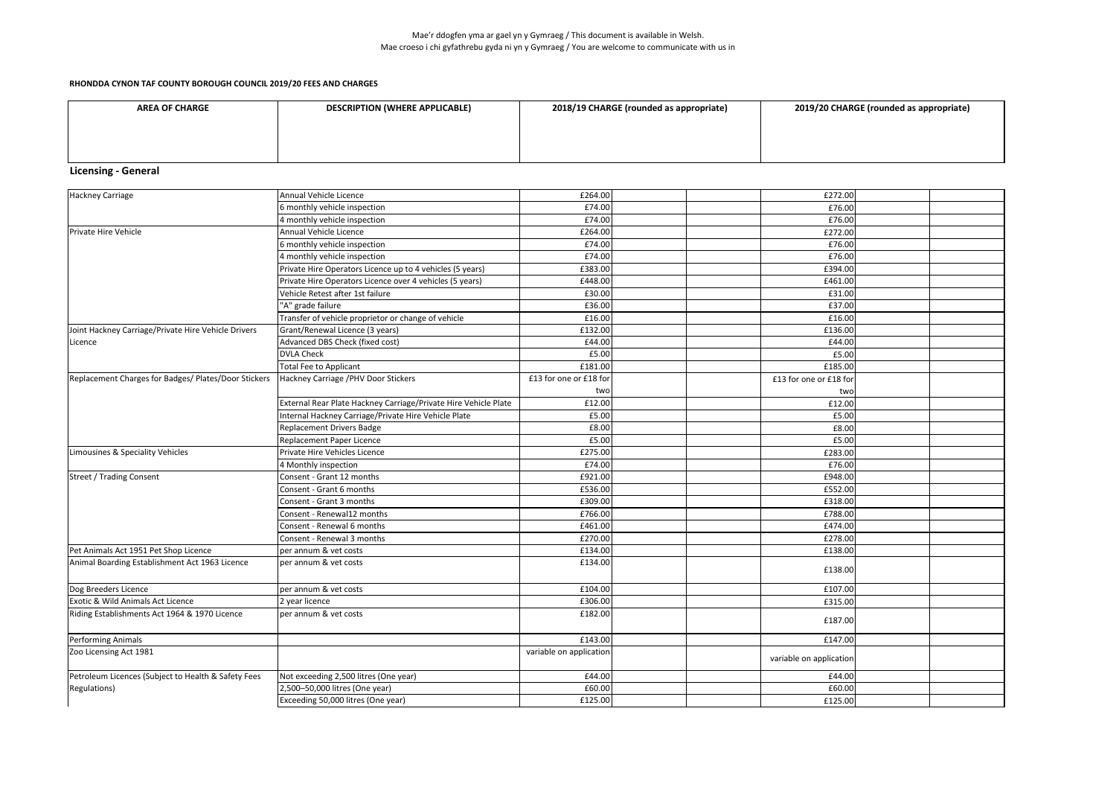### Mae'r ddogfen yma ar gael yn y Gymraeg / This document is available in Welsh. Mae croeso i chi gyfathrebu gyda ni yn y Gymraeg / You are welcome to communicate with us in

### **RHONDDA CYNON TAF COUNTY BOROUGH COUNCIL 2019/20 FEES AND CHARGES**

| <b>AREA OF CHARGE</b> | <b>DESCRIPTION (WHERE APPLICABLE)</b> | 2018/19 CHARGE (rounded as appropriate) | 2019/20 CHARGE (rounded as appropriate) |
|-----------------------|---------------------------------------|-----------------------------------------|-----------------------------------------|
|                       |                                       |                                         |                                         |
|                       |                                       |                                         |                                         |
|                       |                                       |                                         |                                         |
|                       |                                       |                                         |                                         |

# **Licensing - General**

| Hackney Carriage                                     | Annual Vehicle Licence                                          | £264.00                 | £272.00                 |  |
|------------------------------------------------------|-----------------------------------------------------------------|-------------------------|-------------------------|--|
|                                                      | 6 monthly vehicle inspection                                    | £74.00                  | £76.00                  |  |
|                                                      | 4 monthly vehicle inspection                                    | £74.00                  | £76.00                  |  |
| Private Hire Vehicle                                 | Annual Vehicle Licence                                          | £264.00                 | £272.00                 |  |
|                                                      | 6 monthly vehicle inspection                                    | £74.00                  | £76.00                  |  |
|                                                      | 4 monthly vehicle inspection                                    | £74.00                  | £76.00                  |  |
|                                                      | Private Hire Operators Licence up to 4 vehicles (5 years)       | £383.00                 | £394.00                 |  |
|                                                      | Private Hire Operators Licence over 4 vehicles (5 years)        | £448.00                 | £461.00                 |  |
|                                                      | Vehicle Retest after 1st failure                                | £30.00                  | £31.00                  |  |
|                                                      | "A" grade failure                                               | £36.00                  | £37.00                  |  |
|                                                      | Transfer of vehicle proprietor or change of vehicle             | £16.00                  | £16.00                  |  |
| Joint Hackney Carriage/Private Hire Vehicle Drivers  | Grant/Renewal Licence (3 years)                                 | £132.00                 | £136.00                 |  |
| Licence                                              | Advanced DBS Check (fixed cost)                                 | £44.00                  | £44.00                  |  |
|                                                      | <b>DVLA Check</b>                                               | £5.00                   | £5.00                   |  |
|                                                      | <b>Total Fee to Applicant</b>                                   | £181.00                 | £185.00                 |  |
| Replacement Charges for Badges/ Plates/Door Stickers | Hackney Carriage / PHV Door Stickers                            | £13 for one or £18 for  | £13 for one or £18 for  |  |
|                                                      |                                                                 | two                     | two                     |  |
|                                                      | External Rear Plate Hackney Carriage/Private Hire Vehicle Plate | £12.00                  | £12.00                  |  |
|                                                      | Internal Hackney Carriage/Private Hire Vehicle Plate            | £5.00                   | £5.00                   |  |
|                                                      | <b>Replacement Drivers Badge</b>                                | £8.00                   | £8.00                   |  |
|                                                      | Replacement Paper Licence                                       | £5.00                   | £5.00                   |  |
| Limousines & Speciality Vehicles                     | Private Hire Vehicles Licence                                   | £275.00                 | £283.00                 |  |
|                                                      | 4 Monthly inspection                                            | £74.00                  | £76.00                  |  |
| Street / Trading Consent                             | Consent - Grant 12 months                                       | £921.00                 | £948.00                 |  |
|                                                      | Consent - Grant 6 months                                        | £536.00                 | £552.00                 |  |
|                                                      | Consent - Grant 3 months                                        | £309.00                 | £318.00                 |  |
|                                                      | Consent - Renewal12 months                                      | £766.00                 | £788.00                 |  |
|                                                      | Consent - Renewal 6 months                                      | £461.00                 | £474.00                 |  |
|                                                      | Consent - Renewal 3 months                                      | £270.00                 | £278.00                 |  |
| Pet Animals Act 1951 Pet Shop Licence                | per annum & vet costs                                           | £134.00                 | £138.00                 |  |
| Animal Boarding Establishment Act 1963 Licence       | per annum & vet costs                                           | £134.00                 | £138.00                 |  |
| Dog Breeders Licence                                 | per annum & vet costs                                           | £104.00                 | £107.00                 |  |
| Exotic & Wild Animals Act Licence                    | 2 year licence                                                  | £306.00                 | £315.00                 |  |
| Riding Establishments Act 1964 & 1970 Licence        | per annum & vet costs                                           | £182.00                 | £187.00                 |  |
| Performing Animals                                   |                                                                 | £143.00                 | £147.00                 |  |
| Zoo Licensing Act 1981                               |                                                                 | variable on application | variable on application |  |
| Petroleum Licences (Subject to Health & Safety Fees  | Not exceeding 2,500 litres (One year)                           | £44.00                  | £44.00                  |  |
| Regulations)                                         | 2,500-50,000 litres (One year)                                  | £60.00                  | £60.00                  |  |
|                                                      | Exceeding 50,000 litres (One year)                              | £125.00                 | £125.00                 |  |

|  | 2019/20 CHARGE (rounded as appropriate) |
|--|-----------------------------------------|
|--|-----------------------------------------|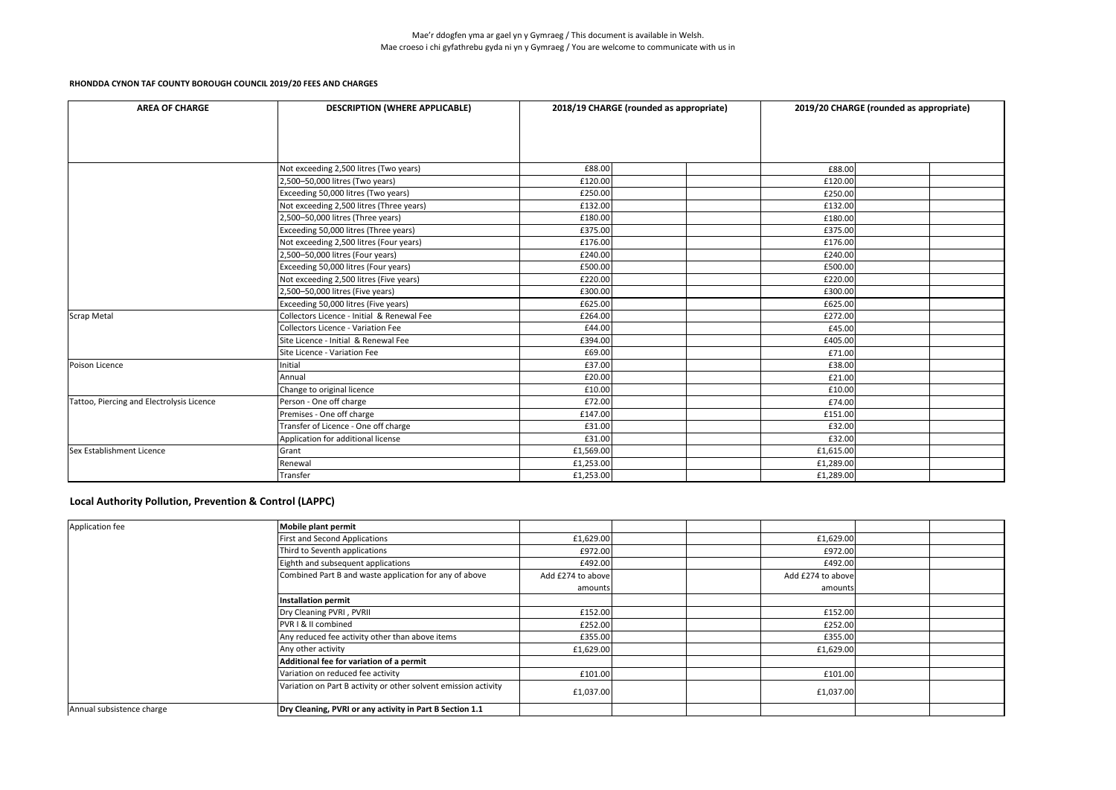| <b>AREA OF CHARGE</b>                     | <b>DESCRIPTION (WHERE APPLICABLE)</b>      | 2018/19 CHARGE (rounded as appropriate) |           | 2019/20 CHARGE (rounded as appropriate) |
|-------------------------------------------|--------------------------------------------|-----------------------------------------|-----------|-----------------------------------------|
|                                           |                                            |                                         |           |                                         |
|                                           |                                            |                                         |           |                                         |
|                                           |                                            |                                         |           |                                         |
|                                           | Not exceeding 2,500 litres (Two years)     | £88.00                                  | £88.00    |                                         |
|                                           | 2,500-50,000 litres (Two years)            | £120.00                                 | £120.00   |                                         |
|                                           | Exceeding 50,000 litres (Two years)        | £250.00                                 | £250.00   |                                         |
|                                           | Not exceeding 2,500 litres (Three years)   | £132.00                                 | £132.00   |                                         |
|                                           | 2,500-50,000 litres (Three years)          | £180.00                                 | £180.00   |                                         |
|                                           | Exceeding 50,000 litres (Three years)      | £375.00                                 | £375.00   |                                         |
|                                           | Not exceeding 2,500 litres (Four years)    | £176.00                                 | £176.00   |                                         |
|                                           | 2,500-50,000 litres (Four years)           | £240.00                                 | £240.00   |                                         |
|                                           | Exceeding 50,000 litres (Four years)       | £500.00                                 | £500.00   |                                         |
|                                           | Not exceeding 2,500 litres (Five years)    | £220.00                                 | £220.00   |                                         |
|                                           | 2,500-50,000 litres (Five years)           | £300.00                                 | £300.00   |                                         |
|                                           | Exceeding 50,000 litres (Five years)       | £625.00                                 | £625.00   |                                         |
| Scrap Metal                               | Collectors Licence - Initial & Renewal Fee | £264.00                                 | £272.00   |                                         |
|                                           | Collectors Licence - Variation Fee         | £44.00                                  | £45.00    |                                         |
|                                           | Site Licence - Initial & Renewal Fee       | £394.00                                 | £405.00   |                                         |
|                                           | Site Licence - Variation Fee               | £69.00                                  | £71.00    |                                         |
| Poison Licence                            | Initial                                    | £37.00                                  | £38.00    |                                         |
|                                           | Annual                                     | £20.00                                  | £21.00    |                                         |
|                                           | Change to original licence                 | £10.00                                  | £10.00    |                                         |
| Tattoo, Piercing and Electrolysis Licence | Person - One off charge                    | £72.00                                  | £74.00    |                                         |
|                                           | Premises - One off charge                  | £147.00                                 | £151.00   |                                         |
|                                           | Transfer of Licence - One off charge       | £31.00                                  | £32.00    |                                         |
|                                           | Application for additional license         | £31.00                                  | £32.00    |                                         |
| Sex Establishment Licence                 | Grant                                      | £1,569.00                               | £1,615.00 |                                         |
|                                           | Renewal                                    | £1,253.00                               | £1,289.00 |                                         |
|                                           | Transfer                                   | £1,253.00                               | £1,289.00 |                                         |

| Application fee           | <b>Mobile plant permit</b>                                      |                   |                   |  |
|---------------------------|-----------------------------------------------------------------|-------------------|-------------------|--|
|                           | <b>First and Second Applications</b>                            | £1,629.00         | £1,629.00         |  |
|                           | Third to Seventh applications                                   | £972.00           | £972.00           |  |
|                           | Eighth and subsequent applications                              | £492.00           | £492.00           |  |
|                           | Combined Part B and waste application for any of above          | Add £274 to above | Add £274 to above |  |
|                           |                                                                 | amounts           | amounts           |  |
|                           | <b>Installation permit</b>                                      |                   |                   |  |
|                           | Dry Cleaning PVRI, PVRII                                        | £152.00           | £152.00           |  |
|                           | PVR I & II combined                                             | £252.00           | £252.00           |  |
|                           | Any reduced fee activity other than above items                 | £355.00           | £355.00           |  |
|                           | Any other activity                                              | £1,629.00         | £1,629.00         |  |
|                           | Additional fee for variation of a permit                        |                   |                   |  |
|                           | Variation on reduced fee activity                               | £101.00           | £101.00           |  |
|                           | Variation on Part B activity or other solvent emission activity | £1,037.00         | £1,037.00         |  |
| Annual subsistence charge | Dry Cleaning, PVRI or any activity in Part B Section 1.1        |                   |                   |  |

## **Local Authority Pollution, Prevention & Control (LAPPC)**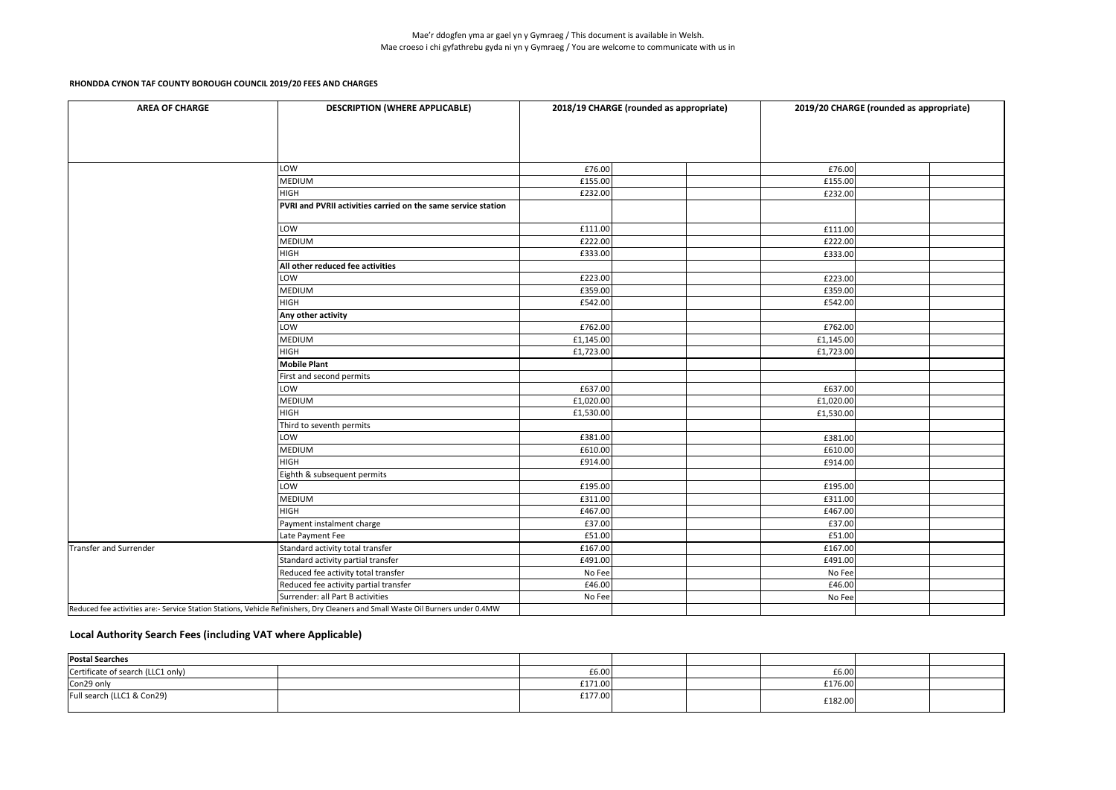| <b>DESCRIPTION (WHERE APPLICABLE)</b><br><b>AREA OF CHARGE</b> |                                                                                                                                  |           | 2018/19 CHARGE (rounded as appropriate) | 2019/20 CHARGE (rounded as appropriate) |  |  |
|----------------------------------------------------------------|----------------------------------------------------------------------------------------------------------------------------------|-----------|-----------------------------------------|-----------------------------------------|--|--|
|                                                                |                                                                                                                                  |           |                                         |                                         |  |  |
|                                                                |                                                                                                                                  |           |                                         |                                         |  |  |
|                                                                | LOW                                                                                                                              | £76.00    |                                         | £76.00                                  |  |  |
|                                                                | <b>MEDIUM</b>                                                                                                                    | £155.00   |                                         | £155.00                                 |  |  |
|                                                                | <b>HIGH</b>                                                                                                                      | £232.00   |                                         | £232.00                                 |  |  |
|                                                                | PVRI and PVRII activities carried on the same service station                                                                    |           |                                         |                                         |  |  |
|                                                                | LOW                                                                                                                              | £111.00   |                                         | £111.00                                 |  |  |
|                                                                | <b>MEDIUM</b>                                                                                                                    | £222.00   |                                         | £222.00                                 |  |  |
|                                                                | <b>HIGH</b>                                                                                                                      | £333.00   |                                         | £333.00                                 |  |  |
|                                                                | All other reduced fee activities                                                                                                 |           |                                         |                                         |  |  |
|                                                                | LOW                                                                                                                              | £223.00   |                                         | £223.00                                 |  |  |
|                                                                | <b>MEDIUM</b>                                                                                                                    | £359.00   |                                         | £359.00                                 |  |  |
|                                                                | <b>HIGH</b>                                                                                                                      | £542.00   |                                         | £542.00                                 |  |  |
|                                                                | Any other activity                                                                                                               |           |                                         |                                         |  |  |
|                                                                | LOW                                                                                                                              | £762.00   |                                         | £762.00                                 |  |  |
|                                                                | <b>MEDIUM</b>                                                                                                                    | £1,145.00 |                                         | £1,145.00                               |  |  |
|                                                                | <b>HIGH</b>                                                                                                                      | £1,723.00 |                                         | £1,723.00                               |  |  |
|                                                                | <b>Mobile Plant</b>                                                                                                              |           |                                         |                                         |  |  |
|                                                                | First and second permits                                                                                                         |           |                                         |                                         |  |  |
|                                                                | LOW                                                                                                                              | £637.00   |                                         | £637.00                                 |  |  |
|                                                                | <b>MEDIUM</b>                                                                                                                    | £1,020.00 |                                         | £1,020.00                               |  |  |
|                                                                | <b>HIGH</b>                                                                                                                      | £1,530.00 |                                         | £1,530.00                               |  |  |
|                                                                | Third to seventh permits                                                                                                         |           |                                         |                                         |  |  |
|                                                                | LOW                                                                                                                              | £381.00   |                                         | £381.00                                 |  |  |
|                                                                | <b>MEDIUM</b>                                                                                                                    | £610.00   |                                         | £610.00                                 |  |  |
|                                                                | <b>HIGH</b>                                                                                                                      | £914.00   |                                         | £914.00                                 |  |  |
|                                                                | Eighth & subsequent permits                                                                                                      |           |                                         |                                         |  |  |
|                                                                | LOW                                                                                                                              | £195.00   |                                         | £195.00                                 |  |  |
|                                                                | <b>MEDIUM</b>                                                                                                                    | £311.00   |                                         | £311.00                                 |  |  |
|                                                                | <b>HIGH</b>                                                                                                                      | £467.00   |                                         | £467.00                                 |  |  |
|                                                                | Payment instalment charge                                                                                                        | £37.00    |                                         | £37.00                                  |  |  |
|                                                                | Late Payment Fee                                                                                                                 | £51.00    |                                         | £51.00                                  |  |  |
| Transfer and Surrender                                         | Standard activity total transfer                                                                                                 | £167.00   |                                         | £167.00                                 |  |  |
|                                                                | Standard activity partial transfer                                                                                               | £491.00   |                                         | £491.00                                 |  |  |
|                                                                | Reduced fee activity total transfer                                                                                              | No Fee    |                                         | No Fee                                  |  |  |
|                                                                | Reduced fee activity partial transfer                                                                                            | £46.00    |                                         | £46.00                                  |  |  |
|                                                                | Surrender: all Part B activities                                                                                                 | No Fee    |                                         | No Fee                                  |  |  |
|                                                                | Reduced fee activities are:- Service Station Stations, Vehicle Refinishers, Dry Cleaners and Small Waste Oil Burners under 0.4MW |           |                                         |                                         |  |  |

| <b>Postal Searches</b>            |         |  |         |  |
|-----------------------------------|---------|--|---------|--|
| Certificate of search (LLC1 only) | £6.00   |  | £6.00   |  |
| Con29 only                        | £171.00 |  | £176.00 |  |
| Full search (LLC1 & Con29)        | £177.00 |  | £182.00 |  |

## **Local Authority Search Fees (including VAT where Applicable)**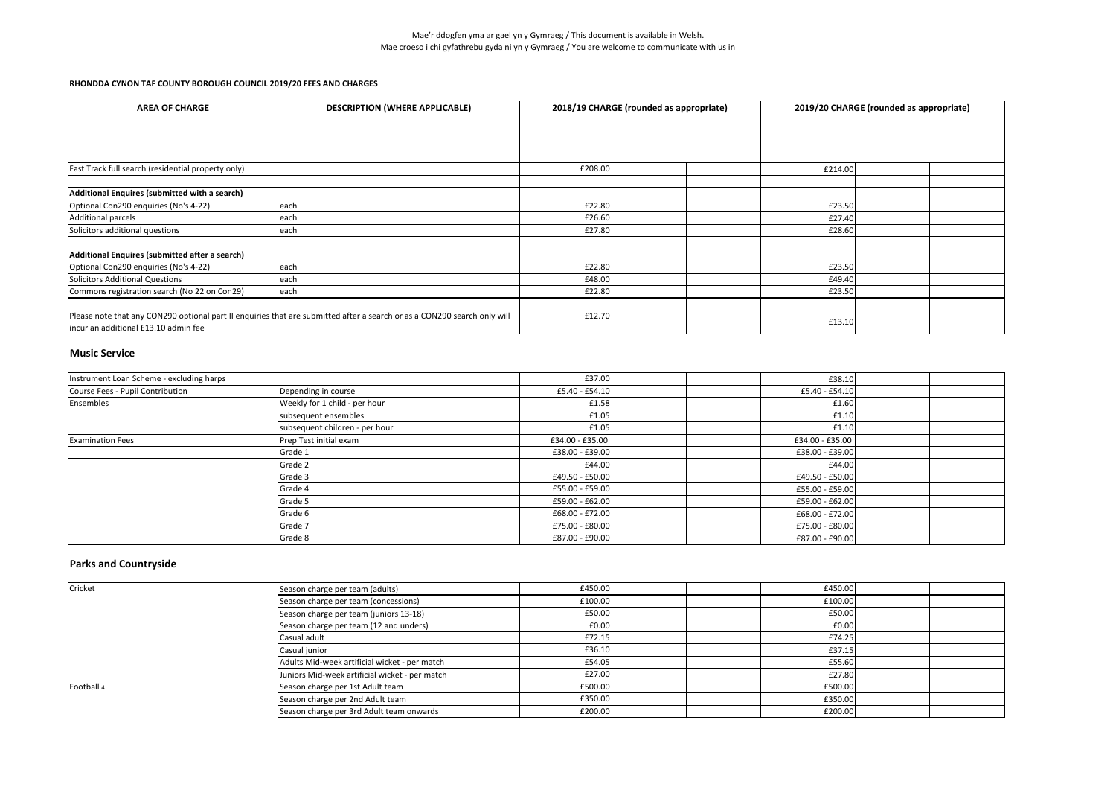### **Music Service**

| <b>AREA OF CHARGE</b>                                                                                                                                            | <b>DESCRIPTION (WHERE APPLICABLE)</b> | 2018/19 CHARGE (rounded as appropriate) | 2019/20 CHARGE (rounded as appropriate) |  |
|------------------------------------------------------------------------------------------------------------------------------------------------------------------|---------------------------------------|-----------------------------------------|-----------------------------------------|--|
|                                                                                                                                                                  |                                       |                                         |                                         |  |
|                                                                                                                                                                  |                                       |                                         |                                         |  |
|                                                                                                                                                                  |                                       |                                         |                                         |  |
| <b>Fast Track full search (residential property only)</b>                                                                                                        |                                       | £208.00                                 | £214.00                                 |  |
| Additional Enquires (submitted with a search)                                                                                                                    |                                       |                                         |                                         |  |
| Optional Con290 enquiries (No's 4-22)                                                                                                                            | each                                  | £22.80                                  | £23.50                                  |  |
| Additional parcels                                                                                                                                               | each                                  | £26.60                                  | £27.40                                  |  |
| Solicitors additional questions                                                                                                                                  | each                                  | £27.80                                  | £28.60                                  |  |
| Additional Enquires (submitted after a search)                                                                                                                   |                                       |                                         |                                         |  |
| Optional Con290 enquiries (No's 4-22)                                                                                                                            | each                                  | £22.80                                  | £23.50                                  |  |
| Solicitors Additional Questions                                                                                                                                  | each                                  | £48.00                                  | £49.40                                  |  |
| Commons registration search (No 22 on Con29)                                                                                                                     | each                                  | £22.80                                  | £23.50                                  |  |
| Please note that any CON290 optional part II enquiries that are submitted after a search or as a CON290 search only will<br>incur an additional £13.10 admin fee |                                       | £12.70                                  | £13.10                                  |  |

## **Parks and Countryside**

| Instrument Loan Scheme - excluding harps |                                | £37.00          | £38.10           |  |
|------------------------------------------|--------------------------------|-----------------|------------------|--|
| Course Fees - Pupil Contribution         | Depending in course            | £5.40 - £54.10  | $£5.40 - £54.10$ |  |
| Ensembles                                | Weekly for 1 child - per hour  | £1.58           | £1.60            |  |
|                                          | subsequent ensembles           | £1.05           | £1.10            |  |
|                                          | subsequent children - per hour | £1.05           | £1.10            |  |
| <b>Examination Fees</b>                  | Prep Test initial exam         | £34.00 - £35.00 | £34.00 - £35.00  |  |
|                                          | Grade 1                        | £38.00 - £39.00 | £38.00 - £39.00  |  |
|                                          | Grade 2                        | £44.00          | £44.00           |  |
|                                          | Grade 3                        | £49.50 - £50.00 | £49.50 - £50.00  |  |
|                                          | Grade 4                        | £55.00 - £59.00 | £55.00 - £59.00  |  |
|                                          | Grade 5                        | £59.00 - £62.00 | £59.00 - £62.00  |  |
|                                          | Grade 6                        | £68.00 - £72.00 | £68.00 - £72.00  |  |
|                                          | Grade 7                        | £75.00 - £80.00 | £75.00 - £80.00  |  |
|                                          | Grade 8                        | £87.00 - £90.00 | £87.00 - £90.00  |  |

| Cricket    | Season charge per team (adults)                | £450.00 |  | £450.00 |  |
|------------|------------------------------------------------|---------|--|---------|--|
|            | Season charge per team (concessions)           | £100.00 |  | £100.00 |  |
|            | Season charge per team (juniors 13-18)         | £50.00  |  | £50.00  |  |
|            | Season charge per team (12 and unders)         | £0.00   |  | £0.00   |  |
|            | Casual adult                                   | £72.15  |  | £74.25  |  |
|            | Casual junior                                  | £36.10  |  | £37.15  |  |
|            | Adults Mid-week artificial wicket - per match  | £54.05  |  | £55.60  |  |
|            | Juniors Mid-week artificial wicket - per match | £27.00  |  | £27.80  |  |
| Football 4 | Season charge per 1st Adult team               | £500.00 |  | £500.00 |  |
|            | Season charge per 2nd Adult team               | £350.00 |  | £350.00 |  |
|            | Season charge per 3rd Adult team onwards       | £200.00 |  | £200.00 |  |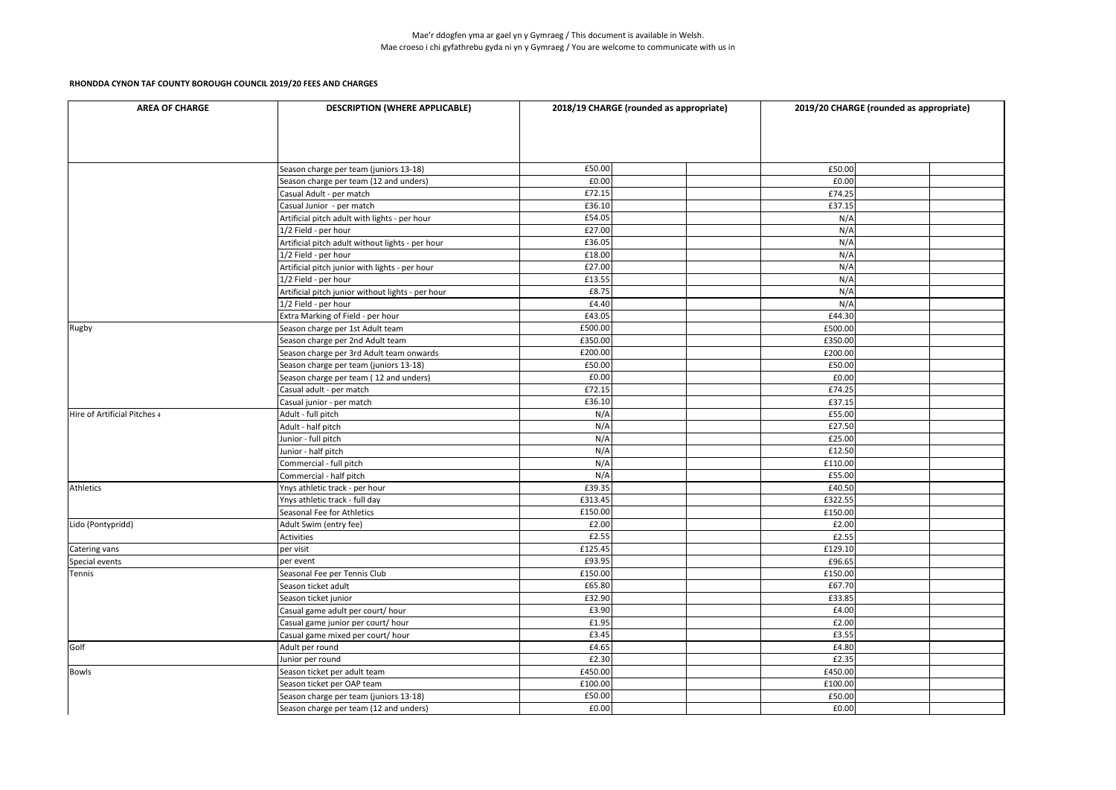| <b>AREA OF CHARGE</b>        | <b>DESCRIPTION (WHERE APPLICABLE)</b>             | 2018/19 CHARGE (rounded as appropriate) | 2019/20 CHARGE (rounded as appropriate) |
|------------------------------|---------------------------------------------------|-----------------------------------------|-----------------------------------------|
|                              |                                                   |                                         |                                         |
|                              | Season charge per team (juniors 13-18)            | £50.00                                  | £50.00                                  |
|                              | Season charge per team (12 and unders)            | £0.00                                   | £0.00                                   |
|                              | Casual Adult - per match                          | £72.15                                  | £74.25                                  |
|                              | Casual Junior - per match                         | £36.10                                  | £37.15                                  |
|                              | Artificial pitch adult with lights - per hour     | £54.05                                  | N/A                                     |
|                              | 1/2 Field - per hour                              | £27.00                                  | N/A                                     |
|                              | Artificial pitch adult without lights - per hour  | £36.05                                  | N/A                                     |
|                              | 1/2 Field - per hour                              | £18.00                                  | N/A                                     |
|                              | Artificial pitch junior with lights - per hour    | £27.00                                  | N/A                                     |
|                              | 1/2 Field - per hour                              | £13.55                                  | N/A                                     |
|                              | Artificial pitch junior without lights - per hour | £8.75                                   | N/A                                     |
|                              | 1/2 Field - per hour                              | £4.40                                   | N/A                                     |
|                              | Extra Marking of Field - per hour                 | £43.05                                  | £44.30                                  |
| Rugby                        | Season charge per 1st Adult team                  | £500.00                                 | £500.00                                 |
|                              | Season charge per 2nd Adult team                  | £350.00                                 | £350.00                                 |
|                              | Season charge per 3rd Adult team onwards          | £200.00                                 | £200.00                                 |
|                              | Season charge per team (juniors 13-18)            | £50.00                                  | £50.00                                  |
|                              | Season charge per team (12 and unders)            | £0.00                                   | £0.00                                   |
|                              | Casual adult - per match                          | £72.15                                  | £74.25                                  |
|                              | Casual junior - per match                         | £36.10                                  | £37.15                                  |
| Hire of Artificial Pitches 4 | Adult - full pitch                                | N/A                                     | £55.00                                  |
|                              | Adult - half pitch                                | N/A                                     | £27.50                                  |
|                              | Junior - full pitch                               | N/A                                     | £25.00                                  |
|                              | Junior - half pitch                               | N/A                                     | £12.50                                  |
|                              | Commercial - full pitch                           | N/A                                     | £110.00                                 |
|                              | Commercial - half pitch                           | N/A                                     | £55.00                                  |
| Athletics                    | Ynys athletic track - per hour                    | £39.35                                  | £40.50                                  |
|                              | Ynys athletic track - full day                    | £313.45                                 | £322.55                                 |
|                              | Seasonal Fee for Athletics                        | £150.00                                 | £150.00                                 |
| Lido (Pontypridd)            | Adult Swim (entry fee)                            | £2.00                                   | £2.00                                   |
|                              | Activities                                        | £2.55                                   | £2.55                                   |
| Catering vans                | per visit                                         | £125.45                                 | £129.10                                 |
| Special events               | per event                                         | £93.95                                  | £96.65                                  |
| Tennis                       | Seasonal Fee per Tennis Club                      | £150.00                                 | £150.00                                 |
|                              | Season ticket adult                               | £65.80                                  | £67.70                                  |
|                              | Season ticket junior                              | £32.90                                  | £33.85                                  |
|                              | Casual game adult per court/ hour                 | £3.90                                   | £4.00                                   |
|                              | Casual game junior per court/ hour                | £1.95                                   | £2.00                                   |
|                              | Casual game mixed per court/ hour                 | £3.45                                   | £3.55                                   |
| Golf                         | Adult per round                                   | £4.65                                   | £4.80                                   |
|                              | Junior per round                                  | £2.30                                   | £2.35                                   |
| Bowls                        | Season ticket per adult team                      | £450.00                                 | £450.00                                 |
|                              | Season ticket per OAP team                        | £100.00                                 | £100.00                                 |
|                              | Season charge per team (juniors 13-18)            | £50.00                                  | £50.00                                  |
|                              | Season charge per team (12 and unders)            | £0.00                                   | £0.00                                   |
|                              |                                                   |                                         |                                         |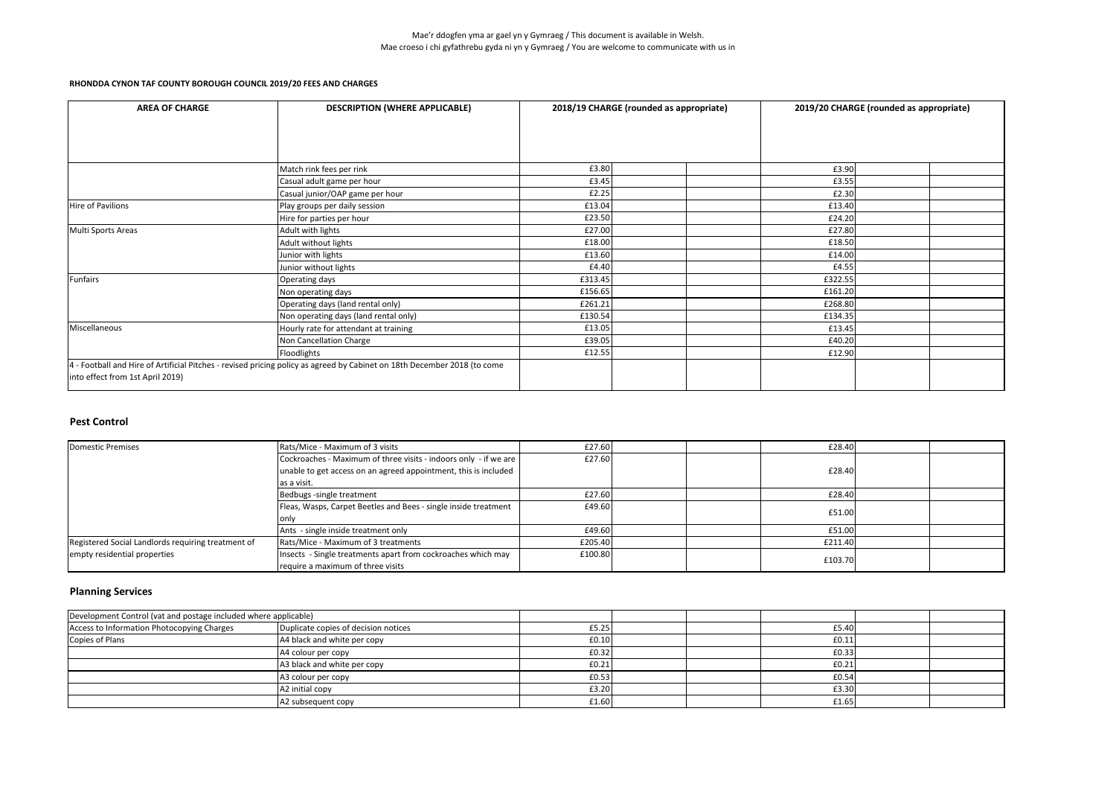### **Pest Control**

| <b>AREA OF CHARGE</b>            | <b>DESCRIPTION (WHERE APPLICABLE)</b>                                                                                    | 2018/19 CHARGE (rounded as appropriate) | 2019/20 CHARGE (rounded as appropriate) |  |
|----------------------------------|--------------------------------------------------------------------------------------------------------------------------|-----------------------------------------|-----------------------------------------|--|
|                                  |                                                                                                                          |                                         |                                         |  |
|                                  |                                                                                                                          |                                         |                                         |  |
|                                  |                                                                                                                          |                                         |                                         |  |
|                                  | Match rink fees per rink                                                                                                 | £3.80                                   | £3.90                                   |  |
|                                  | Casual adult game per hour                                                                                               | £3.45                                   | £3.55                                   |  |
|                                  | Casual junior/OAP game per hour                                                                                          | £2.25                                   | £2.30                                   |  |
| Hire of Pavilions                | Play groups per daily session                                                                                            | £13.04                                  | £13.40                                  |  |
|                                  | Hire for parties per hour                                                                                                | £23.50                                  | £24.20                                  |  |
| Multi Sports Areas               | Adult with lights                                                                                                        | £27.00                                  | £27.80                                  |  |
|                                  | Adult without lights                                                                                                     | £18.00                                  | £18.50                                  |  |
|                                  | Junior with lights                                                                                                       | £13.60                                  | £14.00                                  |  |
|                                  | Junior without lights                                                                                                    | £4.40                                   | £4.55                                   |  |
| Funfairs                         | Operating days                                                                                                           | £313.45                                 | £322.55                                 |  |
|                                  | Non operating days                                                                                                       | £156.65                                 | £161.20                                 |  |
|                                  | Operating days (land rental only)                                                                                        | £261.21                                 | £268.80                                 |  |
|                                  | Non operating days (land rental only)                                                                                    | £130.54                                 | £134.35                                 |  |
| Miscellaneous                    | Hourly rate for attendant at training                                                                                    | £13.05                                  | £13.45                                  |  |
|                                  | Non Cancellation Charge                                                                                                  | £39.05                                  | £40.20                                  |  |
|                                  | Floodlights                                                                                                              | £12.55                                  | £12.90                                  |  |
|                                  | 4 - Football and Hire of Artificial Pitches - revised pricing policy as agreed by Cabinet on 18th December 2018 (to come |                                         |                                         |  |
| into effect from 1st April 2019) |                                                                                                                          |                                         |                                         |  |

| Domestic Premises                                  | Rats/Mice - Maximum of 3 visits                                                                   | £27.60  | £28.40  |  |
|----------------------------------------------------|---------------------------------------------------------------------------------------------------|---------|---------|--|
|                                                    | Cockroaches - Maximum of three visits - indoors only - if we are                                  | £27.60  |         |  |
|                                                    | unable to get access on an agreed appointment, this is included                                   |         | £28.40  |  |
|                                                    | as a visit.                                                                                       |         |         |  |
|                                                    | Bedbugs -single treatment                                                                         | £27.60  | £28.40  |  |
|                                                    | Fleas, Wasps, Carpet Beetles and Bees - single inside treatment                                   | £49.60  | £51.00  |  |
|                                                    |                                                                                                   |         |         |  |
|                                                    | Ants - single inside treatment only                                                               | £49.60  | £51.00  |  |
| Registered Social Landlords requiring treatment of | Rats/Mice - Maximum of 3 treatments                                                               | £205.40 | £211.40 |  |
| empty residential properties                       | Insects - Single treatments apart from cockroaches which may<br>require a maximum of three visits | £100.80 | £103.70 |  |

# **Planning Services**

| Development Control (vat and postage included where applicable) |                                      |       |       |  |
|-----------------------------------------------------------------|--------------------------------------|-------|-------|--|
| Access to Information Photocopying Charges                      | Duplicate copies of decision notices | £5.25 | £5.40 |  |
| Copies of Plans                                                 | A4 black and white per copy          | £0.10 | £0.11 |  |
|                                                                 | A4 colour per copy                   | £0.32 | £0.33 |  |
|                                                                 | A3 black and white per copy          | f0.21 | E0.21 |  |
|                                                                 | A3 colour per copy                   | E0.53 | £0.54 |  |
|                                                                 | A2 initial copy                      | £3.20 | £3.30 |  |
|                                                                 | A2 subsequent copy                   | £1.60 | £1.65 |  |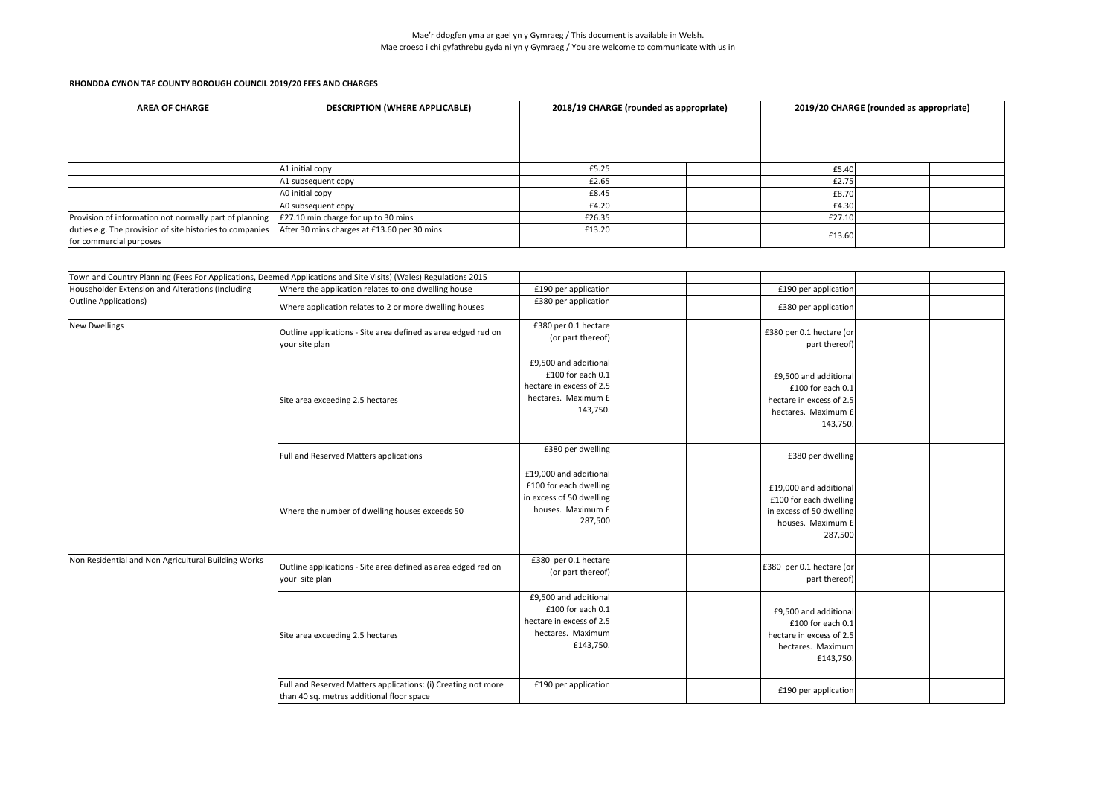| <b>AREA OF CHARGE</b>                                                               | <b>DESCRIPTION (WHERE APPLICABLE)</b>       | 2018/19 CHARGE (rounded as appropriate) |  |        | 2019/20 CHARGE (rounded as appropriate) |  |
|-------------------------------------------------------------------------------------|---------------------------------------------|-----------------------------------------|--|--------|-----------------------------------------|--|
|                                                                                     |                                             |                                         |  |        |                                         |  |
|                                                                                     | A1 initial copy                             | £5.25                                   |  | £5.40  |                                         |  |
|                                                                                     | A1 subsequent copy                          | £2.65                                   |  | £2.75  |                                         |  |
|                                                                                     | A0 initial copy                             | £8.45                                   |  | £8.70  |                                         |  |
|                                                                                     | A0 subsequent copy                          | £4.20                                   |  | £4.30  |                                         |  |
| Provision of information not normally part of planning                              | E27.10 min charge for up to 30 mins         | £26.35                                  |  | £27.10 |                                         |  |
| duties e.g. The provision of site histories to companies<br>for commercial purposes | After 30 mins charges at £13.60 per 30 mins | £13.20                                  |  | £13.60 |                                         |  |

| Town and Country Planning (Fees For Applications, Deemed Applications and Site Visits) (Wales) Regulations 2015<br>Householder Extension and Alterations (Including<br>Where the application relates to one dwelling house<br>£190 per application<br>£190 per application<br>£380 per application<br>Outline Applications)<br>Where application relates to 2 or more dwelling houses<br>£380 per application<br><b>New Dwellings</b><br>£380 per 0.1 hectare<br>Outline applications - Site area defined as area edged red on<br>£380 per 0.1 hectare (or<br>(or part thereof)<br>your site plan<br>part thereof)<br>£9,500 and additional<br>£100 for each 0.1<br>£9,500 and additional<br>hectare in excess of 2.5<br>£100 for each 0.1<br>hectares. Maximum £<br>Site area exceeding 2.5 hectares<br>hectare in excess of 2.5<br>143,750.<br>hectares. Maximum £<br>143,750.<br>£380 per dwelling<br>Full and Reserved Matters applications<br>£380 per dwelling<br>£19,000 and additional<br>£100 for each dwelling<br>£19,000 and additional<br>in excess of 50 dwelling<br>£100 for each dwelling<br>houses. Maximum £<br>in excess of 50 dwelling<br>Where the number of dwelling houses exceeds 50<br>287,500<br>houses. Maximum £<br>287,500<br>Non Residential and Non Agricultural Building Works<br>£380 per 0.1 hectare<br>£380 per 0.1 hectare (or<br>Outline applications - Site area defined as area edged red on<br>(or part thereof)<br>part thereof)<br>your site plan<br>£9,500 and additional<br>£100 for each 0.1<br>£9,500 and additional<br>hectare in excess of 2.5<br>£100 for each 0.1<br>hectares. Maximum<br>hectare in excess of 2.5<br>Site area exceeding 2.5 hectares<br>£143,750.<br>hectares. Maximum |  |  |           |  |
|-------------------------------------------------------------------------------------------------------------------------------------------------------------------------------------------------------------------------------------------------------------------------------------------------------------------------------------------------------------------------------------------------------------------------------------------------------------------------------------------------------------------------------------------------------------------------------------------------------------------------------------------------------------------------------------------------------------------------------------------------------------------------------------------------------------------------------------------------------------------------------------------------------------------------------------------------------------------------------------------------------------------------------------------------------------------------------------------------------------------------------------------------------------------------------------------------------------------------------------------------------------------------------------------------------------------------------------------------------------------------------------------------------------------------------------------------------------------------------------------------------------------------------------------------------------------------------------------------------------------------------------------------------------------------------------------------------------------------------------------|--|--|-----------|--|
|                                                                                                                                                                                                                                                                                                                                                                                                                                                                                                                                                                                                                                                                                                                                                                                                                                                                                                                                                                                                                                                                                                                                                                                                                                                                                                                                                                                                                                                                                                                                                                                                                                                                                                                                           |  |  |           |  |
|                                                                                                                                                                                                                                                                                                                                                                                                                                                                                                                                                                                                                                                                                                                                                                                                                                                                                                                                                                                                                                                                                                                                                                                                                                                                                                                                                                                                                                                                                                                                                                                                                                                                                                                                           |  |  |           |  |
|                                                                                                                                                                                                                                                                                                                                                                                                                                                                                                                                                                                                                                                                                                                                                                                                                                                                                                                                                                                                                                                                                                                                                                                                                                                                                                                                                                                                                                                                                                                                                                                                                                                                                                                                           |  |  |           |  |
|                                                                                                                                                                                                                                                                                                                                                                                                                                                                                                                                                                                                                                                                                                                                                                                                                                                                                                                                                                                                                                                                                                                                                                                                                                                                                                                                                                                                                                                                                                                                                                                                                                                                                                                                           |  |  |           |  |
|                                                                                                                                                                                                                                                                                                                                                                                                                                                                                                                                                                                                                                                                                                                                                                                                                                                                                                                                                                                                                                                                                                                                                                                                                                                                                                                                                                                                                                                                                                                                                                                                                                                                                                                                           |  |  |           |  |
|                                                                                                                                                                                                                                                                                                                                                                                                                                                                                                                                                                                                                                                                                                                                                                                                                                                                                                                                                                                                                                                                                                                                                                                                                                                                                                                                                                                                                                                                                                                                                                                                                                                                                                                                           |  |  |           |  |
|                                                                                                                                                                                                                                                                                                                                                                                                                                                                                                                                                                                                                                                                                                                                                                                                                                                                                                                                                                                                                                                                                                                                                                                                                                                                                                                                                                                                                                                                                                                                                                                                                                                                                                                                           |  |  |           |  |
|                                                                                                                                                                                                                                                                                                                                                                                                                                                                                                                                                                                                                                                                                                                                                                                                                                                                                                                                                                                                                                                                                                                                                                                                                                                                                                                                                                                                                                                                                                                                                                                                                                                                                                                                           |  |  |           |  |
|                                                                                                                                                                                                                                                                                                                                                                                                                                                                                                                                                                                                                                                                                                                                                                                                                                                                                                                                                                                                                                                                                                                                                                                                                                                                                                                                                                                                                                                                                                                                                                                                                                                                                                                                           |  |  |           |  |
|                                                                                                                                                                                                                                                                                                                                                                                                                                                                                                                                                                                                                                                                                                                                                                                                                                                                                                                                                                                                                                                                                                                                                                                                                                                                                                                                                                                                                                                                                                                                                                                                                                                                                                                                           |  |  |           |  |
|                                                                                                                                                                                                                                                                                                                                                                                                                                                                                                                                                                                                                                                                                                                                                                                                                                                                                                                                                                                                                                                                                                                                                                                                                                                                                                                                                                                                                                                                                                                                                                                                                                                                                                                                           |  |  |           |  |
|                                                                                                                                                                                                                                                                                                                                                                                                                                                                                                                                                                                                                                                                                                                                                                                                                                                                                                                                                                                                                                                                                                                                                                                                                                                                                                                                                                                                                                                                                                                                                                                                                                                                                                                                           |  |  |           |  |
|                                                                                                                                                                                                                                                                                                                                                                                                                                                                                                                                                                                                                                                                                                                                                                                                                                                                                                                                                                                                                                                                                                                                                                                                                                                                                                                                                                                                                                                                                                                                                                                                                                                                                                                                           |  |  |           |  |
|                                                                                                                                                                                                                                                                                                                                                                                                                                                                                                                                                                                                                                                                                                                                                                                                                                                                                                                                                                                                                                                                                                                                                                                                                                                                                                                                                                                                                                                                                                                                                                                                                                                                                                                                           |  |  |           |  |
|                                                                                                                                                                                                                                                                                                                                                                                                                                                                                                                                                                                                                                                                                                                                                                                                                                                                                                                                                                                                                                                                                                                                                                                                                                                                                                                                                                                                                                                                                                                                                                                                                                                                                                                                           |  |  |           |  |
|                                                                                                                                                                                                                                                                                                                                                                                                                                                                                                                                                                                                                                                                                                                                                                                                                                                                                                                                                                                                                                                                                                                                                                                                                                                                                                                                                                                                                                                                                                                                                                                                                                                                                                                                           |  |  |           |  |
|                                                                                                                                                                                                                                                                                                                                                                                                                                                                                                                                                                                                                                                                                                                                                                                                                                                                                                                                                                                                                                                                                                                                                                                                                                                                                                                                                                                                                                                                                                                                                                                                                                                                                                                                           |  |  |           |  |
|                                                                                                                                                                                                                                                                                                                                                                                                                                                                                                                                                                                                                                                                                                                                                                                                                                                                                                                                                                                                                                                                                                                                                                                                                                                                                                                                                                                                                                                                                                                                                                                                                                                                                                                                           |  |  |           |  |
|                                                                                                                                                                                                                                                                                                                                                                                                                                                                                                                                                                                                                                                                                                                                                                                                                                                                                                                                                                                                                                                                                                                                                                                                                                                                                                                                                                                                                                                                                                                                                                                                                                                                                                                                           |  |  |           |  |
|                                                                                                                                                                                                                                                                                                                                                                                                                                                                                                                                                                                                                                                                                                                                                                                                                                                                                                                                                                                                                                                                                                                                                                                                                                                                                                                                                                                                                                                                                                                                                                                                                                                                                                                                           |  |  |           |  |
|                                                                                                                                                                                                                                                                                                                                                                                                                                                                                                                                                                                                                                                                                                                                                                                                                                                                                                                                                                                                                                                                                                                                                                                                                                                                                                                                                                                                                                                                                                                                                                                                                                                                                                                                           |  |  |           |  |
|                                                                                                                                                                                                                                                                                                                                                                                                                                                                                                                                                                                                                                                                                                                                                                                                                                                                                                                                                                                                                                                                                                                                                                                                                                                                                                                                                                                                                                                                                                                                                                                                                                                                                                                                           |  |  |           |  |
|                                                                                                                                                                                                                                                                                                                                                                                                                                                                                                                                                                                                                                                                                                                                                                                                                                                                                                                                                                                                                                                                                                                                                                                                                                                                                                                                                                                                                                                                                                                                                                                                                                                                                                                                           |  |  |           |  |
|                                                                                                                                                                                                                                                                                                                                                                                                                                                                                                                                                                                                                                                                                                                                                                                                                                                                                                                                                                                                                                                                                                                                                                                                                                                                                                                                                                                                                                                                                                                                                                                                                                                                                                                                           |  |  |           |  |
|                                                                                                                                                                                                                                                                                                                                                                                                                                                                                                                                                                                                                                                                                                                                                                                                                                                                                                                                                                                                                                                                                                                                                                                                                                                                                                                                                                                                                                                                                                                                                                                                                                                                                                                                           |  |  |           |  |
|                                                                                                                                                                                                                                                                                                                                                                                                                                                                                                                                                                                                                                                                                                                                                                                                                                                                                                                                                                                                                                                                                                                                                                                                                                                                                                                                                                                                                                                                                                                                                                                                                                                                                                                                           |  |  |           |  |
|                                                                                                                                                                                                                                                                                                                                                                                                                                                                                                                                                                                                                                                                                                                                                                                                                                                                                                                                                                                                                                                                                                                                                                                                                                                                                                                                                                                                                                                                                                                                                                                                                                                                                                                                           |  |  |           |  |
|                                                                                                                                                                                                                                                                                                                                                                                                                                                                                                                                                                                                                                                                                                                                                                                                                                                                                                                                                                                                                                                                                                                                                                                                                                                                                                                                                                                                                                                                                                                                                                                                                                                                                                                                           |  |  |           |  |
|                                                                                                                                                                                                                                                                                                                                                                                                                                                                                                                                                                                                                                                                                                                                                                                                                                                                                                                                                                                                                                                                                                                                                                                                                                                                                                                                                                                                                                                                                                                                                                                                                                                                                                                                           |  |  |           |  |
|                                                                                                                                                                                                                                                                                                                                                                                                                                                                                                                                                                                                                                                                                                                                                                                                                                                                                                                                                                                                                                                                                                                                                                                                                                                                                                                                                                                                                                                                                                                                                                                                                                                                                                                                           |  |  |           |  |
|                                                                                                                                                                                                                                                                                                                                                                                                                                                                                                                                                                                                                                                                                                                                                                                                                                                                                                                                                                                                                                                                                                                                                                                                                                                                                                                                                                                                                                                                                                                                                                                                                                                                                                                                           |  |  | £143,750. |  |
|                                                                                                                                                                                                                                                                                                                                                                                                                                                                                                                                                                                                                                                                                                                                                                                                                                                                                                                                                                                                                                                                                                                                                                                                                                                                                                                                                                                                                                                                                                                                                                                                                                                                                                                                           |  |  |           |  |
| £190 per application<br>Full and Reserved Matters applications: (i) Creating not more                                                                                                                                                                                                                                                                                                                                                                                                                                                                                                                                                                                                                                                                                                                                                                                                                                                                                                                                                                                                                                                                                                                                                                                                                                                                                                                                                                                                                                                                                                                                                                                                                                                     |  |  |           |  |
| £190 per application<br>than 40 sq. metres additional floor space                                                                                                                                                                                                                                                                                                                                                                                                                                                                                                                                                                                                                                                                                                                                                                                                                                                                                                                                                                                                                                                                                                                                                                                                                                                                                                                                                                                                                                                                                                                                                                                                                                                                         |  |  |           |  |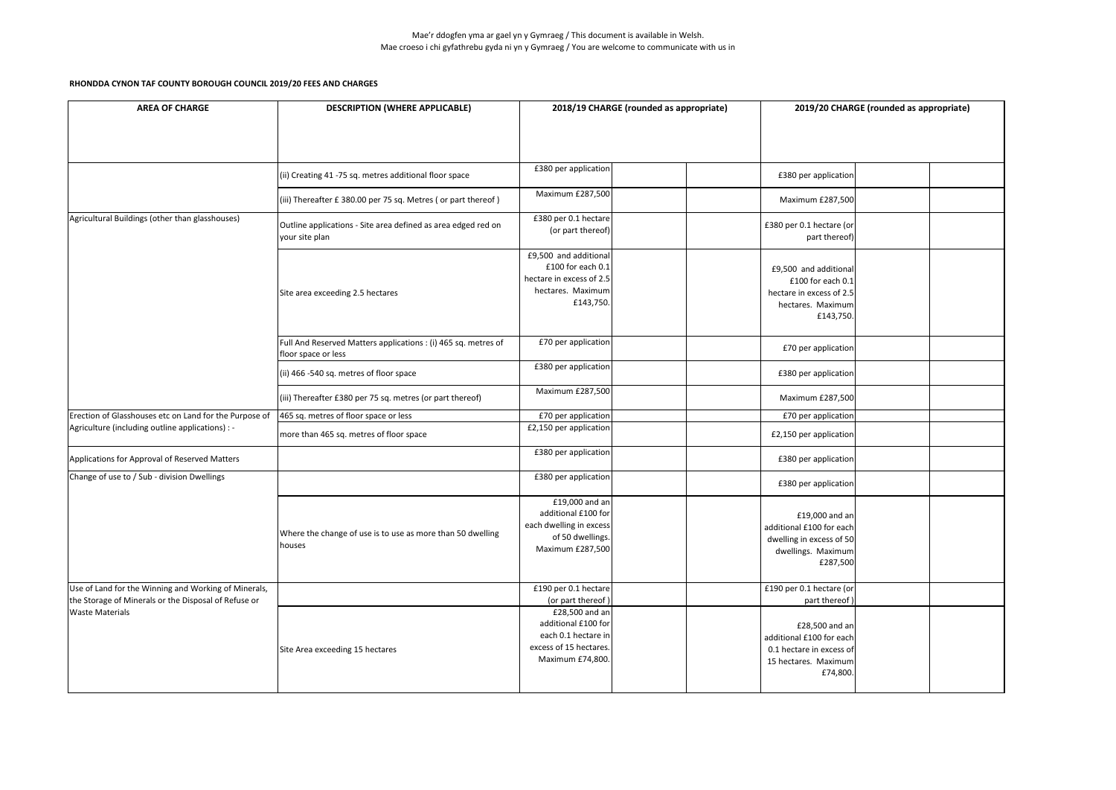Mae'r ddogfen yma ar gael yn y Gymraeg / This document is available in Welsh. Mae croeso i chi gyfathrebu gyda ni yn y Gymraeg / You are welcome to communicate with us in

| <b>AREA OF CHARGE</b>                                                                                        | <b>DESCRIPTION (WHERE APPLICABLE)</b>                                                 |                                                                                                            | 2018/19 CHARGE (rounded as appropriate) |                                                                                                            | 2019/20 CHARGE (rounded as appropriate) |  |
|--------------------------------------------------------------------------------------------------------------|---------------------------------------------------------------------------------------|------------------------------------------------------------------------------------------------------------|-----------------------------------------|------------------------------------------------------------------------------------------------------------|-----------------------------------------|--|
|                                                                                                              |                                                                                       |                                                                                                            |                                         |                                                                                                            |                                         |  |
|                                                                                                              | (ii) Creating 41 -75 sq. metres additional floor space                                | £380 per application                                                                                       |                                         | £380 per application                                                                                       |                                         |  |
|                                                                                                              | (iii) Thereafter £380.00 per 75 sq. Metres (or part thereof)                          | Maximum £287,500                                                                                           |                                         | <b>Maximum £287,500</b>                                                                                    |                                         |  |
| Agricultural Buildings (other than glasshouses)                                                              | Outline applications - Site area defined as area edged red on<br>your site plan       | £380 per 0.1 hectare<br>(or part thereof)                                                                  |                                         | £380 per 0.1 hectare (or<br>part thereof)                                                                  |                                         |  |
|                                                                                                              | Site area exceeding 2.5 hectares                                                      | £9,500 and additional<br>£100 for each 0.1<br>hectare in excess of 2.5<br>hectares. Maximum<br>£143,750.   |                                         | £9,500 and additional<br>£100 for each $0.1$<br>hectare in excess of 2.5<br>hectares. Maximum<br>£143,750. |                                         |  |
|                                                                                                              | Full And Reserved Matters applications : (i) 465 sq. metres of<br>floor space or less | £70 per application                                                                                        |                                         | £70 per application                                                                                        |                                         |  |
|                                                                                                              | (ii) 466 -540 sq. metres of floor space                                               | £380 per application                                                                                       |                                         | £380 per application                                                                                       |                                         |  |
|                                                                                                              | (iii) Thereafter £380 per 75 sq. metres (or part thereof)                             | Maximum £287,500                                                                                           |                                         | <b>Maximum £287,500</b>                                                                                    |                                         |  |
| Erection of Glasshouses etc on Land for the Purpose of                                                       | 465 sq. metres of floor space or less                                                 | £70 per application                                                                                        |                                         | £70 per application                                                                                        |                                         |  |
| Agriculture (including outline applications) : -                                                             | more than 465 sq. metres of floor space                                               | £2,150 per application                                                                                     |                                         | £2,150 per application                                                                                     |                                         |  |
| Applications for Approval of Reserved Matters                                                                |                                                                                       | £380 per application                                                                                       |                                         | £380 per application                                                                                       |                                         |  |
| Change of use to / Sub - division Dwellings                                                                  |                                                                                       | £380 per application                                                                                       |                                         | £380 per application                                                                                       |                                         |  |
|                                                                                                              | Where the change of use is to use as more than 50 dwelling<br>houses                  | £19,000 and an<br>additional £100 for<br>each dwelling in excess<br>of 50 dwellings.<br>Maximum £287,500   |                                         | £19,000 and an<br>additional £100 for each<br>dwelling in excess of 50<br>dwellings. Maximum<br>£287,500   |                                         |  |
| Use of Land for the Winning and Working of Minerals,<br>the Storage of Minerals or the Disposal of Refuse or |                                                                                       | £190 per 0.1 hectare<br>(or part thereof)                                                                  |                                         | £190 per 0.1 hectare (or<br>part thereof)                                                                  |                                         |  |
| <b>Waste Materials</b>                                                                                       | Site Area exceeding 15 hectares                                                       | £28,500 and an<br>additional £100 for<br>each 0.1 hectare in<br>excess of 15 hectares.<br>Maximum £74,800. |                                         | £28,500 and an<br>additional £100 for each<br>0.1 hectare in excess of<br>15 hectares. Maximum<br>£74,800. |                                         |  |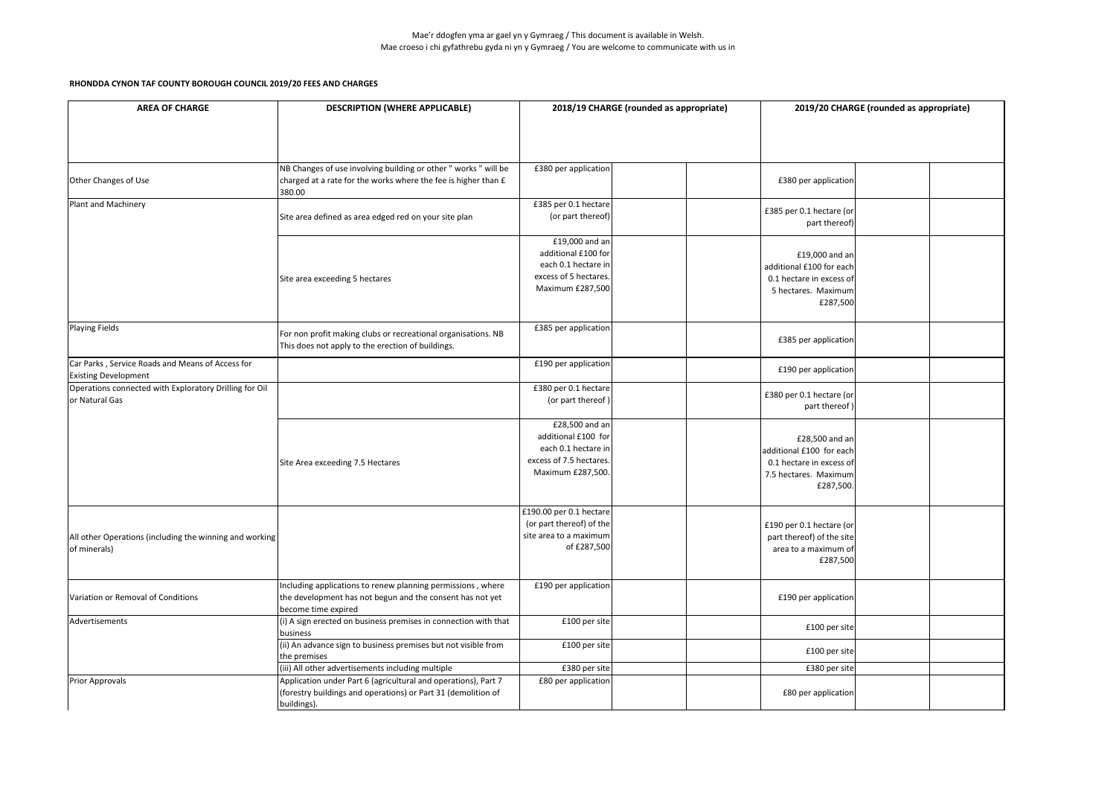| <b>AREA OF CHARGE</b>                                                           | <b>DESCRIPTION (WHERE APPLICABLE)</b>                                                                                                           |                                                                                                              | 2018/19 CHARGE (rounded as appropriate) | 2019/20 CHARGE (rounded as appropriate)                                                                      |  |  |
|---------------------------------------------------------------------------------|-------------------------------------------------------------------------------------------------------------------------------------------------|--------------------------------------------------------------------------------------------------------------|-----------------------------------------|--------------------------------------------------------------------------------------------------------------|--|--|
|                                                                                 |                                                                                                                                                 |                                                                                                              |                                         |                                                                                                              |  |  |
| Other Changes of Use                                                            | NB Changes of use involving building or other " works " will be<br>charged at a rate for the works where the fee is higher than £<br>380.00     | £380 per application                                                                                         |                                         | £380 per application                                                                                         |  |  |
| Plant and Machinery                                                             | Site area defined as area edged red on your site plan                                                                                           | £385 per 0.1 hectare<br>(or part thereof)                                                                    |                                         | £385 per 0.1 hectare (or<br>part thereof)                                                                    |  |  |
|                                                                                 | Site area exceeding 5 hectares                                                                                                                  | £19,000 and an<br>additional £100 for<br>each 0.1 hectare in<br>excess of 5 hectares.<br>Maximum £287,500    |                                         | £19,000 and an<br>additional £100 for each<br>0.1 hectare in excess of<br>5 hectares. Maximum<br>£287,500    |  |  |
| Playing Fields                                                                  | For non profit making clubs or recreational organisations. NB<br>This does not apply to the erection of buildings.                              | £385 per application                                                                                         |                                         | £385 per application                                                                                         |  |  |
| Car Parks, Service Roads and Means of Access for<br><b>Existing Development</b> |                                                                                                                                                 | £190 per application                                                                                         |                                         | £190 per application                                                                                         |  |  |
| Operations connected with Exploratory Drilling for Oil<br>or Natural Gas        |                                                                                                                                                 | £380 per 0.1 hectare<br>(or part thereof)                                                                    |                                         | £380 per 0.1 hectare (or<br>part thereof)                                                                    |  |  |
|                                                                                 | Site Area exceeding 7.5 Hectares                                                                                                                | £28,500 and an<br>additional £100 for<br>each 0.1 hectare in<br>excess of 7.5 hectares.<br>Maximum £287,500. |                                         | £28,500 and an<br>additional £100 for each<br>0.1 hectare in excess of<br>7.5 hectares. Maximum<br>£287,500. |  |  |
| All other Operations (including the winning and working<br>of minerals)         |                                                                                                                                                 | £190.00 per 0.1 hectare<br>(or part thereof) of the<br>site area to a maximum<br>of £287,500                 |                                         | £190 per 0.1 hectare (or<br>part thereof) of the site<br>area to a maximum of<br>£287,500                    |  |  |
| Variation or Removal of Conditions                                              | Including applications to renew planning permissions, where<br>the development has not begun and the consent has not yet<br>become time expired | £190 per application                                                                                         |                                         | £190 per application                                                                                         |  |  |
| Advertisements                                                                  | (i) A sign erected on business premises in connection with that<br>business                                                                     | £100 per site                                                                                                |                                         | £100 per site                                                                                                |  |  |
|                                                                                 | (ii) An advance sign to business premises but not visible from<br>the premises                                                                  | £100 per site                                                                                                |                                         | £100 per site                                                                                                |  |  |
|                                                                                 | (iii) All other advertisements including multiple                                                                                               | £380 per site                                                                                                |                                         | £380 per site                                                                                                |  |  |
| <b>Prior Approvals</b>                                                          | Application under Part 6 (agricultural and operations), Part 7<br>(forestry buildings and operations) or Part 31 (demolition of<br>buildings).  | £80 per application                                                                                          |                                         | £80 per application                                                                                          |  |  |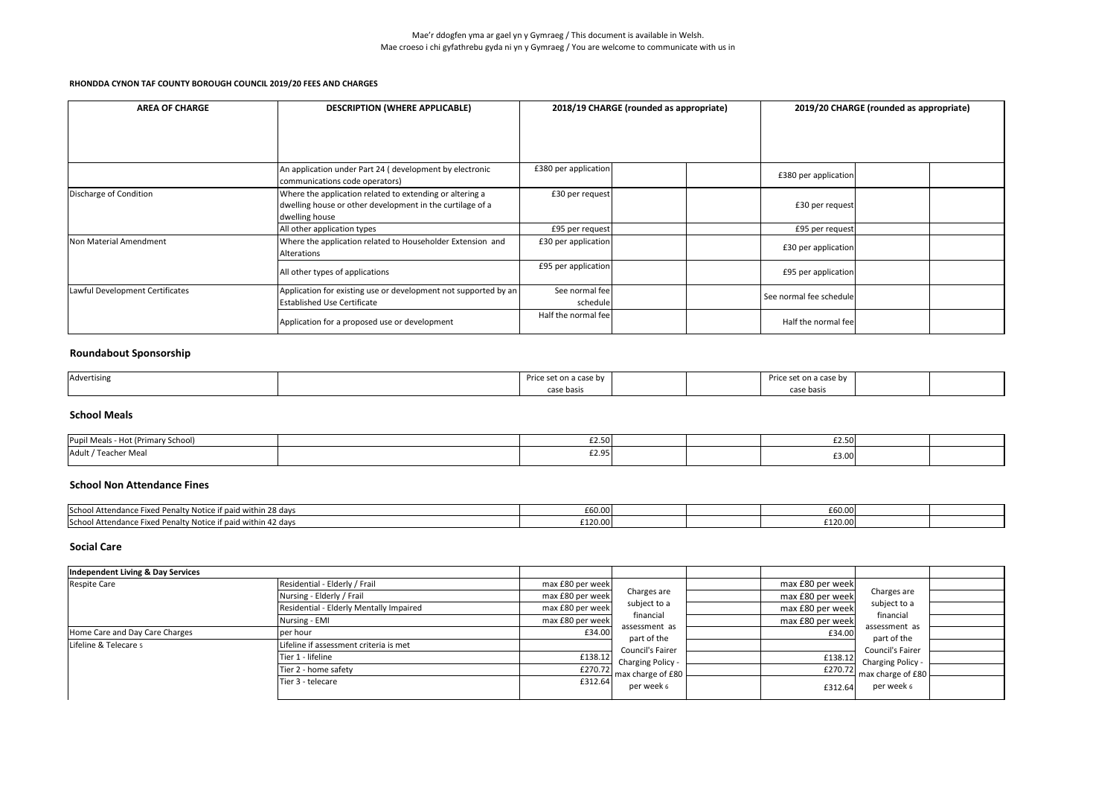## **Roundabout Sponsorship**

| Advertising |            | ີ່ a case by | on a case by |  |
|-------------|------------|--------------|--------------|--|
|             | case basis |              | rase basis   |  |

### **School Meals**

| Pupil Meals - Hot (Primary School) | $\sim$ $\sim$<br>LL.JU | .<br><b>LZ.JU</b> |  |
|------------------------------------|------------------------|-------------------|--|
| Adult / Teacher Meal               | co or<br><b>LZ.JJ</b>  | £3.00             |  |

| <b>AREA OF CHARGE</b>           | <b>DESCRIPTION (WHERE APPLICABLE)</b>                                                                                                   | 2018/19 CHARGE (rounded as appropriate) |  | 2019/20 CHARGE (rounded as appropriate) |  |  |
|---------------------------------|-----------------------------------------------------------------------------------------------------------------------------------------|-----------------------------------------|--|-----------------------------------------|--|--|
|                                 | An application under Part 24 (development by electronic<br>communications code operators)                                               | £380 per application                    |  | £380 per application                    |  |  |
| Discharge of Condition          | Where the application related to extending or altering a<br>dwelling house or other development in the curtilage of a<br>dwelling house | £30 per request                         |  | £30 per request                         |  |  |
|                                 | All other application types                                                                                                             | £95 per request                         |  | £95 per request                         |  |  |
| Non Material Amendment          | Where the application related to Householder Extension and<br>Alterations                                                               | £30 per application                     |  | £30 per application                     |  |  |
|                                 | All other types of applications                                                                                                         | £95 per application                     |  | £95 per application                     |  |  |
| Lawful Development Certificates | Application for existing use or development not supported by an<br><b>Established Use Certificate</b>                                   | See normal fee<br>schedule              |  | See normal fee schedule                 |  |  |
|                                 | Application for a proposed use or development                                                                                           | Half the normal fee                     |  | Half the normal fee                     |  |  |

#### **School Non Attendance Fines**

### **Social Care**

| School Attendance<br>ice Fixed Penalty Notice if paid within 28 days | - 11          |  | $\cdots$<br><i>- 1</i>        |  |
|----------------------------------------------------------------------|---------------|--|-------------------------------|--|
|                                                                      | <b>LOU.UL</b> |  | <b>LOU.UU</b>                 |  |
| School Attendance<br>ice Fixed Penalty Notice if paid within 42 days | £120.00       |  | $\sim$ $\sim$ $\sim$<br>__.v. |  |

| Independent Living & Day Services |                                         |                  |                                                             |                  |                                                                                                           |  |
|-----------------------------------|-----------------------------------------|------------------|-------------------------------------------------------------|------------------|-----------------------------------------------------------------------------------------------------------|--|
| Respite Care                      | Residential - Elderly / Frail           | max £80 per week |                                                             | max £80 per week |                                                                                                           |  |
|                                   | Nursing - Elderly / Frail               | max £80 per week | Charges are                                                 | max £80 per week | Charges are                                                                                               |  |
|                                   | Residential - Elderly Mentally Impaired | max £80 per week | subject to a                                                | max £80 per week | subject to a<br>financial<br>assessment as<br>part of the<br><b>Council's Fairer</b><br>Charging Policy - |  |
|                                   | Nursing - EMI                           | max £80 per week | financial                                                   | max £80 per week |                                                                                                           |  |
| Home Care and Day Care Charges    | per hour                                | £34.00           | assessment as                                               | £34.00           |                                                                                                           |  |
| Lifeline & Telecare 5             | Lifeline if assessment criteria is met  |                  | part of the<br><b>Council's Fairer</b><br>Charging Policy - |                  |                                                                                                           |  |
|                                   | Tier 1 - lifeline                       | £138.12          |                                                             | £138.12          |                                                                                                           |  |
|                                   | Tier 2 - home safety                    | £270.72          | $\blacksquare$ max charge of £80 $\blacksquare$             |                  | $E270.72$ max charge of £80 L                                                                             |  |
|                                   | Tier 3 - telecare                       | £312.64          | per week 6                                                  | £312.64          | per week 6                                                                                                |  |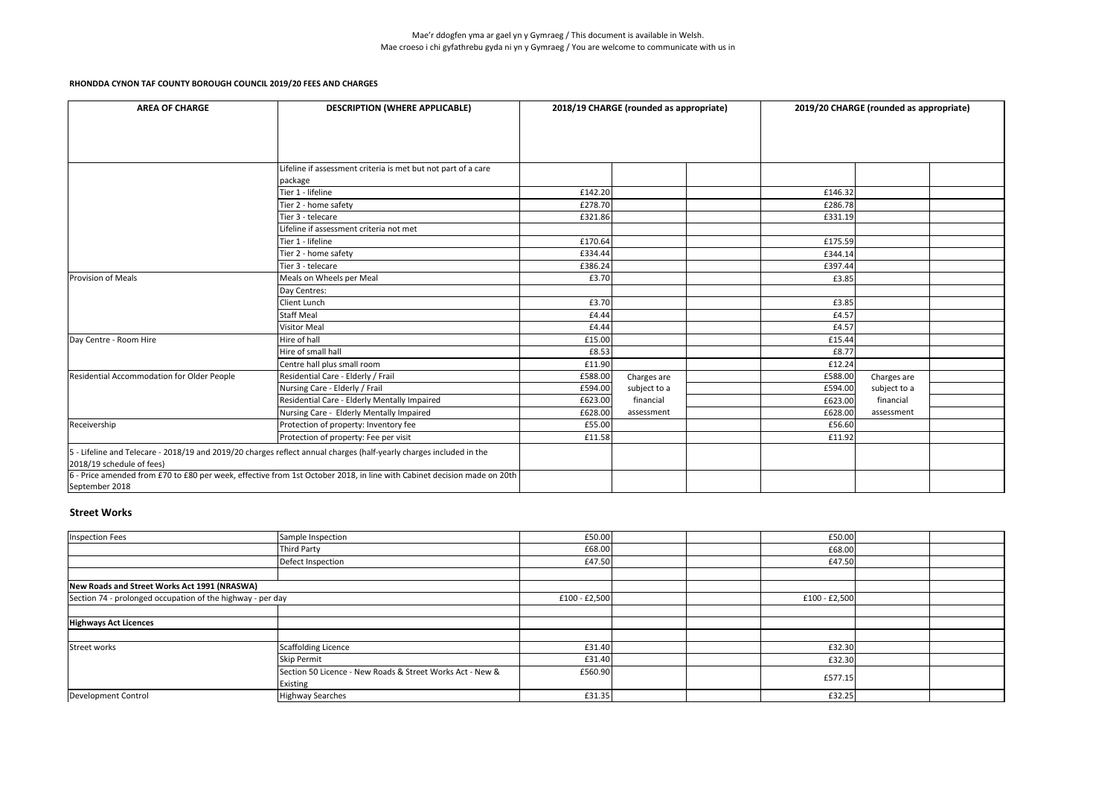| <b>AREA OF CHARGE</b>                      | <b>DESCRIPTION (WHERE APPLICABLE)</b>                                                                                   |         | 2018/19 CHARGE (rounded as appropriate) |         | 2019/20 CHARGE (rounded as appropriate) |  |
|--------------------------------------------|-------------------------------------------------------------------------------------------------------------------------|---------|-----------------------------------------|---------|-----------------------------------------|--|
|                                            |                                                                                                                         |         |                                         |         |                                         |  |
|                                            |                                                                                                                         |         |                                         |         |                                         |  |
|                                            |                                                                                                                         |         |                                         |         |                                         |  |
|                                            | Lifeline if assessment criteria is met but not part of a care                                                           |         |                                         |         |                                         |  |
|                                            | package                                                                                                                 |         |                                         |         |                                         |  |
|                                            | Tier 1 - lifeline                                                                                                       | £142.20 |                                         | £146.32 |                                         |  |
|                                            | Tier 2 - home safety                                                                                                    | £278.70 |                                         | £286.78 |                                         |  |
|                                            | Tier 3 - telecare                                                                                                       | £321.86 |                                         | £331.19 |                                         |  |
|                                            | Lifeline if assessment criteria not met                                                                                 |         |                                         |         |                                         |  |
|                                            | Tier 1 - lifeline                                                                                                       | £170.64 |                                         | £175.59 |                                         |  |
|                                            | Tier 2 - home safety                                                                                                    | £334.44 |                                         | £344.14 |                                         |  |
|                                            | Tier 3 - telecare                                                                                                       | £386.24 |                                         | £397.44 |                                         |  |
| Provision of Meals                         | Meals on Wheels per Meal                                                                                                | £3.70   |                                         | £3.85   |                                         |  |
|                                            | Day Centres:                                                                                                            |         |                                         |         |                                         |  |
|                                            | Client Lunch                                                                                                            | £3.70   |                                         | £3.85   |                                         |  |
|                                            | <b>Staff Meal</b>                                                                                                       | £4.44   |                                         | £4.57   |                                         |  |
|                                            | <b>Visitor Meal</b>                                                                                                     | £4.44   |                                         | £4.57   |                                         |  |
| Day Centre - Room Hire                     | Hire of hall                                                                                                            | £15.00  |                                         | £15.44  |                                         |  |
|                                            | Hire of small hall                                                                                                      | £8.53   |                                         | £8.77   |                                         |  |
|                                            | Centre hall plus small room                                                                                             | £11.90  |                                         | £12.24  |                                         |  |
| Residential Accommodation for Older People | Residential Care - Elderly / Frail                                                                                      | £588.00 | Charges are                             | £588.00 | Charges are                             |  |
|                                            | Nursing Care - Elderly / Frail                                                                                          | £594.00 | subject to a                            | £594.00 | subject to a                            |  |
|                                            | Residential Care - Elderly Mentally Impaired                                                                            | £623.00 | financial                               | £623.00 | financial                               |  |
|                                            | Nursing Care - Elderly Mentally Impaired                                                                                | £628.00 | assessment                              | £628.00 | assessment                              |  |
| Receivership                               | Protection of property: Inventory fee                                                                                   | £55.00  |                                         | £56.60  |                                         |  |
|                                            | Protection of property: Fee per visit                                                                                   | £11.58  |                                         | £11.92  |                                         |  |
|                                            | 5 - Lifeline and Telecare - 2018/19 and 2019/20 charges reflect annual charges (half-yearly charges included in the     |         |                                         |         |                                         |  |
| 2018/19 schedule of fees)                  |                                                                                                                         |         |                                         |         |                                         |  |
|                                            | 6 - Price amended from £70 to £80 per week, effective from 1st October 2018, in line with Cabinet decision made on 20th |         |                                         |         |                                         |  |
| September 2018                             |                                                                                                                         |         |                                         |         |                                         |  |

### **Street Works**

| Inspection Fees                                            | Sample Inspection                                         | £50.00          |  | £50.00        |  |
|------------------------------------------------------------|-----------------------------------------------------------|-----------------|--|---------------|--|
|                                                            | <b>Third Party</b>                                        | £68.00          |  | £68.00        |  |
|                                                            | Defect Inspection                                         | £47.50          |  | £47.50        |  |
|                                                            |                                                           |                 |  |               |  |
| New Roads and Street Works Act 1991 (NRASWA)               |                                                           |                 |  |               |  |
| Section 74 - prolonged occupation of the highway - per day |                                                           | $£100 - £2,500$ |  | £100 - £2,500 |  |
|                                                            |                                                           |                 |  |               |  |
| <b>Highways Act Licences</b>                               |                                                           |                 |  |               |  |
|                                                            |                                                           |                 |  |               |  |
| Street works                                               | <b>Scaffolding Licence</b>                                | £31.40          |  | £32.30        |  |
|                                                            | <b>Skip Permit</b>                                        | £31.40          |  | £32.30        |  |
|                                                            | Section 50 Licence - New Roads & Street Works Act - New & | £560.90         |  | £577.15       |  |
|                                                            | Existing                                                  |                 |  |               |  |
| Development Control                                        | <b>Highway Searches</b>                                   | £31.35          |  | £32.25        |  |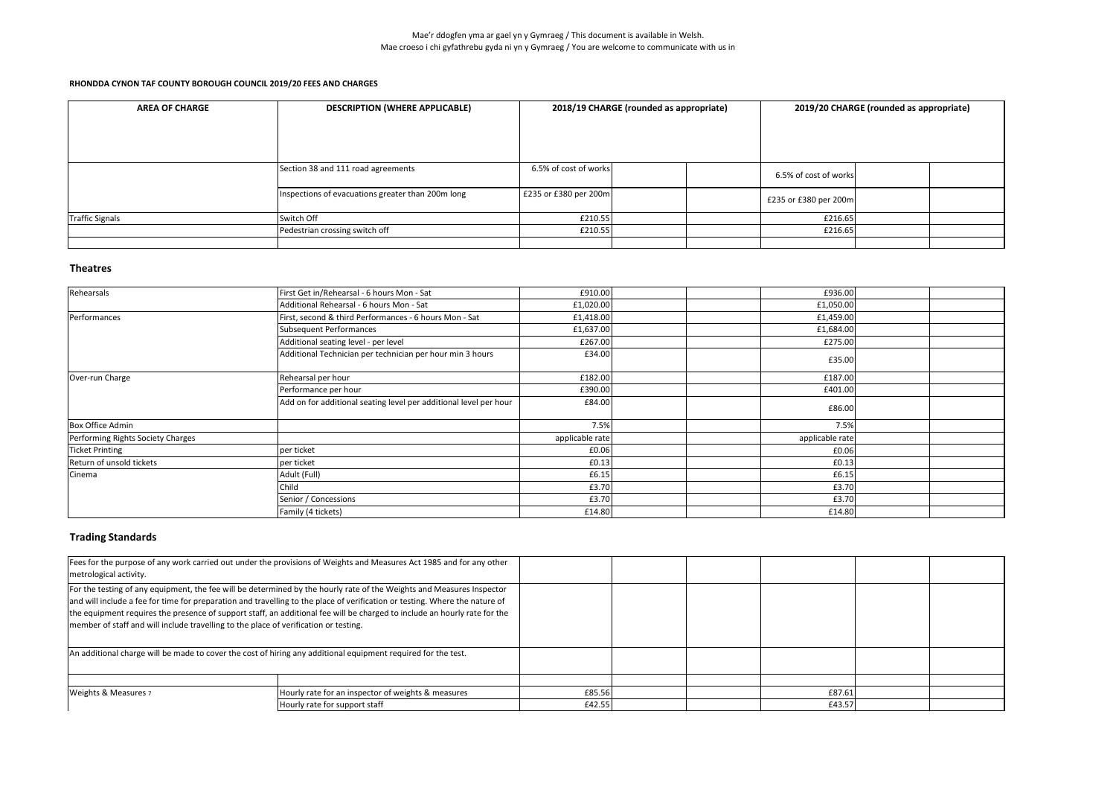| <b>AREA OF CHARGE</b> | <b>DESCRIPTION (WHERE APPLICABLE)</b>             |                       | 2018/19 CHARGE (rounded as appropriate) |                       | 2019/20 CHARGE (rounded as appropriate) |  |  |
|-----------------------|---------------------------------------------------|-----------------------|-----------------------------------------|-----------------------|-----------------------------------------|--|--|
|                       |                                                   |                       |                                         |                       |                                         |  |  |
|                       |                                                   |                       |                                         |                       |                                         |  |  |
|                       | Section 38 and 111 road agreements                | 6.5% of cost of works |                                         | 6.5% of cost of works |                                         |  |  |
|                       | Inspections of evacuations greater than 200m long | £235 or £380 per 200m |                                         | £235 or £380 per 200m |                                         |  |  |
| Traffic Signals       | Switch Off                                        | £210.55               |                                         | £216.65               |                                         |  |  |
|                       | Pedestrian crossing switch off                    | £210.55               |                                         | £216.65               |                                         |  |  |
|                       |                                                   |                       |                                         |                       |                                         |  |  |

## **Theatres**

| Rehearsals                        | First Get in/Rehearsal - 6 hours Mon - Sat                        | £910.00         | £936.00         |  |
|-----------------------------------|-------------------------------------------------------------------|-----------------|-----------------|--|
|                                   | Additional Rehearsal - 6 hours Mon - Sat                          | £1,020.00       | £1,050.00       |  |
| Performances                      | First, second & third Performances - 6 hours Mon - Sat            | £1,418.00       | £1,459.00       |  |
|                                   | Subsequent Performances                                           | £1,637.00       | £1,684.00       |  |
|                                   | Additional seating level - per level                              | £267.00         | £275.00         |  |
|                                   | Additional Technician per technician per hour min 3 hours         | £34.00          | £35.00          |  |
| Over-run Charge                   | Rehearsal per hour                                                | £182.00         | £187.00         |  |
|                                   | Performance per hour                                              | £390.00         | £401.00         |  |
|                                   | Add on for additional seating level per additional level per hour | £84.00          | £86.00          |  |
| Box Office Admin                  |                                                                   | 7.5%            | 7.5%            |  |
| Performing Rights Society Charges |                                                                   | applicable rate | applicable rate |  |
| Ticket Printing                   | per ticket                                                        | £0.06           | £0.06           |  |
| Return of unsold tickets          | per ticket                                                        | £0.13           | £0.13           |  |
| Cinema                            | Adult (Full)                                                      | £6.15           | £6.15           |  |
|                                   | Child                                                             | £3.70           | £3.70           |  |
|                                   | Senior / Concessions                                              | £3.70           | £3.70           |  |
|                                   | Family (4 tickets)                                                | £14.80          | £14.80          |  |

## **Trading Standards**

| metrological activity.                                                               | Fees for the purpose of any work carried out under the provisions of Weights and Measures Act 1985 and for any other                                                                                                                                                                                                                                                              |        |        |  |
|--------------------------------------------------------------------------------------|-----------------------------------------------------------------------------------------------------------------------------------------------------------------------------------------------------------------------------------------------------------------------------------------------------------------------------------------------------------------------------------|--------|--------|--|
| member of staff and will include travelling to the place of verification or testing. | For the testing of any equipment, the fee will be determined by the hourly rate of the Weights and Measures Inspector<br>and will include a fee for time for preparation and travelling to the place of verification or testing. Where the nature of<br>the equipment requires the presence of support staff, an additional fee will be charged to include an hourly rate for the |        |        |  |
|                                                                                      | An additional charge will be made to cover the cost of hiring any additional equipment required for the test.                                                                                                                                                                                                                                                                     |        |        |  |
|                                                                                      |                                                                                                                                                                                                                                                                                                                                                                                   |        |        |  |
| <b>Weights &amp; Measures 7</b>                                                      | Hourly rate for an inspector of weights & measures                                                                                                                                                                                                                                                                                                                                | £85.56 | £87.61 |  |
|                                                                                      | Hourly rate for support staff                                                                                                                                                                                                                                                                                                                                                     | £42.55 | £43.57 |  |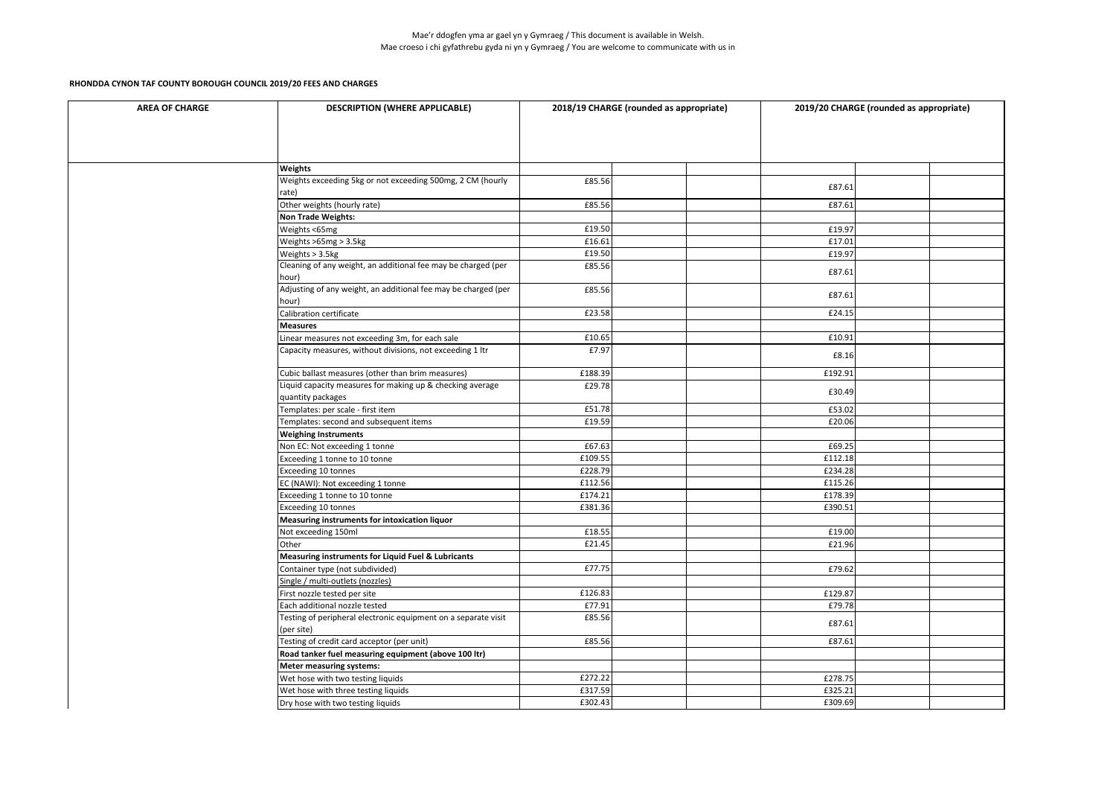| <b>AREA OF CHARGE</b> | <b>DESCRIPTION (WHERE APPLICABLE)</b>                                          | 2018/19 CHARGE (rounded as appropriate) |  | 2019/20 CHARGE (rounded as appropriate) |  |
|-----------------------|--------------------------------------------------------------------------------|-----------------------------------------|--|-----------------------------------------|--|
|                       |                                                                                |                                         |  |                                         |  |
|                       | <b>Weights</b>                                                                 |                                         |  |                                         |  |
|                       | Weights exceeding 5kg or not exceeding 500mg, 2 CM (hourly<br>rate)            | £85.56                                  |  | £87.61                                  |  |
|                       | Other weights (hourly rate)                                                    | £85.56                                  |  | £87.61                                  |  |
|                       | <b>Non Trade Weights:</b>                                                      |                                         |  |                                         |  |
|                       | Weights <65mg                                                                  | £19.50                                  |  | £19.97                                  |  |
|                       | Weights >65mg > 3.5kg                                                          | £16.61                                  |  | £17.01                                  |  |
|                       | Weights > 3.5kg                                                                | £19.50                                  |  | £19.97                                  |  |
|                       | Cleaning of any weight, an additional fee may be charged (per<br>hour)         | £85.56                                  |  | £87.61                                  |  |
|                       | Adjusting of any weight, an additional fee may be charged (per<br>hour)        | £85.56                                  |  | £87.61                                  |  |
|                       | Calibration certificate                                                        | £23.58                                  |  | £24.15                                  |  |
|                       | <b>Measures</b>                                                                |                                         |  |                                         |  |
|                       | Linear measures not exceeding 3m, for each sale                                | £10.65                                  |  | £10.91                                  |  |
|                       | Capacity measures, without divisions, not exceeding 1 ltr                      | £7.97                                   |  | £8.16                                   |  |
|                       | Cubic ballast measures (other than brim measures)                              | £188.39                                 |  | £192.91                                 |  |
|                       | Liquid capacity measures for making up & checking average<br>quantity packages | £29.78                                  |  | £30.49                                  |  |
|                       | Templates: per scale - first item                                              | £51.78                                  |  | £53.02                                  |  |
|                       | Templates: second and subsequent items                                         | £19.59                                  |  | £20.06                                  |  |
|                       | <b>Weighing Instruments</b>                                                    |                                         |  |                                         |  |
|                       | Non EC: Not exceeding 1 tonne                                                  | £67.63                                  |  | £69.25                                  |  |
|                       | Exceeding 1 tonne to 10 tonne                                                  | £109.55                                 |  | £112.18                                 |  |
|                       | Exceeding 10 tonnes                                                            | £228.79                                 |  | £234.28                                 |  |
|                       | EC (NAWI): Not exceeding 1 tonne                                               | £112.56                                 |  | £115.26                                 |  |
|                       | Exceeding 1 tonne to 10 tonne                                                  | £174.21                                 |  | £178.39                                 |  |
|                       | Exceeding 10 tonnes                                                            | £381.36                                 |  | £390.51                                 |  |
|                       | Measuring instruments for intoxication liquor                                  |                                         |  |                                         |  |
|                       | Not exceeding 150ml                                                            | £18.55                                  |  | £19.00                                  |  |
|                       | Other                                                                          | £21.45                                  |  | £21.96                                  |  |
|                       | <b>Measuring instruments for Liquid Fuel &amp; Lubricants</b>                  |                                         |  |                                         |  |
|                       | Container type (not subdivided)                                                | £77.75                                  |  | £79.62                                  |  |
|                       | Single / multi-outlets (nozzles)                                               |                                         |  |                                         |  |
|                       | First nozzle tested per site                                                   | £126.83                                 |  | £129.87                                 |  |
|                       | Each additional nozzle tested                                                  | £77.91                                  |  | £79.78                                  |  |
|                       | Testing of peripheral electronic equipment on a separate visit<br>(per site)   | £85.56                                  |  | £87.61                                  |  |
|                       | Testing of credit card acceptor (per unit)                                     | £85.56                                  |  | £87.61                                  |  |
|                       | Road tanker fuel measuring equipment (above 100 ltr)                           |                                         |  |                                         |  |
|                       | <b>Meter measuring systems:</b>                                                |                                         |  |                                         |  |
|                       | Wet hose with two testing liquids                                              | £272.22                                 |  | £278.75                                 |  |
|                       | Wet hose with three testing liquids                                            | £317.59                                 |  | £325.21                                 |  |
|                       | Dry hose with two testing liquids                                              | £302.43                                 |  | £309.69                                 |  |
|                       |                                                                                |                                         |  |                                         |  |